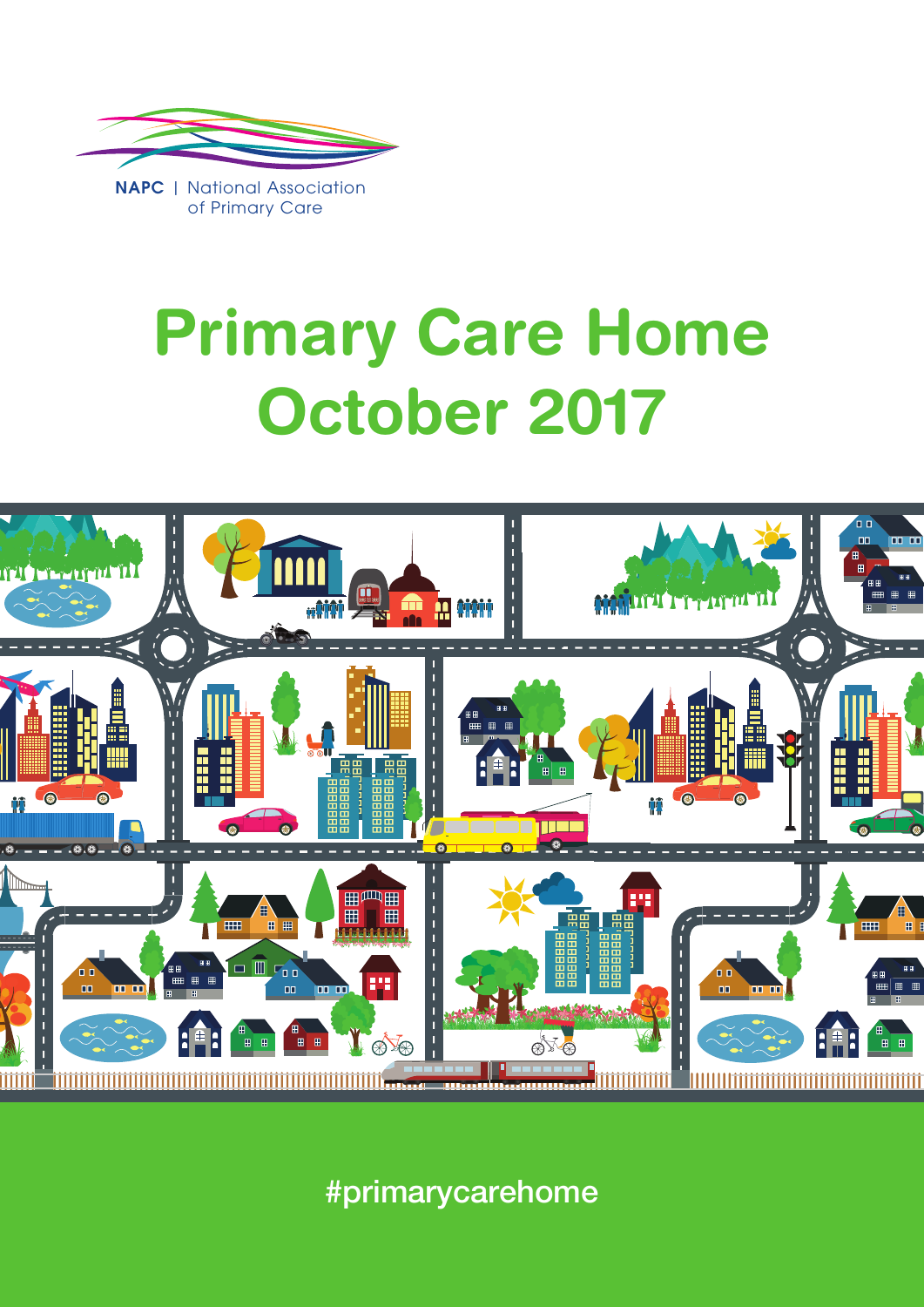

of Primary Care

# **Primary Care Home October 2017**



#primarycarehome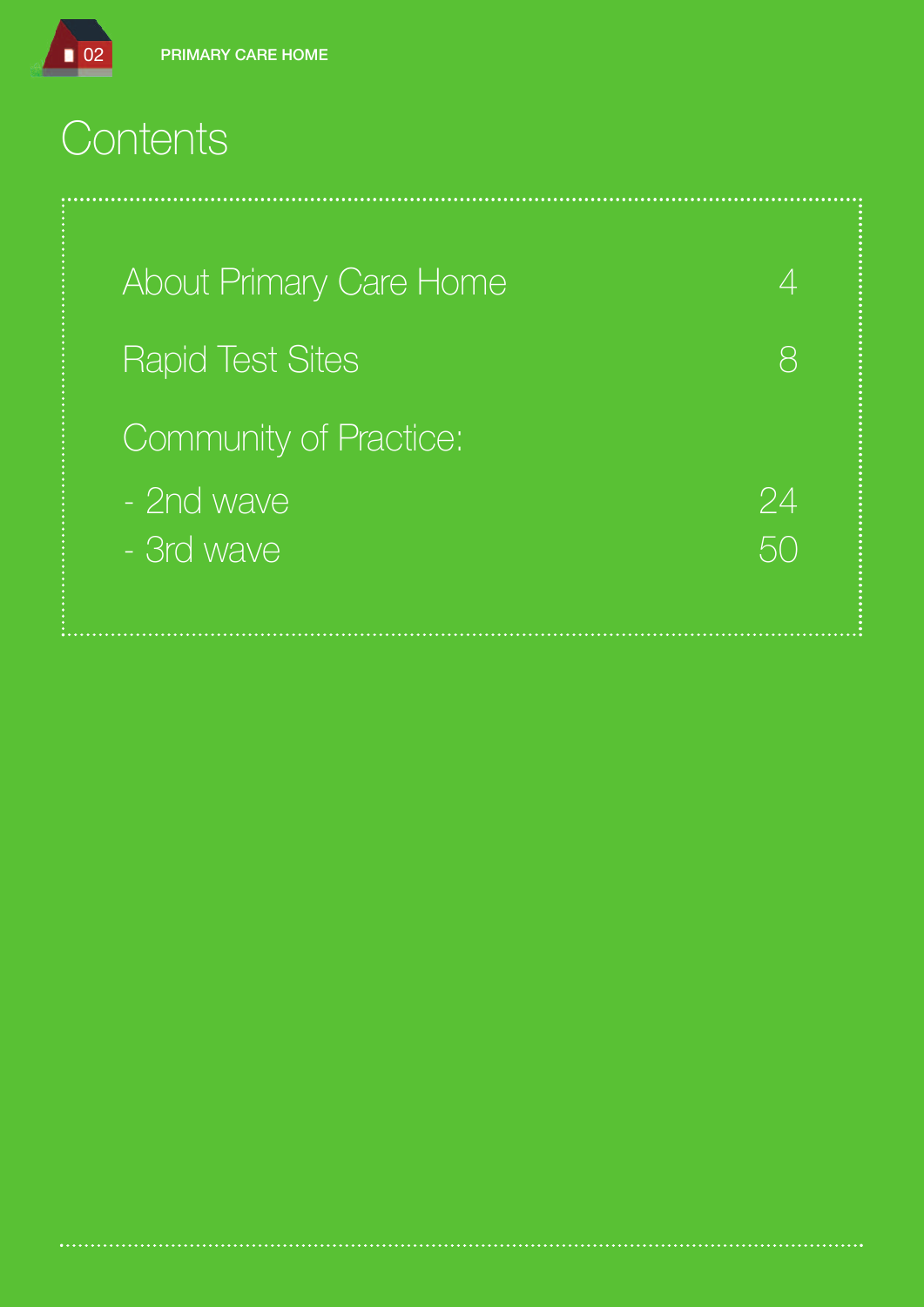# **Contents**

02

| <b>About Primary Care Home</b> |    |
|--------------------------------|----|
| <b>Rapid Test Sites</b>        |    |
| <b>Community of Practice:</b>  |    |
| - 2nd wave                     | 24 |
| - 3rd wave                     | 50 |
|                                |    |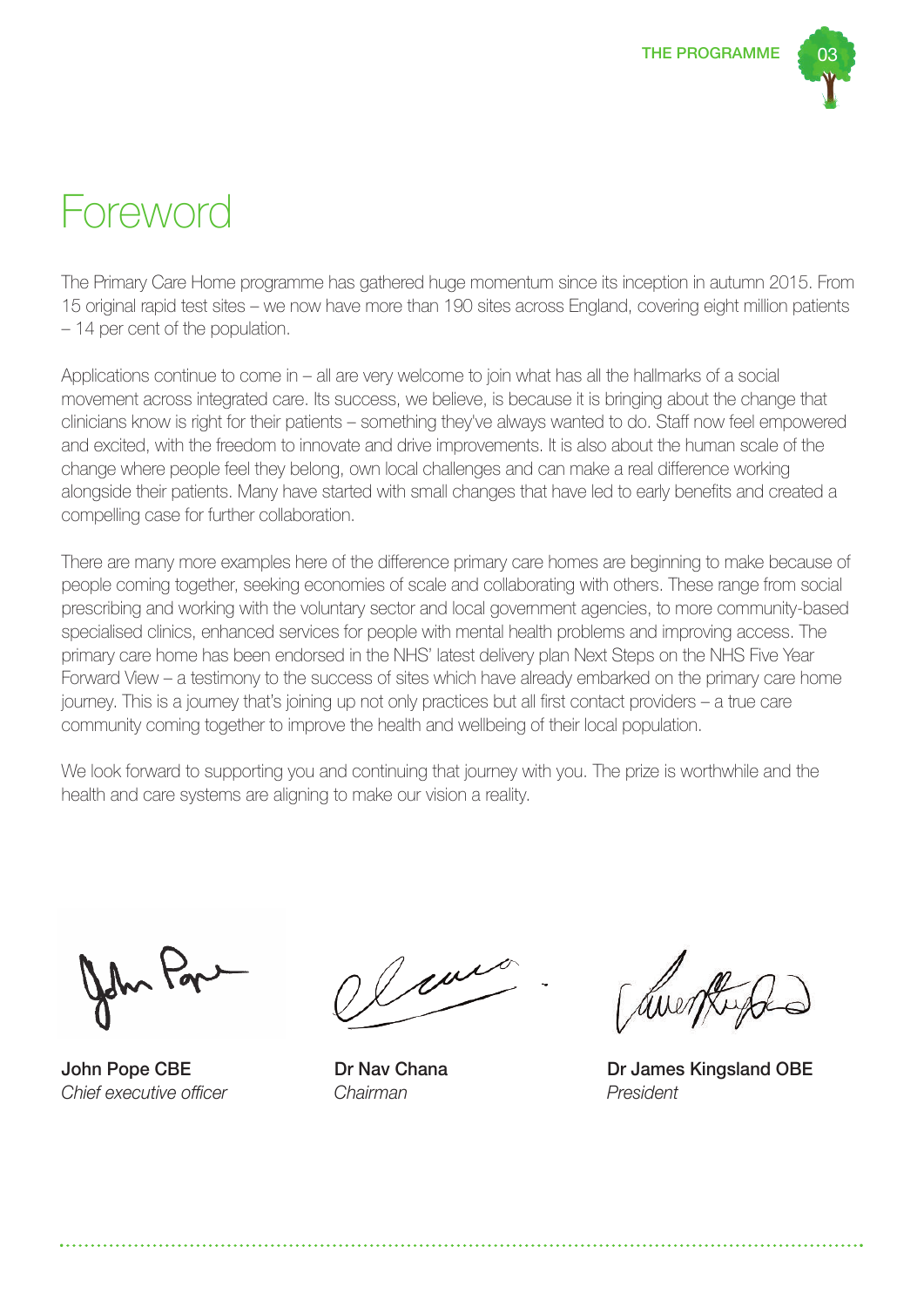

# Foreword

The Primary Care Home programme has gathered huge momentum since its inception in autumn 2015. From 15 original rapid test sites – we now have more than 190 sites across England, covering eight million patients – 14 per cent of the population.

Applications continue to come in – all are very welcome to join what has all the hallmarks of a social movement across integrated care. Its success, we believe, is because it is bringing about the change that clinicians know is right for their patients – something they've always wanted to do. Staff now feel empowered and excited, with the freedom to innovate and drive improvements. It is also about the human scale of the change where people feel they belong, own local challenges and can make a real difference working alongside their patients. Many have started with small changes that have led to early benefits and created a compelling case for further collaboration.

There are many more examples here of the difference primary care homes are beginning to make because of people coming together, seeking economies of scale and collaborating with others. These range from social prescribing and working with the voluntary sector and local government agencies, to more community-based specialised clinics, enhanced services for people with mental health problems and improving access. The primary care home has been endorsed in the NHS' latest delivery plan Next Steps on the NHS Five Year Forward View – a testimony to the success of sites which have already embarked on the primary care home journey. This is a journey that's joining up not only practices but all first contact providers – a true care community coming together to improve the health and wellbeing of their local population.

We look forward to supporting you and continuing that journey with you. The prize is worthwhile and the health and care systems are aligning to make our vision a reality.

John Pope CBE *Chief executive officer*

True

Dr Nav Chana *Chairman*

Dr James Kingsland OBE *President*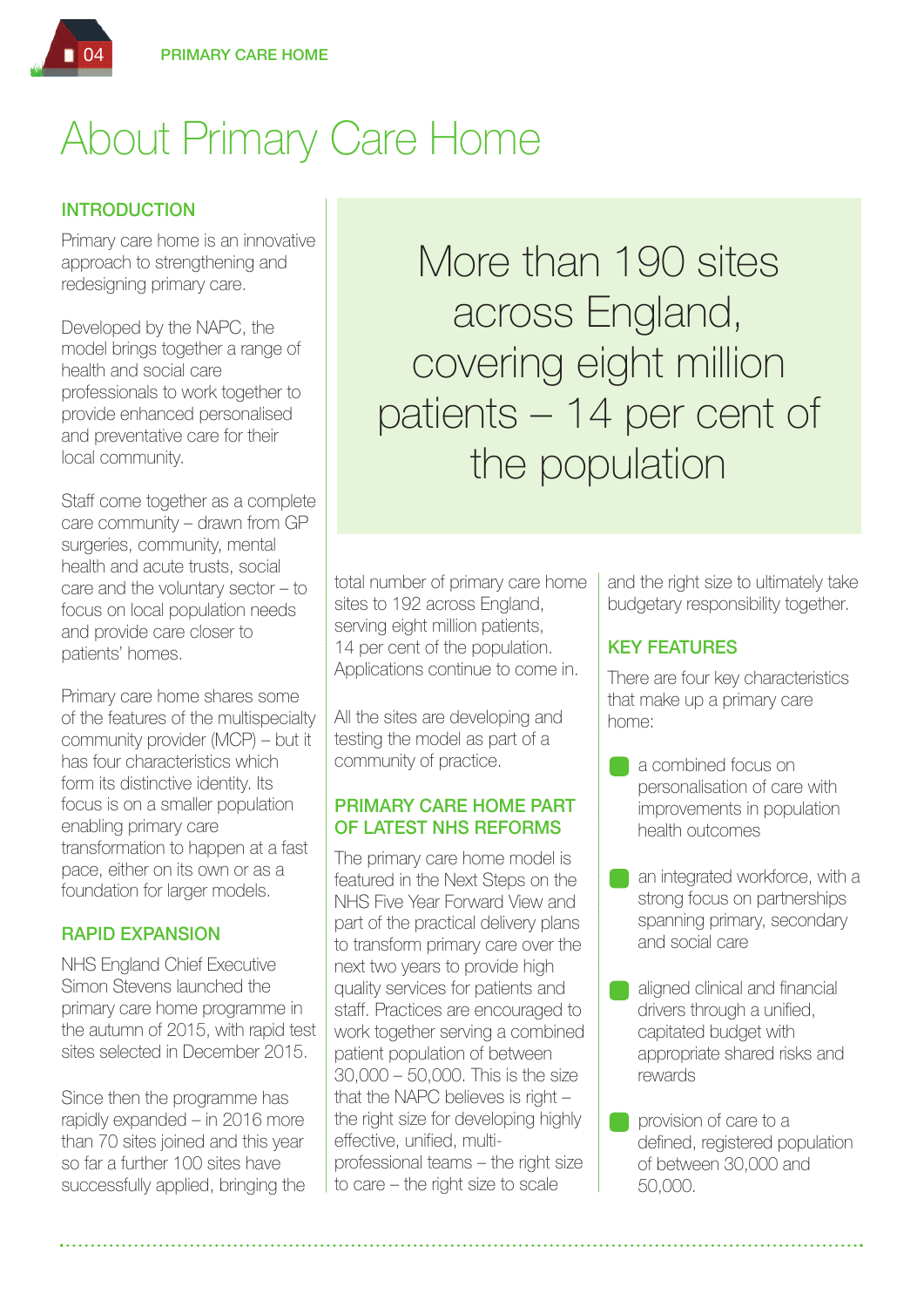

# About Primary Care Home

#### INTRODUCTION

Primary care home is an innovative approach to strengthening and redesigning primary care.

Developed by the NAPC, the model brings together a range of health and social care professionals to work together to provide enhanced personalised and preventative care for their local community.

Staff come together as a complete care community – drawn from GP surgeries, community, mental health and acute trusts, social care and the voluntary sector – to focus on local population needs and provide care closer to patients' homes.

Primary care home shares some of the features of the multispecialty community provider (MCP) – but it has four characteristics which form its distinctive identity. Its focus is on a smaller population enabling primary care transformation to happen at a fast pace, either on its own or as a foundation for larger models.

#### RAPID EXPANSION

NHS England Chief Executive Simon Stevens launched the primary care home programme in the autumn of 2015, with rapid test sites selected in December 2015.

Since then the programme has rapidly expanded – in 2016 more than 70 sites joined and this year so far a further 100 sites have successfully applied, bringing the

More than 190 sites across England, covering eight million patients – 14 per cent of the population

total number of primary care home sites to 192 across England, serving eight million patients, 14 per cent of the population. Applications continue to come in.

All the sites are developing and testing the model as part of a community of practice.

#### PRIMARY CARE HOME PART OF LATEST NHS REFORMS

The primary care home model is featured in the Next Steps on the NHS Five Year Forward View and part of the practical delivery plans to transform primary care over the next two years to provide high quality services for patients and staff. Practices are encouraged to work together serving a combined patient population of between 30,000 – 50,000. This is the size that the NAPC believes is right the right size for developing highly effective, unified, multiprofessional teams – the right size to care – the right size to scale

and the right size to ultimately take budgetary responsibility together.

#### KEY FEATURES

There are four key characteristics that make up a primary care home:

- a combined focus on personalisation of care with improvements in population health outcomes
- an integrated workforce, with a strong focus on partnerships spanning primary, secondary and social care
- aligned clinical and financial drivers through a unified, capitated budget with appropriate shared risks and rewards
- provision of care to a defined, registered population of between 30,000 and 50,000.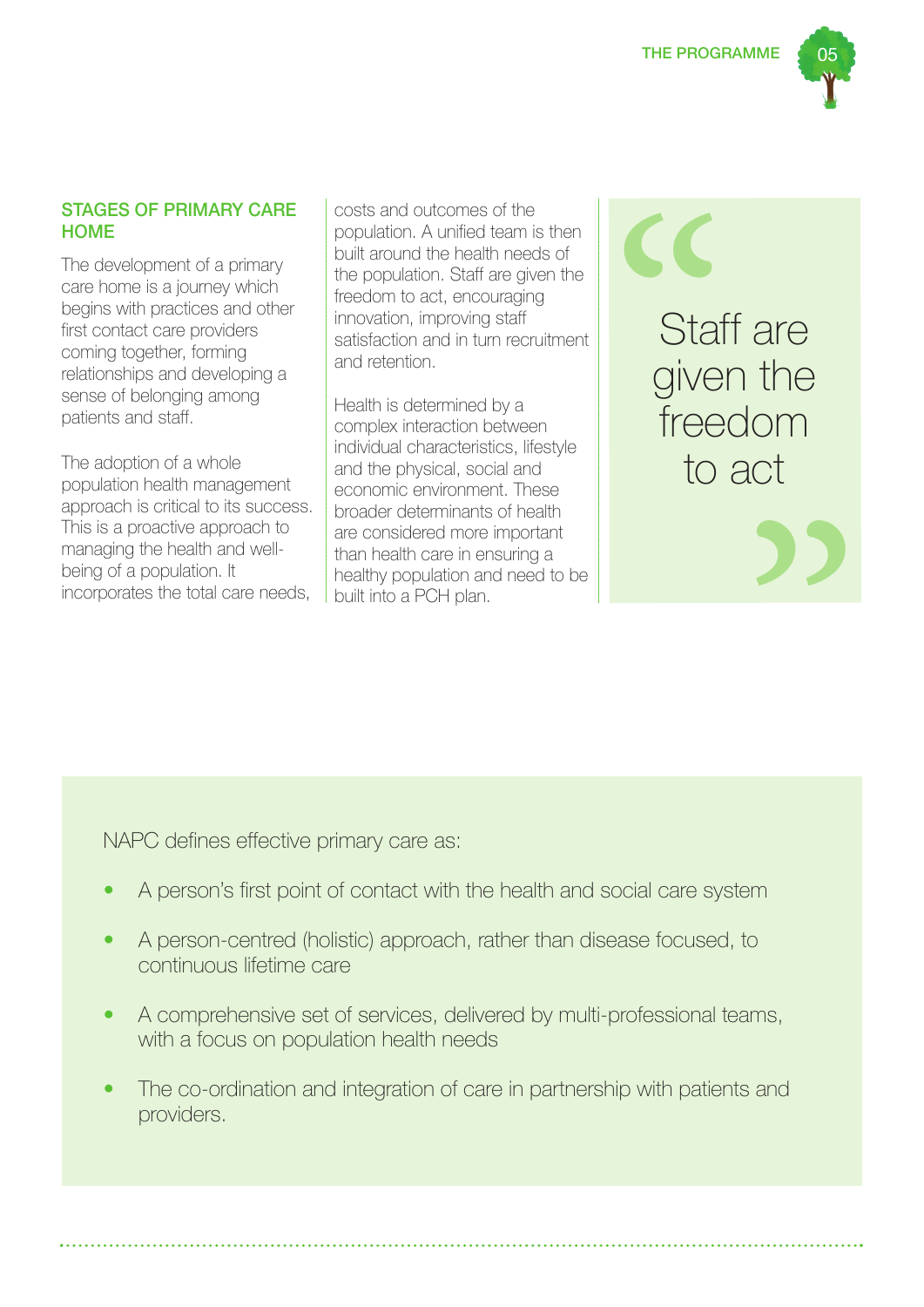

#### STAGES OF PRIMARY CARE **HOME**

The development of a primary care home is a journey which begins with practices and other first contact care providers coming together, forming relationships and developing a sense of belonging among patients and staff.

The adoption of a whole population health management approach is critical to its success. This is a proactive approach to managing the health and wellbeing of a population. It incorporates the total care needs,

costs and outcomes of the population. A unified team is then built around the health needs of the population. Staff are given the freedom to act, encouraging innovation, improving staff satisfaction and in turn recruitment and retention.

Health is determined by a complex interaction between individual characteristics, lifestyle and the physical, social and economic environment. These broader determinants of health are considered more important than health care in ensuring a healthy population and need to be built into a PCH plan.

Staff are given the freedom to act CC<br>
State<br>
give<br>
free<br>
to

"

NAPC defines effective primary care as:

- A person's first point of contact with the health and social care system
- A person-centred (holistic) approach, rather than disease focused, to continuous lifetime care
- A comprehensive set of services, delivered by multi-professional teams, with a focus on population health needs
- The co-ordination and integration of care in partnership with patients and providers.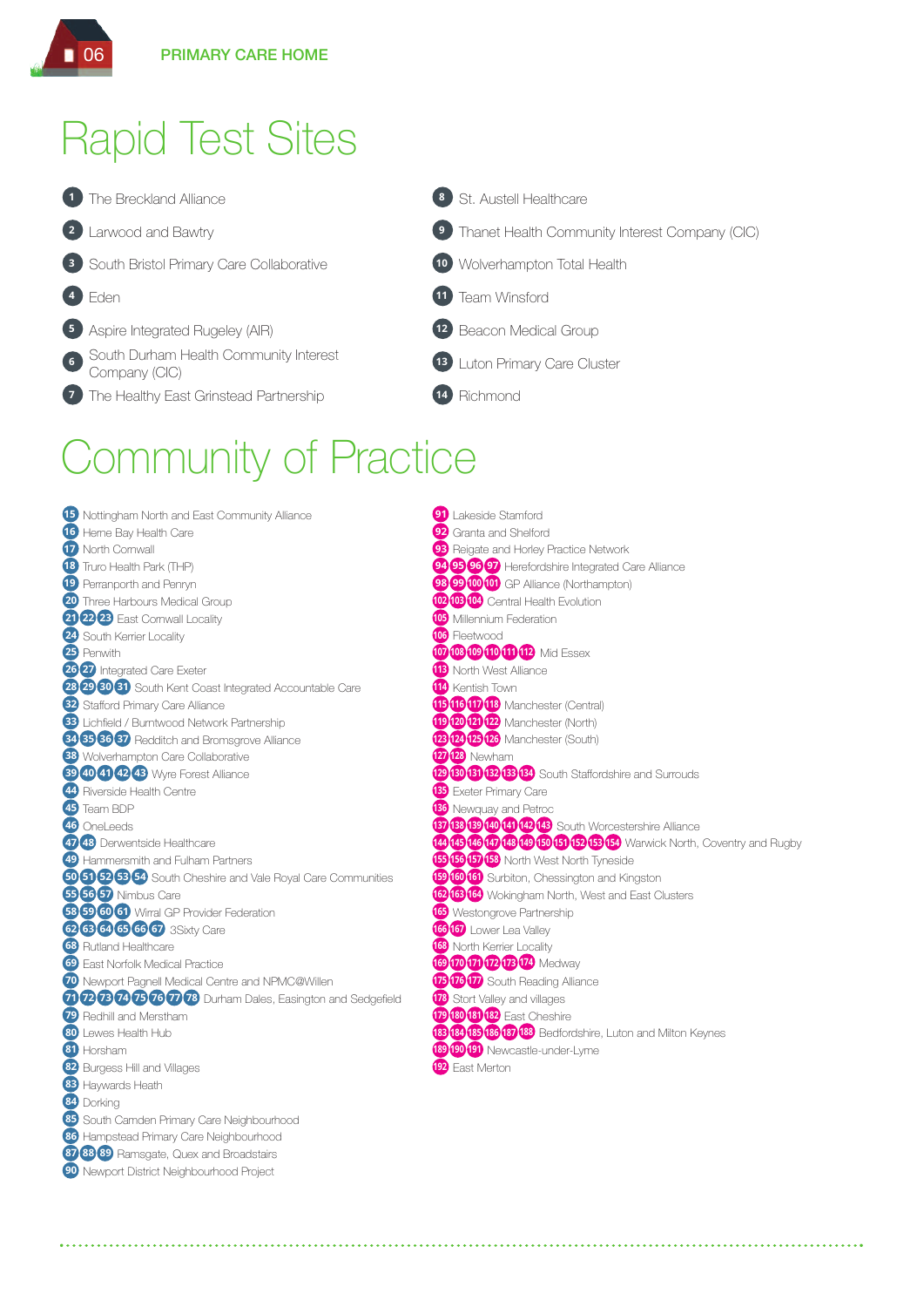Eden

# Rapid Test Sites



# Community of Practice

- North Cornwall 18 Truro Health Park (THP) Perranporth and Penryn Three Harbours Medical Group East Cornwall Locality **22 23** 24 South Kerrier Locality 25 Penwith Integrated Care Exeter **27** South Kent Coast Integrated Accountable Care **29 30 31** Stafford Primary Care Alliance 33 Lichfield / Burntwood Network Partnership **34 85 86 87** Redditch and Bromsgrove Alliance Wolverhampton Care Collaborative Wyre Forest Alliance **40 41 42 43** 44 Riverside Health Centre 45 Team BDP OneLeeds 47 48 Derwentside Healthcare Hammersmith and Fulham Partners **50 51 52 53 54** South Cheshire and Vale Royal Care Communities Nimbus Care **56 57** Wirral GP Provider Federation **59 60 61** 3Sixty Care **63 64 65 66 67** Rutland Healthcare East Norfolk Medical Practice Newport Pagnell Medical Centre and NPMC@Willen **71 <b>72 73 <b>74 <b>75 76 77 78** Durham Dales, Easington and Sedgefield Redhill and Merstham Lewes Health Hub 81 Horsham 82 Burgess Hill and Villages Haywards Heath 84<sup>D</sup>Orking 85 South Camden Primary Care Neighbourhood Hampstead Primary Care Neighbourhood 87 88 89 Ramsgate, Quex and Broadstairs 90 Newport District Neighbourhood Project 16 Herne Bay Health Care Nottingham North and East Community Alliance **16 COM** Lakeside Stamford
- North West North Tyneside Surbiton, Chessington and Kingston Wokingham North, West and East Clusters **163 164** Westongrove Partnership Granta and Shelford 93 Reigate and Horley Practice Network GP Alliance (Northampton) **99 100 101** Central Health Evolution **103 104** Millennium Federation Fleetwood North West Alliance Kentish Town Manchester (Central) **116 117 118** Manchester (North) **120 121 122** Manchester (South) **124 125 126** Newham **128 129 <b>130 (B1) (B2) (B3) IB4** South Staffordshire and Surrouds Exeter Primary Care Newquay and Petroc South Worcestershire Alliance **139 140 141 142 143** Warwick North, Coventry and Rugby Mid Essex **108 109 110 111 112** Herefordshire Integrated Care Alliance **95 96 97 145 146 147 148 149 150 151 152 153 154 <sup>167</sup>** Lower Lea Valley North Kerrier Locality **<sup>170</sup> <sup>171</sup> <sup>172</sup> <sup>173</sup> <sup>174</sup>** Medway **<sup>176</sup> <sup>177</sup>** South Reading Alliance Stort Valley and villages **<sup>180</sup> <sup>181</sup> <sup>182</sup>** East Cheshire **183 <b>183 183 187 188** Bedfordshire, Luton and Milton Keynes **<sup>190</sup> <sup>191</sup>** Newcastle-under-Lyme East Merton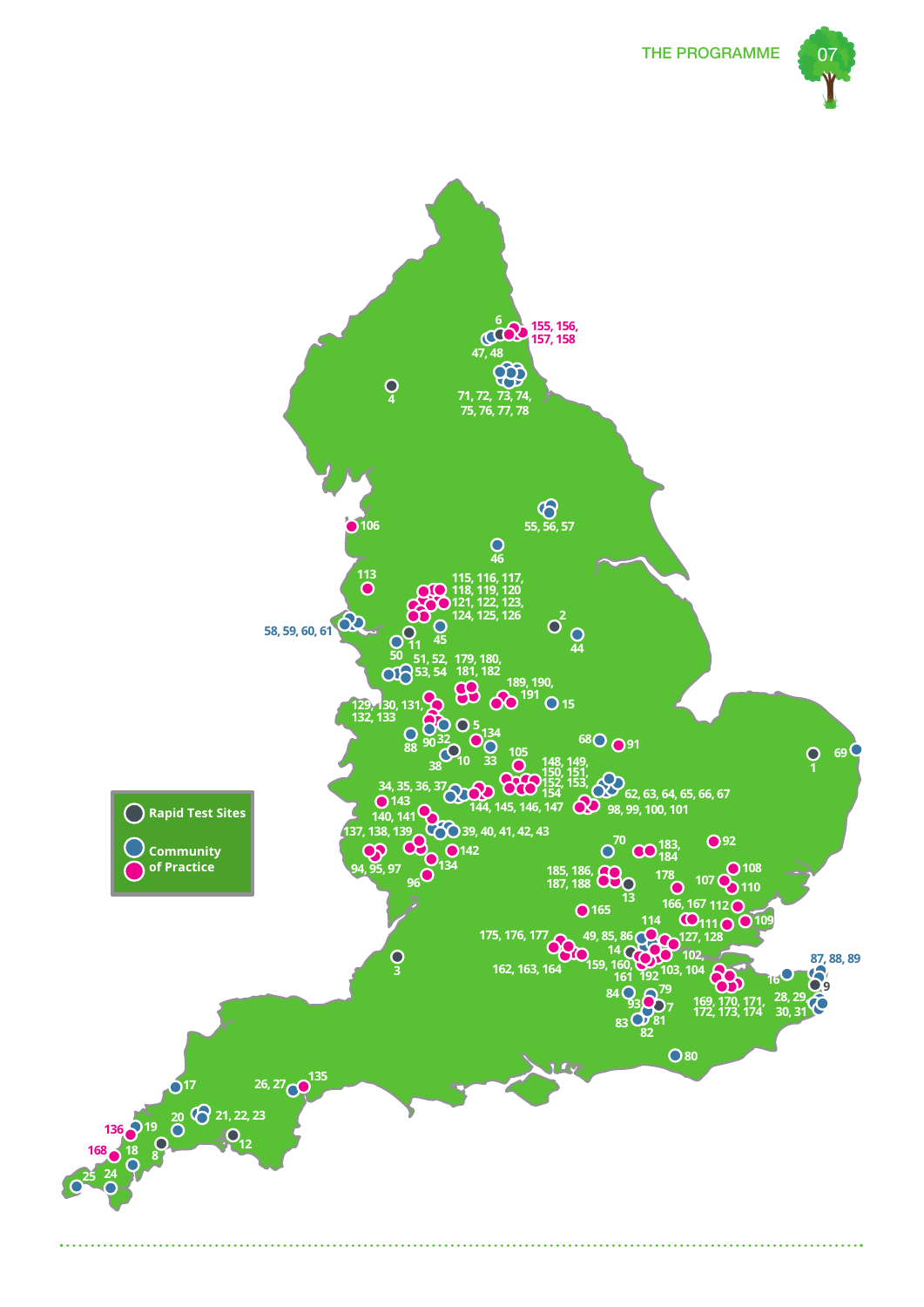THE PROGRAMME 6 07



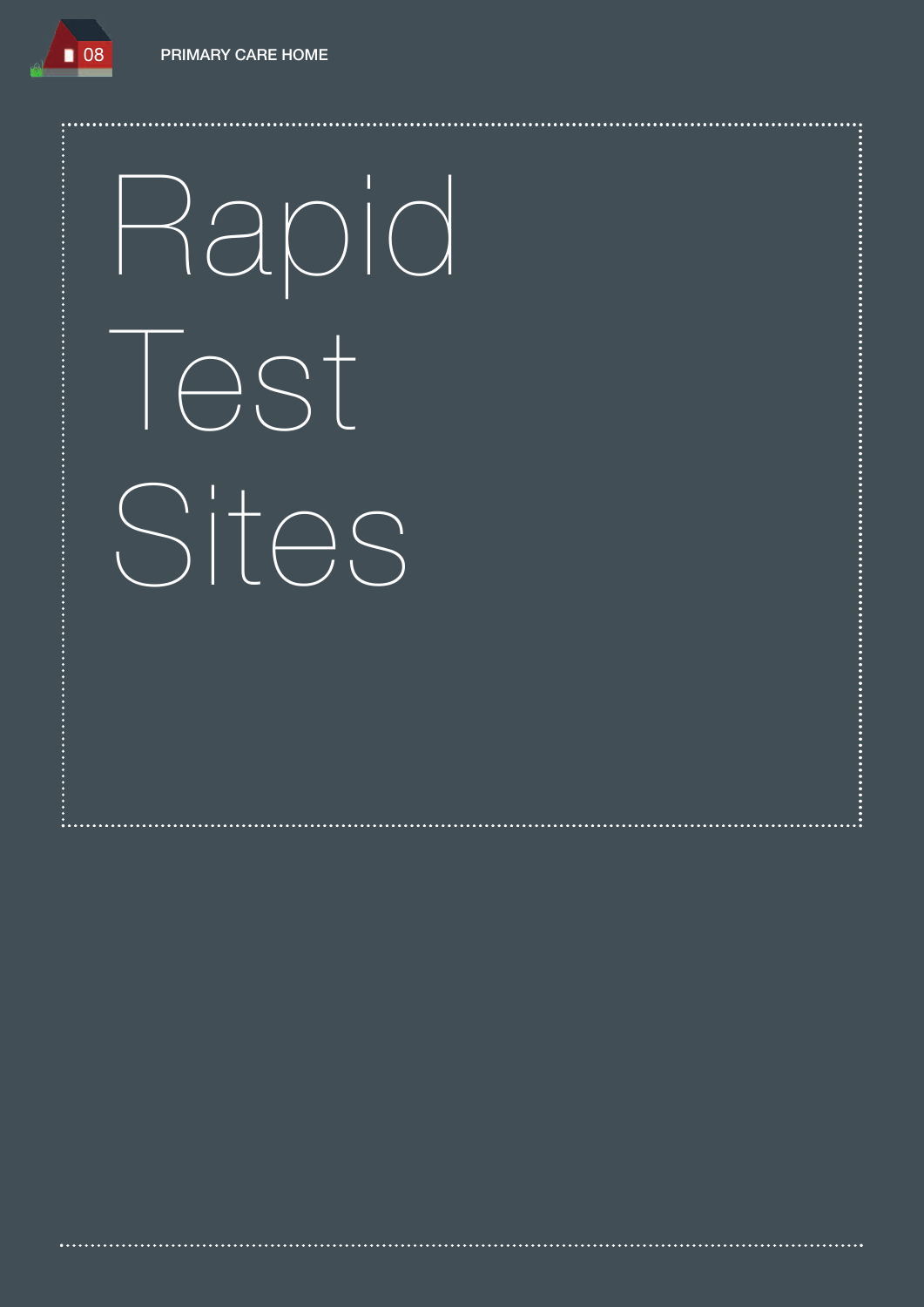08

# Rapid Test Sites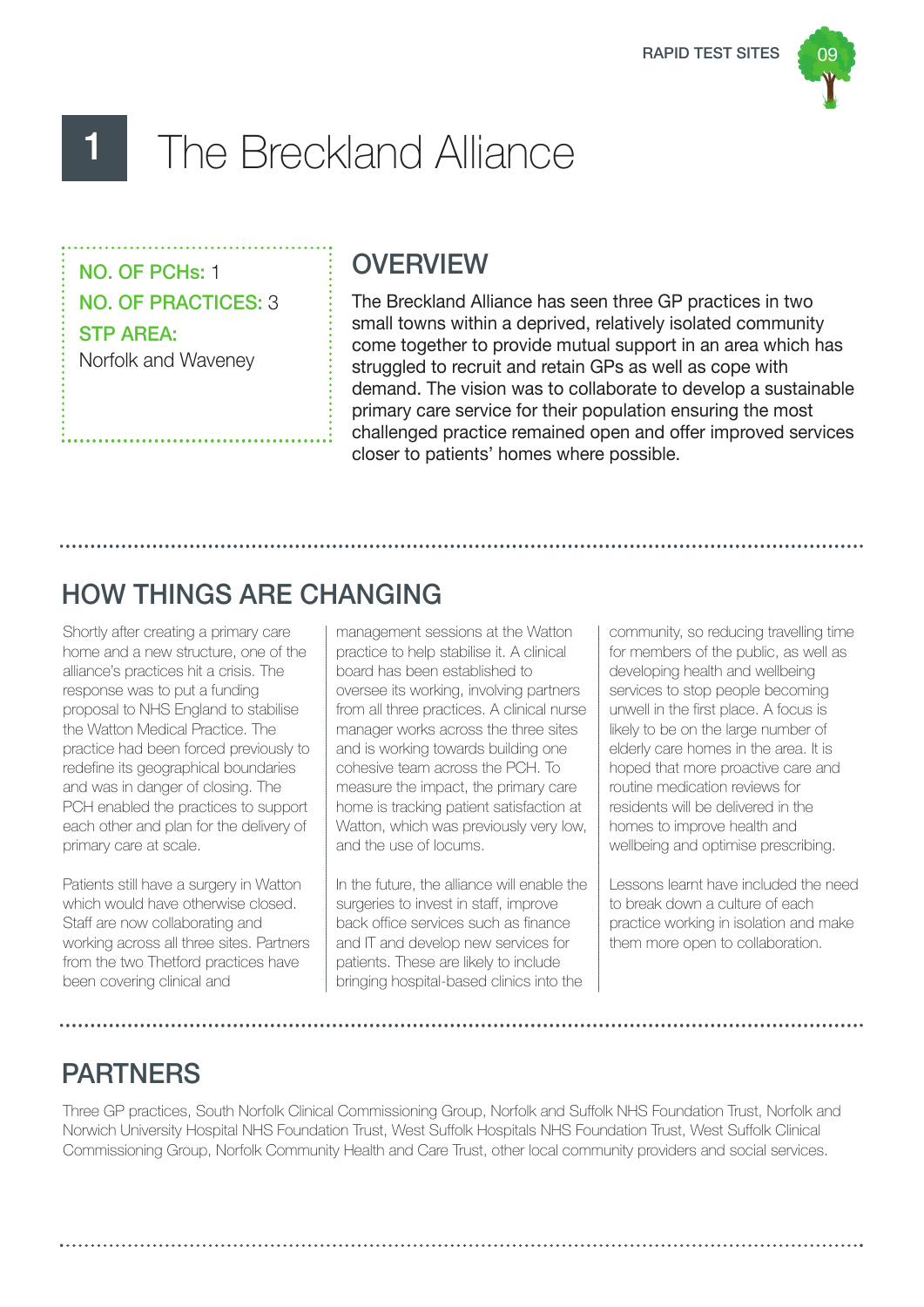

### 1 The Breckland Alliance

### NO. OF PCHs: 1 NO. OF PRACTICES: 3 STP AREA: Norfolk and Waveney

### **OVERVIEW**

The Breckland Alliance has seen three GP practices in two small towns within a deprived, relatively isolated community come together to provide mutual support in an area which has struggled to recruit and retain GPs as well as cope with demand. The vision was to collaborate to develop a sustainable primary care service for their population ensuring the most challenged practice remained open and offer improved services closer to patients' homes where possible.

### HOW THINGS ARE CHANGING

Shortly after creating a primary care home and a new structure, one of the alliance's practices hit a crisis. The response was to put a funding proposal to NHS England to stabilise the Watton Medical Practice. The practice had been forced previously to redefine its geographical boundaries and was in danger of closing. The PCH enabled the practices to support each other and plan for the delivery of primary care at scale.

Patients still have a surgery in Watton which would have otherwise closed. Staff are now collaborating and working across all three sites. Partners from the two Thetford practices have been covering clinical and

management sessions at the Watton practice to help stabilise it. A clinical board has been established to oversee its working, involving partners from all three practices. A clinical nurse manager works across the three sites and is working towards building one cohesive team across the PCH. To measure the impact, the primary care home is tracking patient satisfaction at Watton, which was previously very low, and the use of locums.

In the future, the alliance will enable the surgeries to invest in staff, improve back office services such as finance and IT and develop new services for patients. These are likely to include bringing hospital-based clinics into the

community, so reducing travelling time for members of the public, as well as developing health and wellbeing services to stop people becoming unwell in the first place. A focus is likely to be on the large number of elderly care homes in the area. It is hoped that more proactive care and routine medication reviews for residents will be delivered in the homes to improve health and wellbeing and optimise prescribing.

Lessons learnt have included the need to break down a culture of each practice working in isolation and make them more open to collaboration.

### **PARTNERS**

Three GP practices, South Norfolk Clinical Commissioning Group, Norfolk and Suffolk NHS Foundation Trust, Norfolk and Norwich University Hospital NHS Foundation Trust, West Suffolk Hospitals NHS Foundation Trust, West Suffolk Clinical Commissioning Group, Norfolk Community Health and Care Trust, other local community providers and social services.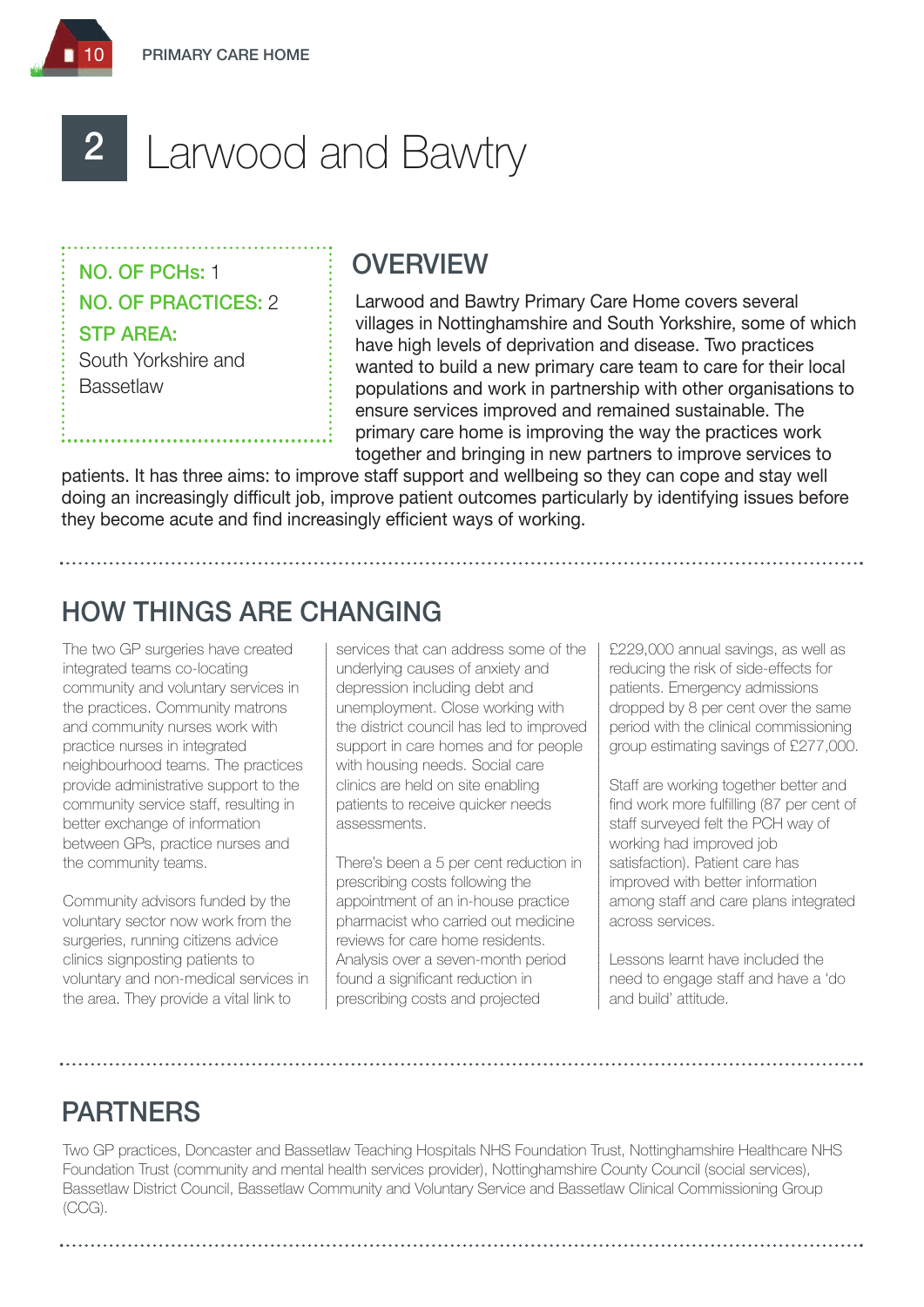

# 2 Larwood and Bawtry

### NO. OF PCHs: 1 NO. OF PRACTICES: 2 STP AREA:

South Yorkshire and **Bassetlaw** 

. . . . . . . . . . . . . . . . .

### **OVERVIEW**

Larwood and Bawtry Primary Care Home covers several villages in Nottinghamshire and South Yorkshire, some of which have high levels of deprivation and disease. Two practices wanted to build a new primary care team to care for their local populations and work in partnership with other organisations to ensure services improved and remained sustainable. The primary care home is improving the way the practices work together and bringing in new partners to improve services to

patients. It has three aims: to improve staff support and wellbeing so they can cope and stay well doing an increasingly difficult job, improve patient outcomes particularly by identifying issues before they become acute and find increasingly efficient ways of working.

### HOW THINGS ARE CHANGING

The two GP surgeries have created integrated teams co-locating community and voluntary services in the practices. Community matrons and community nurses work with practice nurses in integrated neighbourhood teams. The practices provide administrative support to the community service staff, resulting in better exchange of information between GPs, practice nurses and the community teams.

Community advisors funded by the voluntary sector now work from the surgeries, running citizens advice clinics signposting patients to voluntary and non-medical services in the area. They provide a vital link to

services that can address some of the underlying causes of anxiety and depression including debt and unemployment. Close working with the district council has led to improved support in care homes and for people with housing needs. Social care clinics are held on site enabling patients to receive quicker needs assessments.

There's been a 5 per cent reduction in prescribing costs following the appointment of an in-house practice pharmacist who carried out medicine reviews for care home residents. Analysis over a seven-month period found a significant reduction in prescribing costs and projected

£229,000 annual savings, as well as reducing the risk of side-effects for patients. Emergency admissions dropped by 8 per cent over the same period with the clinical commissioning group estimating savings of £277,000.

Staff are working together better and find work more fulfilling (87 per cent of staff surveyed felt the PCH way of working had improved job satisfaction). Patient care has improved with better information among staff and care plans integrated across services.

Lessons learnt have included the need to engage staff and have a 'do and build' attitude.

### PARTNERS

Two GP practices, Doncaster and Bassetlaw Teaching Hospitals NHS Foundation Trust, Nottinghamshire Healthcare NHS Foundation Trust (community and mental health services provider), Nottinghamshire County Council (social services), Bassetlaw District Council, Bassetlaw Community and Voluntary Service and Bassetlaw Clinical Commissioning Group (CCG).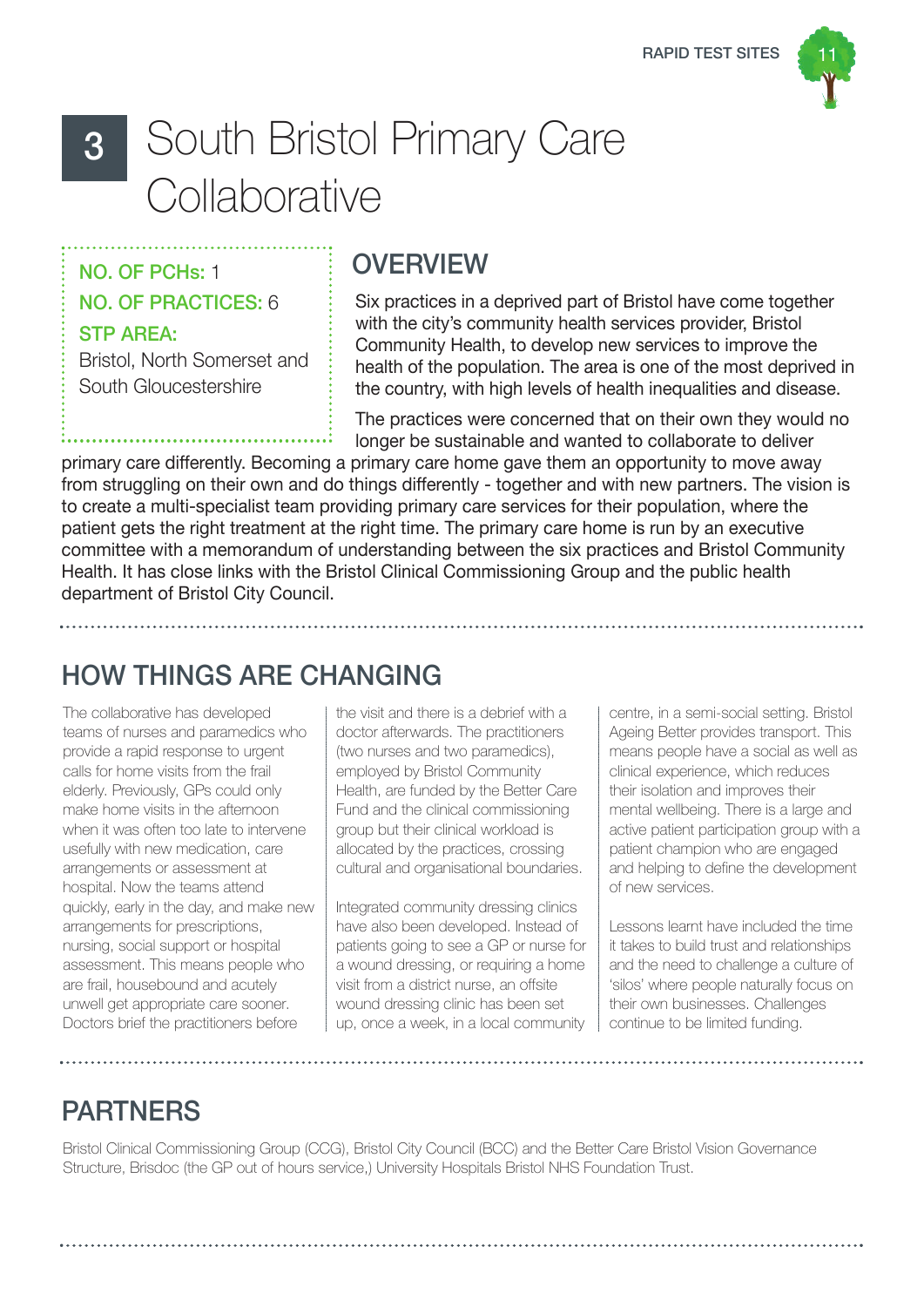

### 3 South Bristol Primary Care **Collaborative**

### NO. OF PCHs: 1 NO. OF PRACTICES: 6 STP AREA:

Bristol, North Somerset and South Gloucestershire

### **OVERVIEW**

Six practices in a deprived part of Bristol have come together with the city's community health services provider, Bristol Community Health, to develop new services to improve the health of the population. The area is one of the most deprived in the country, with high levels of health inequalities and disease.

The practices were concerned that on their own they would no longer be sustainable and wanted to collaborate to deliver

primary care differently. Becoming a primary care home gave them an opportunity to move away from struggling on their own and do things differently - together and with new partners. The vision is to create a multi-specialist team providing primary care services for their population, where the patient gets the right treatment at the right time. The primary care home is run by an executive committee with a memorandum of understanding between the six practices and Bristol Community Health. It has close links with the Bristol Clinical Commissioning Group and the public health department of Bristol City Council.

### HOW THINGS ARE CHANGING

The collaborative has developed teams of nurses and paramedics who provide a rapid response to urgent calls for home visits from the frail elderly. Previously, GPs could only make home visits in the afternoon when it was often too late to intervene usefully with new medication, care arrangements or assessment at hospital. Now the teams attend quickly, early in the day, and make new arrangements for prescriptions, nursing, social support or hospital assessment. This means people who are frail, housebound and acutely unwell get appropriate care sooner. Doctors brief the practitioners before

the visit and there is a debrief with a doctor afterwards. The practitioners (two nurses and two paramedics), employed by Bristol Community Health, are funded by the Better Care Fund and the clinical commissioning group but their clinical workload is allocated by the practices, crossing cultural and organisational boundaries.

Integrated community dressing clinics have also been developed. Instead of patients going to see a GP or nurse for a wound dressing, or requiring a home visit from a district nurse, an offsite wound dressing clinic has been set up, once a week, in a local community

centre, in a semi-social setting. Bristol Ageing Better provides transport. This means people have a social as well as clinical experience, which reduces their isolation and improves their mental wellbeing. There is a large and active patient participation group with a patient champion who are engaged and helping to define the development of new services.

Lessons learnt have included the time it takes to build trust and relationships and the need to challenge a culture of 'silos' where people naturally focus on their own businesses. Challenges continue to be limited funding.

### PARTNERS

Bristol Clinical Commissioning Group (CCG), Bristol City Council (BCC) and the Better Care Bristol Vision Governance Structure, Brisdoc (the GP out of hours service,) University Hospitals Bristol NHS Foundation Trust.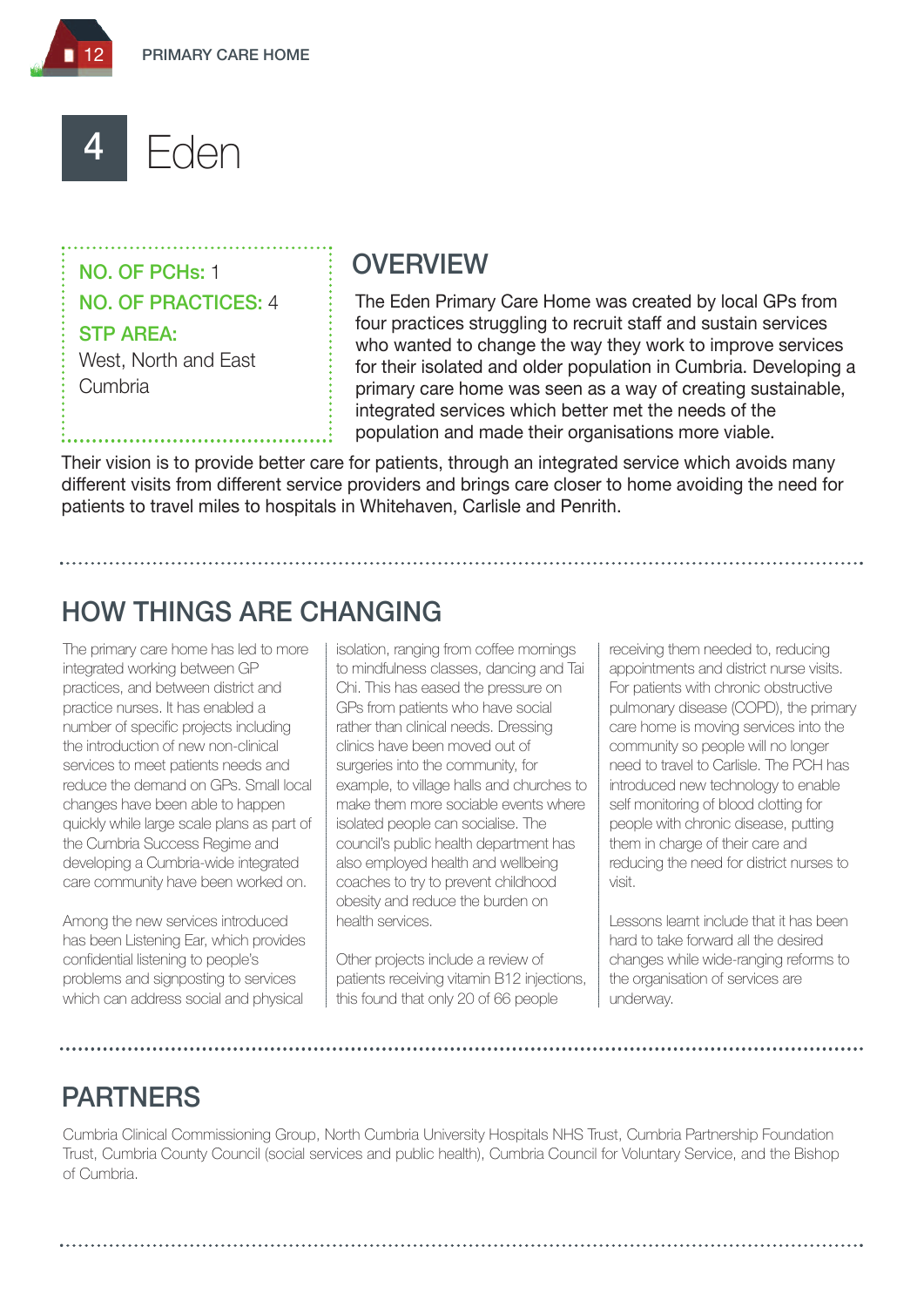# -den

#### NO. OF PCHs: 1 NO. OF PRACTICES: 4 STP AREA: West, North and East Cumbria

### **OVERVIEW**

The Eden Primary Care Home was created by local GPs from four practices struggling to recruit staff and sustain services who wanted to change the way they work to improve services for their isolated and older population in Cumbria. Developing a primary care home was seen as a way of creating sustainable, integrated services which better met the needs of the population and made their organisations more viable.

Their vision is to provide better care for patients, through an integrated service which avoids many different visits from different service providers and brings care closer to home avoiding the need for patients to travel miles to hospitals in Whitehaven, Carlisle and Penrith.

### HOW THINGS ARE CHANGING

The primary care home has led to more integrated working between GP practices, and between district and practice nurses. It has enabled a number of specific projects including the introduction of new non-clinical services to meet patients needs and reduce the demand on GPs. Small local changes have been able to happen quickly while large scale plans as part of the Cumbria Success Regime and developing a Cumbria-wide integrated care community have been worked on.

Among the new services introduced has been Listening Ear, which provides confidential listening to people's problems and signposting to services which can address social and physical

isolation, ranging from coffee mornings to mindfulness classes, dancing and Tai Chi. This has eased the pressure on GPs from patients who have social rather than clinical needs. Dressing clinics have been moved out of surgeries into the community, for example, to village halls and churches to make them more sociable events where isolated people can socialise. The council's public health department has also employed health and wellbeing coaches to try to prevent childhood obesity and reduce the burden on health services.

Other projects include a review of patients receiving vitamin B12 injections, this found that only 20 of 66 people

receiving them needed to, reducing appointments and district nurse visits. For patients with chronic obstructive pulmonary disease (COPD), the primary care home is moving services into the community so people will no longer need to travel to Carlisle. The PCH has introduced new technology to enable self monitoring of blood clotting for people with chronic disease, putting them in charge of their care and reducing the need for district nurses to visit.

Lessons learnt include that it has been hard to take forward all the desired changes while wide-ranging reforms to the organisation of services are underway.

### PARTNERS

Cumbria Clinical Commissioning Group, North Cumbria University Hospitals NHS Trust, Cumbria Partnership Foundation Trust, Cumbria County Council (social services and public health), Cumbria Council for Voluntary Service, and the Bishop of Cumbria.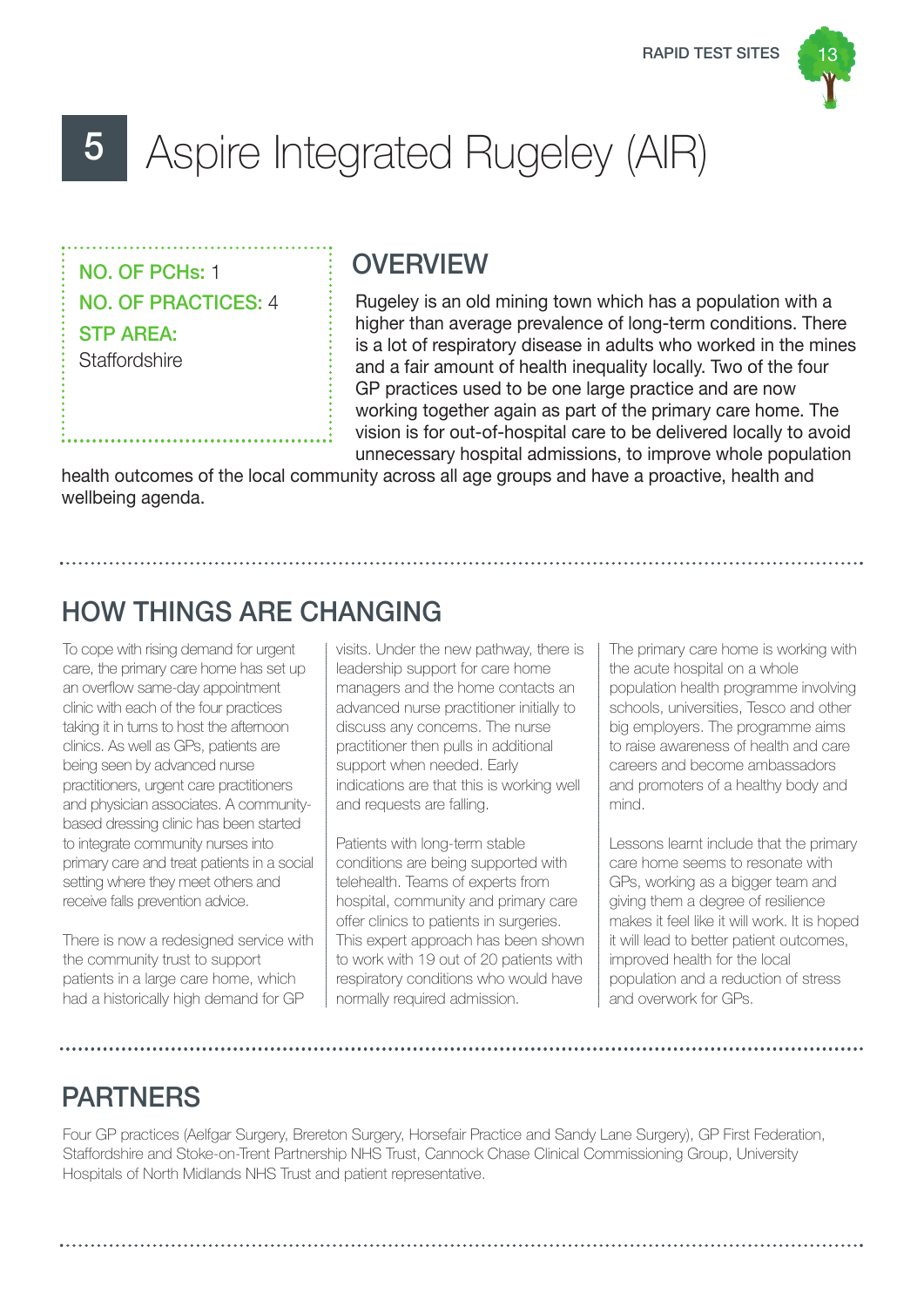

# Aspire Integrated Rugeley (AIR)

NO. OF PCHs: 1 NO. OF PRACTICES: 4 STP AREA: **Staffordshire** 

### **OVERVIEW**

Rugeley is an old mining town which has a population with a higher than average prevalence of long-term conditions. There is a lot of respiratory disease in adults who worked in the mines and a fair amount of health inequality locally. Two of the four GP practices used to be one large practice and are now working together again as part of the primary care home. The vision is for out-of-hospital care to be delivered locally to avoid unnecessary hospital admissions, to improve whole population

health outcomes of the local community across all age groups and have a proactive, health and wellbeing agenda.

### HOW THINGS ARE CHANGING

To cope with rising demand for urgent care, the primary care home has set up an overflow same-day appointment clinic with each of the four practices taking it in turns to host the afternoon clinics. As well as GPs, patients are being seen by advanced nurse practitioners, urgent care practitioners and physician associates. A communitybased dressing clinic has been started to integrate community nurses into primary care and treat patients in a social setting where they meet others and receive falls prevention advice.

There is now a redesigned service with the community trust to support patients in a large care home, which had a historically high demand for GP

visits. Under the new pathway, there is leadership support for care home managers and the home contacts an advanced nurse practitioner initially to discuss any concerns. The nurse practitioner then pulls in additional support when needed. Early indications are that this is working well and requests are falling.

Patients with long-term stable conditions are being supported with telehealth. Teams of experts from hospital, community and primary care offer clinics to patients in surgeries. This expert approach has been shown to work with 19 out of 20 patients with respiratory conditions who would have normally required admission.

The primary care home is working with the acute hospital on a whole population health programme involving schools, universities, Tesco and other big employers. The programme aims to raise awareness of health and care careers and become ambassadors and promoters of a healthy body and mind.

Lessons learnt include that the primary care home seems to resonate with GPs, working as a bigger team and giving them a degree of resilience makes it feel like it will work. It is hoped it will lead to better patient outcomes, improved health for the local population and a reduction of stress and overwork for GPs.

### PARTNERS

Four GP practices (Aelfgar Surgery, Brereton Surgery, Horsefair Practice and Sandy Lane Surgery), GP First Federation, Staffordshire and Stoke-on-Trent Partnership NHS Trust, Cannock Chase Clinical Commissioning Group, University Hospitals of North Midlands NHS Trust and patient representative.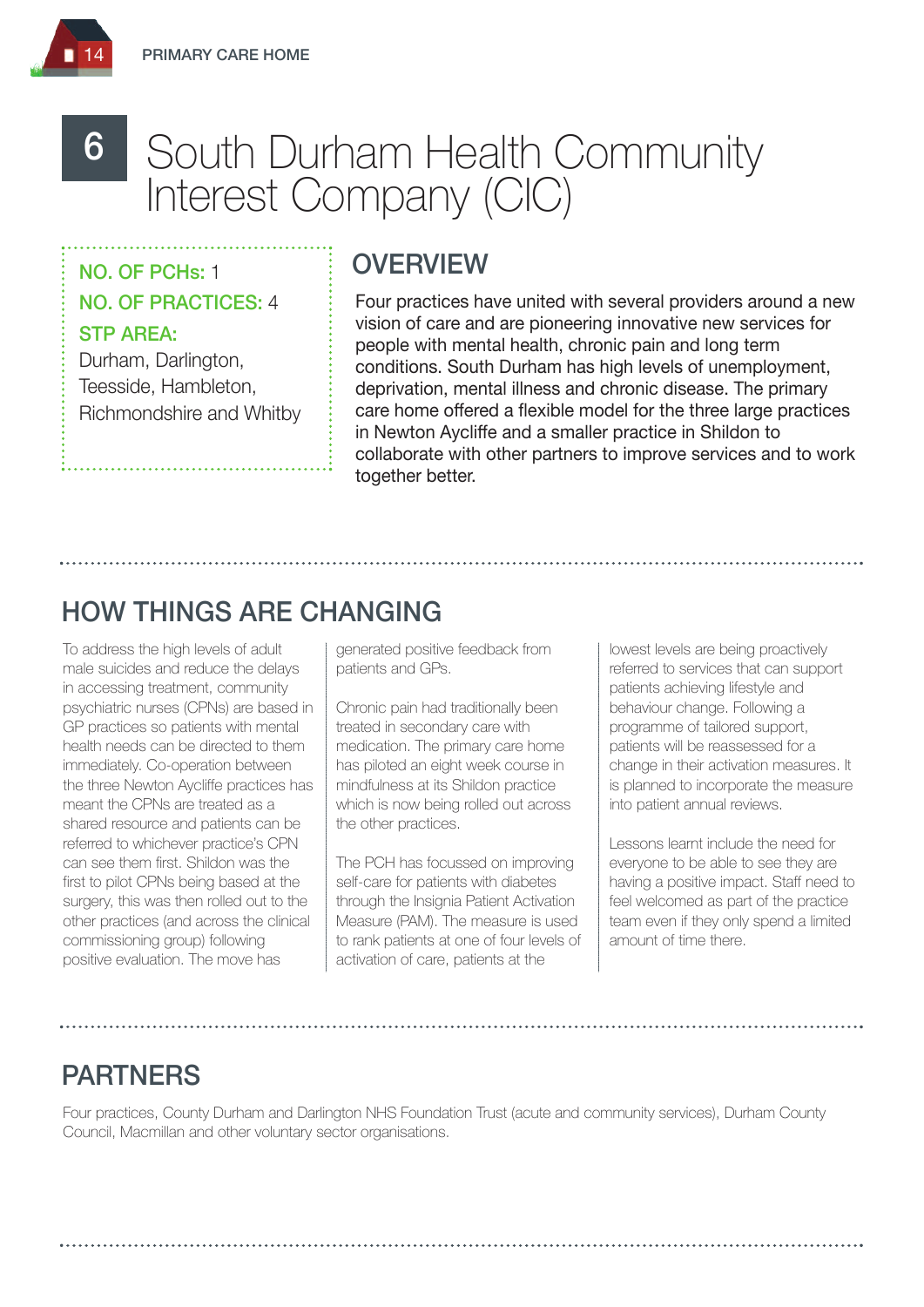

# **6** South Durham Health Community Interest Company (CIC)

#### NO. OF PCHs: 1 NO. OF PRACTICES: 4 STP AREA:

Durham, Darlington, Teesside, Hambleton, Richmondshire and Whitby

### **OVERVIEW**

Four practices have united with several providers around a new vision of care and are pioneering innovative new services for people with mental health, chronic pain and long term conditions. South Durham has high levels of unemployment, deprivation, mental illness and chronic disease. The primary care home offered a flexible model for the three large practices in Newton Aycliffe and a smaller practice in Shildon to collaborate with other partners to improve services and to work together better.

### HOW THINGS ARE CHANGING

To address the high levels of adult male suicides and reduce the delays in accessing treatment, community psychiatric nurses (CPNs) are based in GP practices so patients with mental health needs can be directed to them immediately. Co-operation between the three Newton Aycliffe practices has meant the CPNs are treated as a shared resource and patients can be referred to whichever practice's CPN can see them first. Shildon was the first to pilot CPNs being based at the surgery, this was then rolled out to the other practices (and across the clinical commissioning group) following positive evaluation. The move has

generated positive feedback from patients and GPs.

Chronic pain had traditionally been treated in secondary care with medication. The primary care home has piloted an eight week course in mindfulness at its Shildon practice which is now being rolled out across the other practices.

The PCH has focussed on improving self-care for patients with diabetes through the Insignia Patient Activation Measure (PAM). The measure is used to rank patients at one of four levels of activation of care, patients at the

lowest levels are being proactively referred to services that can support patients achieving lifestyle and behaviour change. Following a programme of tailored support, patients will be reassessed for a change in their activation measures. It is planned to incorporate the measure into patient annual reviews.

Lessons learnt include the need for everyone to be able to see they are having a positive impact. Staff need to feel welcomed as part of the practice team even if they only spend a limited amount of time there.

### PARTNERS

Four practices, County Durham and Darlington NHS Foundation Trust (acute and community services), Durham County Council, Macmillan and other voluntary sector organisations.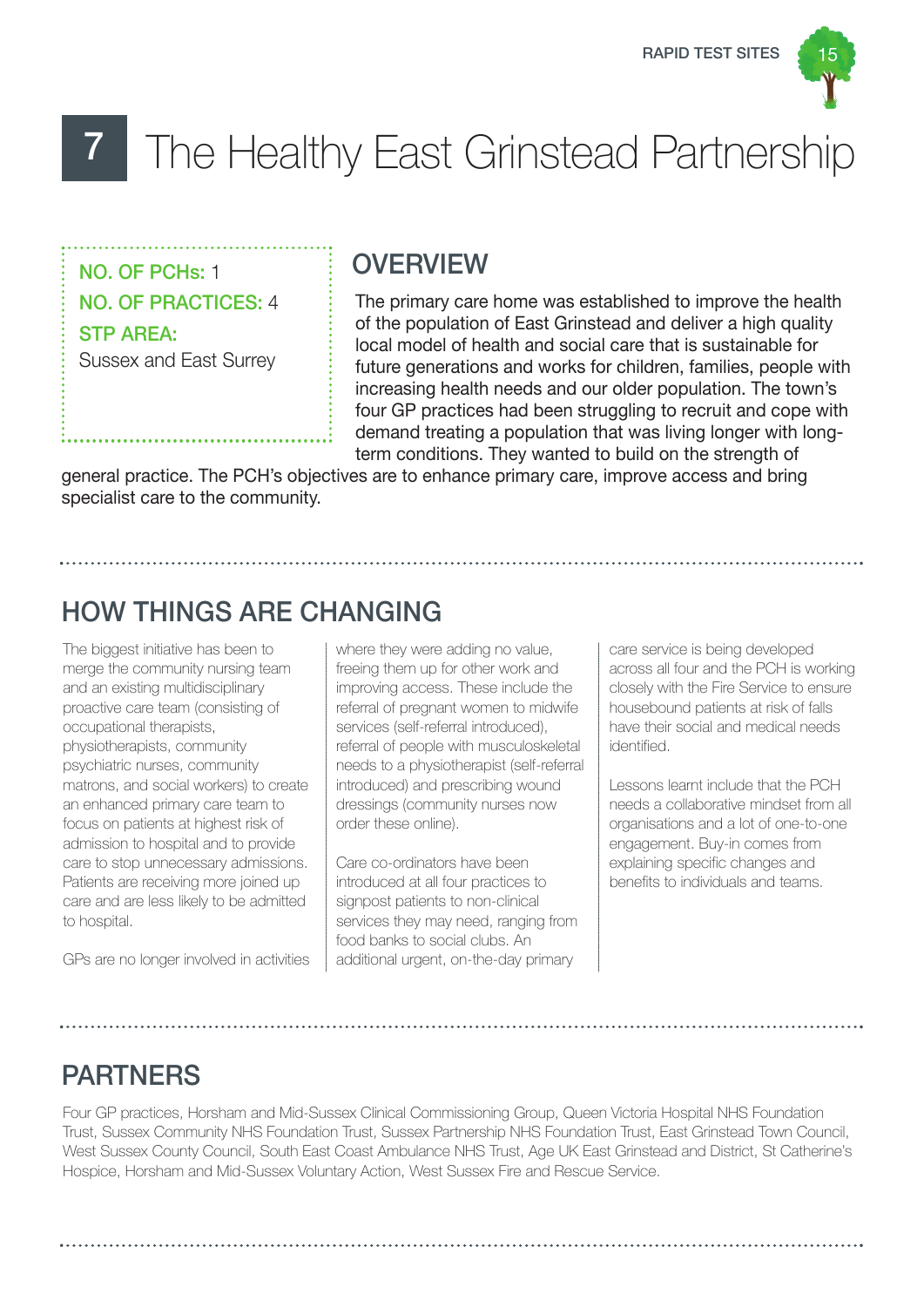

# 7 The Healthy East Grinstead Partnership

NO. OF PCHs: 1 NO. OF PRACTICES: 4 STP AREA: Sussex and East Surrey

### **OVERVIEW**

The primary care home was established to improve the health of the population of East Grinstead and deliver a high quality local model of health and social care that is sustainable for future generations and works for children, families, people with increasing health needs and our older population. The town's four GP practices had been struggling to recruit and cope with demand treating a population that was living longer with longterm conditions. They wanted to build on the strength of

general practice. The PCH's objectives are to enhance primary care, improve access and bring specialist care to the community.

### HOW THINGS ARE CHANGING

The biggest initiative has been to merge the community nursing team and an existing multidisciplinary proactive care team (consisting of occupational therapists, physiotherapists, community psychiatric nurses, community matrons, and social workers) to create an enhanced primary care team to focus on patients at highest risk of admission to hospital and to provide care to stop unnecessary admissions. Patients are receiving more joined up care and are less likely to be admitted to hospital.

GPs are no longer involved in activities

where they were adding no value. freeing them up for other work and improving access. These include the referral of pregnant women to midwife services (self-referral introduced), referral of people with musculoskeletal needs to a physiotherapist (self-referral introduced) and prescribing wound dressings (community nurses now order these online).

Care co-ordinators have been introduced at all four practices to signpost patients to non-clinical services they may need, ranging from food banks to social clubs. An additional urgent, on-the-day primary

care service is being developed across all four and the PCH is working closely with the Fire Service to ensure housebound patients at risk of falls have their social and medical needs identified.

Lessons learnt include that the PCH needs a collaborative mindset from all organisations and a lot of one-to-one engagement. Buy-in comes from explaining specific changes and benefits to individuals and teams.

### PARTNERS

Four GP practices, Horsham and Mid-Sussex Clinical Commissioning Group, Queen Victoria Hospital NHS Foundation Trust, Sussex Community NHS Foundation Trust, Sussex Partnership NHS Foundation Trust, East Grinstead Town Council, West Sussex County Council, South East Coast Ambulance NHS Trust, Age UK East Grinstead and District, St Catherine's Hospice, Horsham and Mid-Sussex Voluntary Action, West Sussex Fire and Rescue Service.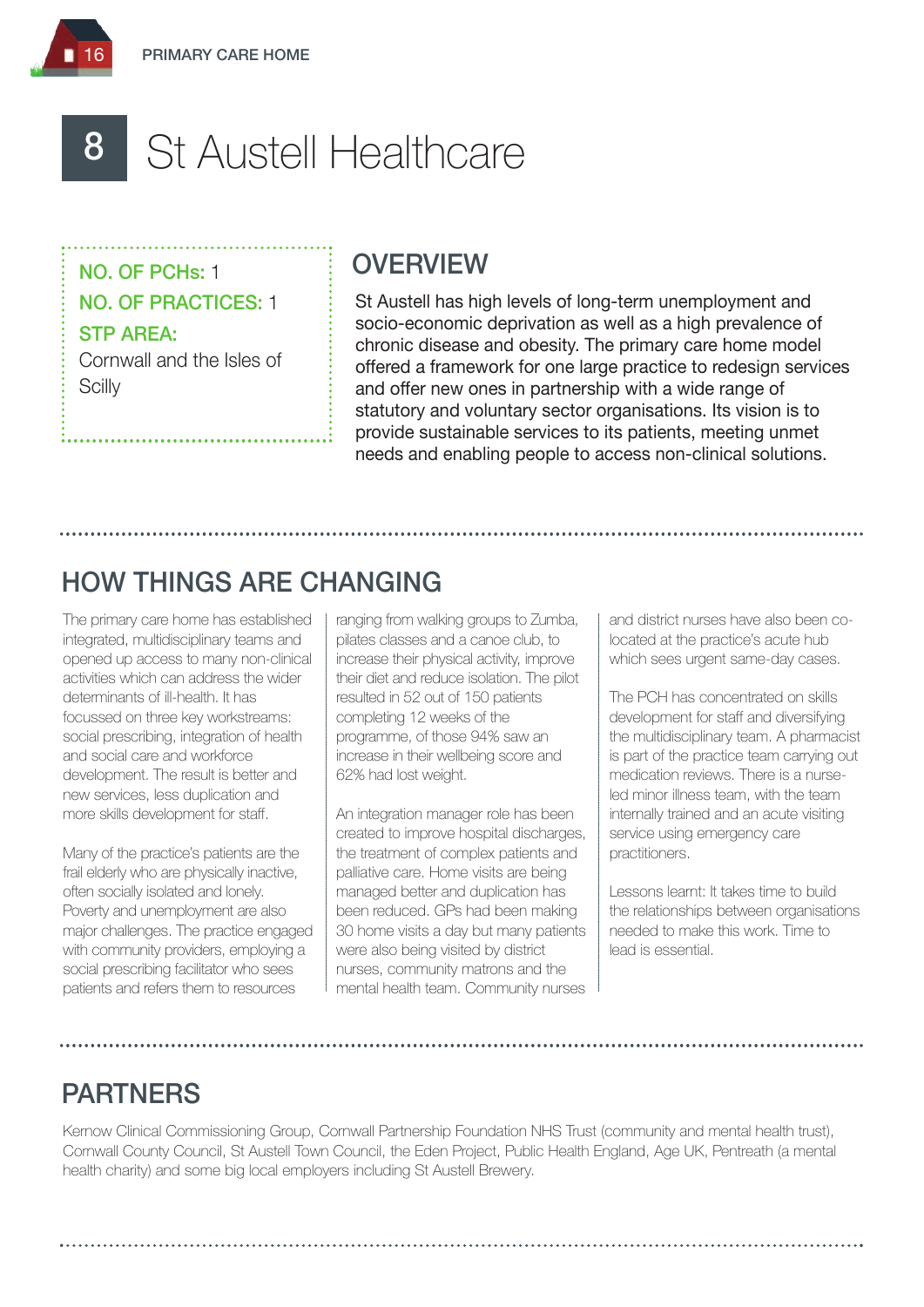

# 8 St Austell Healthcare

### NO. OF PCHs: 1 NO. OF PRACTICES: 1 STP AREA:

Cornwall and the Isles of **Scilly** 

### **OVERVIEW**

St Austell has high levels of long-term unemployment and socio-economic deprivation as well as a high prevalence of chronic disease and obesity. The primary care home model offered a framework for one large practice to redesign services and offer new ones in partnership with a wide range of statutory and voluntary sector organisations. Its vision is to provide sustainable services to its patients, meeting unmet needs and enabling people to access non-clinical solutions.

### HOW THINGS ARE CHANGING

The primary care home has established integrated, multidisciplinary teams and opened up access to many non-clinical activities which can address the wider determinants of ill-health. It has focussed on three key workstreams: social prescribing, integration of health and social care and workforce development. The result is better and new services, less duplication and more skills development for staff.

Many of the practice's patients are the frail elderly who are physically inactive, often socially isolated and lonely. Poverty and unemployment are also major challenges. The practice engaged with community providers, employing a social prescribing facilitator who sees patients and refers them to resources

ranging from walking groups to Zumba, pilates classes and a canoe club, to increase their physical activity, improve their diet and reduce isolation. The pilot resulted in 52 out of 150 patients completing 12 weeks of the programme, of those 94% saw an increase in their wellbeing score and 62% had lost weight.

An integration manager role has been created to improve hospital discharges, the treatment of complex patients and palliative care. Home visits are being managed better and duplication has been reduced. GPs had been making 30 home visits a day but many patients were also being visited by district nurses, community matrons and the mental health team. Community nurses and district nurses have also been colocated at the practice's acute hub which sees urgent same-day cases.

The PCH has concentrated on skills development for staff and diversifying the multidisciplinary team. A pharmacist is part of the practice team carrying out medication reviews. There is a nurseled minor illness team, with the team internally trained and an acute visiting service using emergency care practitioners.

Lessons learnt: It takes time to build the relationships between organisations needed to make this work. Time to lead is essential.

### PARTNERS

Kernow Clinical Commissioning Group, Cornwall Partnership Foundation NHS Trust (community and mental health trust), Cornwall County Council, St Austell Town Council, the Eden Project, Public Health England, Age UK, Pentreath (a mental health charity) and some big local employers including St Austell Brewery.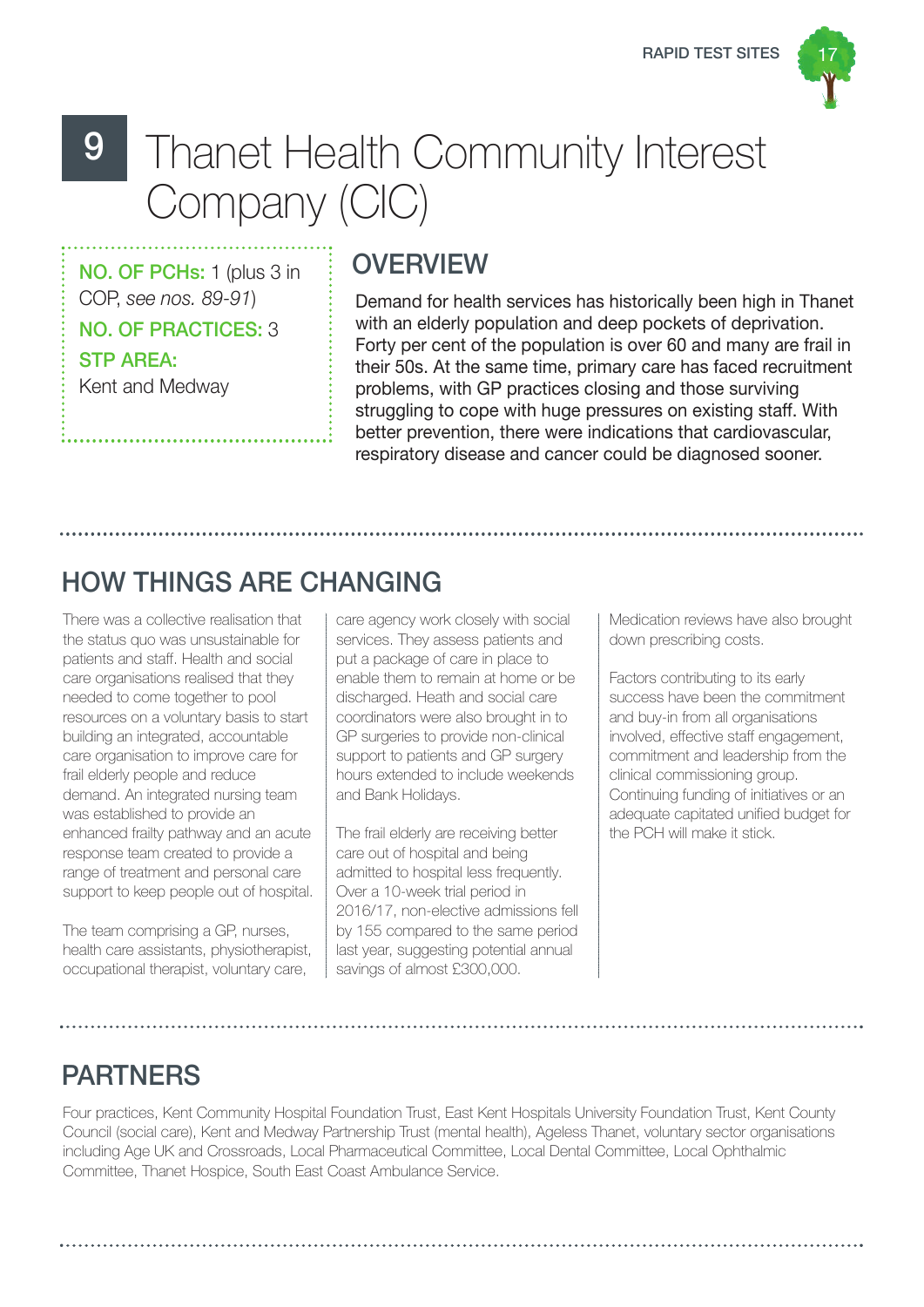

# **9** Thanet Health Community Interest Company (CIC)

NO. OF PCHs: 1 (plus 3 in COP, *see nos. 89-91*) NO. OF PRACTICES: 3 STP AREA: Kent and Medway

. . . . . . . . . . . . . . . .

### **OVERVIEW**

Demand for health services has historically been high in Thanet with an elderly population and deep pockets of deprivation. Forty per cent of the population is over 60 and many are frail in their 50s. At the same time, primary care has faced recruitment problems, with GP practices closing and those surviving struggling to cope with huge pressures on existing staff. With better prevention, there were indications that cardiovascular, respiratory disease and cancer could be diagnosed sooner.

### HOW THINGS ARE CHANGING

There was a collective realisation that the status quo was unsustainable for patients and staff. Health and social care organisations realised that they needed to come together to pool resources on a voluntary basis to start building an integrated, accountable care organisation to improve care for frail elderly people and reduce demand. An integrated nursing team was established to provide an enhanced frailty pathway and an acute response team created to provide a range of treatment and personal care support to keep people out of hospital.

The team comprising a GP, nurses, health care assistants, physiotherapist, occupational therapist, voluntary care,

care agency work closely with social services. They assess patients and put a package of care in place to enable them to remain at home or be discharged. Heath and social care coordinators were also brought in to GP surgeries to provide non-clinical support to patients and GP surgery hours extended to include weekends and Bank Holidays.

The frail elderly are receiving better care out of hospital and being admitted to hospital less frequently. Over a 10-week trial period in 2016/17, non-elective admissions fell by 155 compared to the same period last year, suggesting potential annual savings of almost £300,000.

Medication reviews have also brought down prescribing costs.

Factors contributing to its early success have been the commitment and buy-in from all organisations involved, effective staff engagement, commitment and leadership from the clinical commissioning group. Continuing funding of initiatives or an adequate capitated unified budget for the PCH will make it stick.

### PARTNERS

Four practices, Kent Community Hospital Foundation Trust, East Kent Hospitals University Foundation Trust, Kent County Council (social care), Kent and Medway Partnership Trust (mental health), Ageless Thanet, voluntary sector organisations including Age UK and Crossroads, Local Pharmaceutical Committee, Local Dental Committee, Local Ophthalmic Committee, Thanet Hospice, South East Coast Ambulance Service.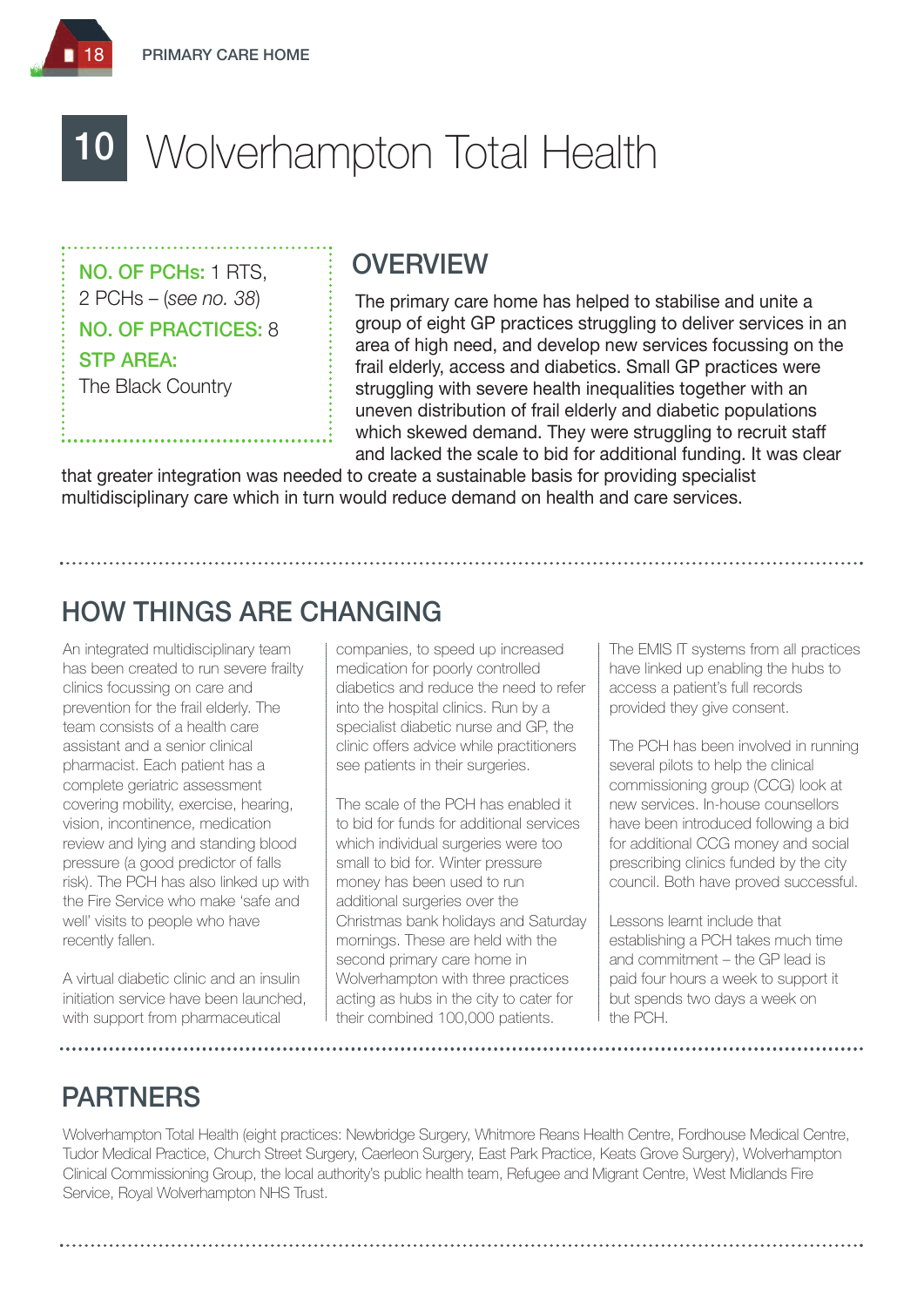

# 10 Wolverhampton Total Health

NO. OF PCHs: 1 RTS, 2 PCHs – (*see no. 38*) NO. OF PRACTICES: 8

#### STP AREA:

The Black Country

### **OVERVIEW**

The primary care home has helped to stabilise and unite a group of eight GP practices struggling to deliver services in an area of high need, and develop new services focussing on the frail elderly, access and diabetics. Small GP practices were struggling with severe health inequalities together with an uneven distribution of frail elderly and diabetic populations which skewed demand. They were struggling to recruit staff and lacked the scale to bid for additional funding. It was clear

that greater integration was needed to create a sustainable basis for providing specialist multidisciplinary care which in turn would reduce demand on health and care services.

### HOW THINGS ARE CHANGING

An integrated multidisciplinary team has been created to run severe frailty clinics focussing on care and prevention for the frail elderly. The team consists of a health care assistant and a senior clinical pharmacist. Each patient has a complete geriatric assessment covering mobility, exercise, hearing, vision, incontinence, medication review and lying and standing blood pressure (a good predictor of falls risk). The PCH has also linked up with the Fire Service who make 'safe and well' visits to people who have recently fallen.

A virtual diabetic clinic and an insulin initiation service have been launched, with support from pharmaceutical

companies, to speed up increased medication for poorly controlled diabetics and reduce the need to refer into the hospital clinics. Run by a specialist diabetic nurse and GP, the clinic offers advice while practitioners see patients in their surgeries.

The scale of the PCH has enabled it to bid for funds for additional services which individual surgeries were too small to bid for. Winter pressure money has been used to run additional surgeries over the Christmas bank holidays and Saturday mornings. These are held with the second primary care home in Wolverhampton with three practices acting as hubs in the city to cater for their combined 100,000 patients.

The EMIS IT systems from all practices have linked up enabling the hubs to access a patient's full records provided they give consent.

The PCH has been involved in running several pilots to help the clinical commissioning group (CCG) look at new services. In-house counsellors have been introduced following a bid for additional CCG money and social prescribing clinics funded by the city council. Both have proved successful.

Lessons learnt include that establishing a PCH takes much time and commitment – the GP lead is paid four hours a week to support it but spends two days a week on the PCH.

### **PARTNERS**

Wolverhampton Total Health (eight practices: Newbridge Surgery, Whitmore Reans Health Centre, Fordhouse Medical Centre, Tudor Medical Practice, Church Street Surgery, Caerleon Surgery, East Park Practice, Keats Grove Surgery), Wolverhampton Clinical Commissioning Group, the local authority's public health team, Refugee and Migrant Centre, West Midlands Fire Service, Royal Wolverhampton NHS Trust.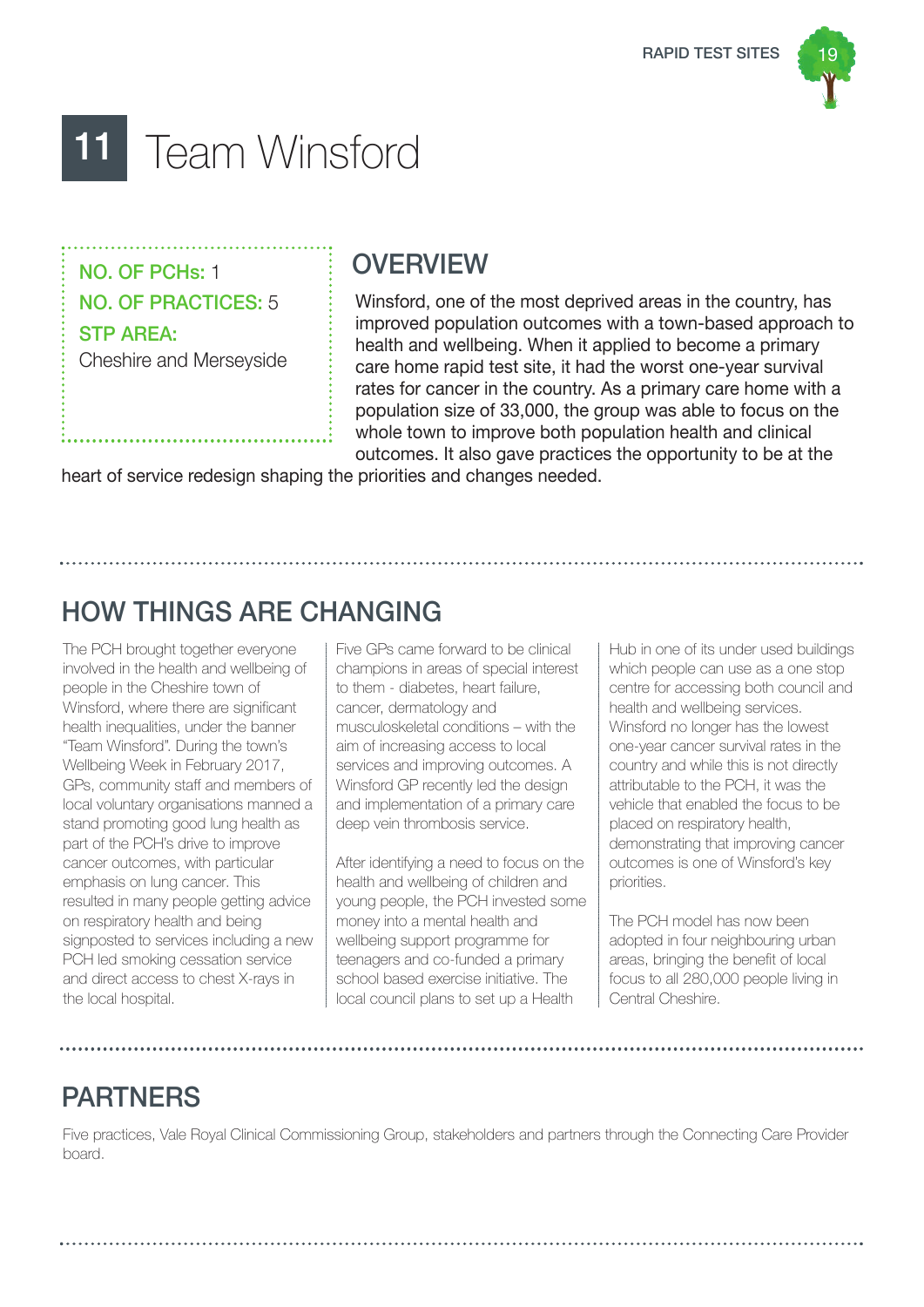



### NO. OF PCHs: 1 NO. OF PRACTICES: 5 STP AREA: Cheshire and Merseyside

### **OVERVIEW**

Winsford, one of the most deprived areas in the country, has improved population outcomes with a town-based approach to health and wellbeing. When it applied to become a primary care home rapid test site, it had the worst one-year survival rates for cancer in the country. As a primary care home with a population size of 33,000, the group was able to focus on the whole town to improve both population health and clinical outcomes. It also gave practices the opportunity to be at the

heart of service redesign shaping the priorities and changes needed.

### HOW THINGS ARE CHANGING

The PCH brought together everyone involved in the health and wellbeing of people in the Cheshire town of Winsford, where there are significant health inequalities, under the banner "Team Winsford". During the town's Wellbeing Week in February 2017, GPs, community staff and members of local voluntary organisations manned a stand promoting good lung health as part of the PCH's drive to improve cancer outcomes, with particular emphasis on lung cancer. This resulted in many people getting advice on respiratory health and being signposted to services including a new PCH led smoking cessation service and direct access to chest X-rays in the local hospital.

Five GPs came forward to be clinical champions in areas of special interest to them - diabetes, heart failure, cancer, dermatology and musculoskeletal conditions – with the aim of increasing access to local services and improving outcomes. A Winsford GP recently led the design and implementation of a primary care deep vein thrombosis service.

After identifying a need to focus on the health and wellbeing of children and young people, the PCH invested some money into a mental health and wellbeing support programme for teenagers and co-funded a primary school based exercise initiative. The local council plans to set up a Health

Hub in one of its under used buildings which people can use as a one stop centre for accessing both council and health and wellbeing services. Winsford no longer has the lowest one-year cancer survival rates in the country and while this is not directly attributable to the PCH, it was the vehicle that enabled the focus to be placed on respiratory health, demonstrating that improving cancer outcomes is one of Winsford's key priorities.

The PCH model has now been adopted in four neighbouring urban areas, bringing the benefit of local focus to all 280,000 people living in Central Cheshire.

### PARTNERS

Five practices, Vale Royal Clinical Commissioning Group, stakeholders and partners through the Connecting Care Provider board.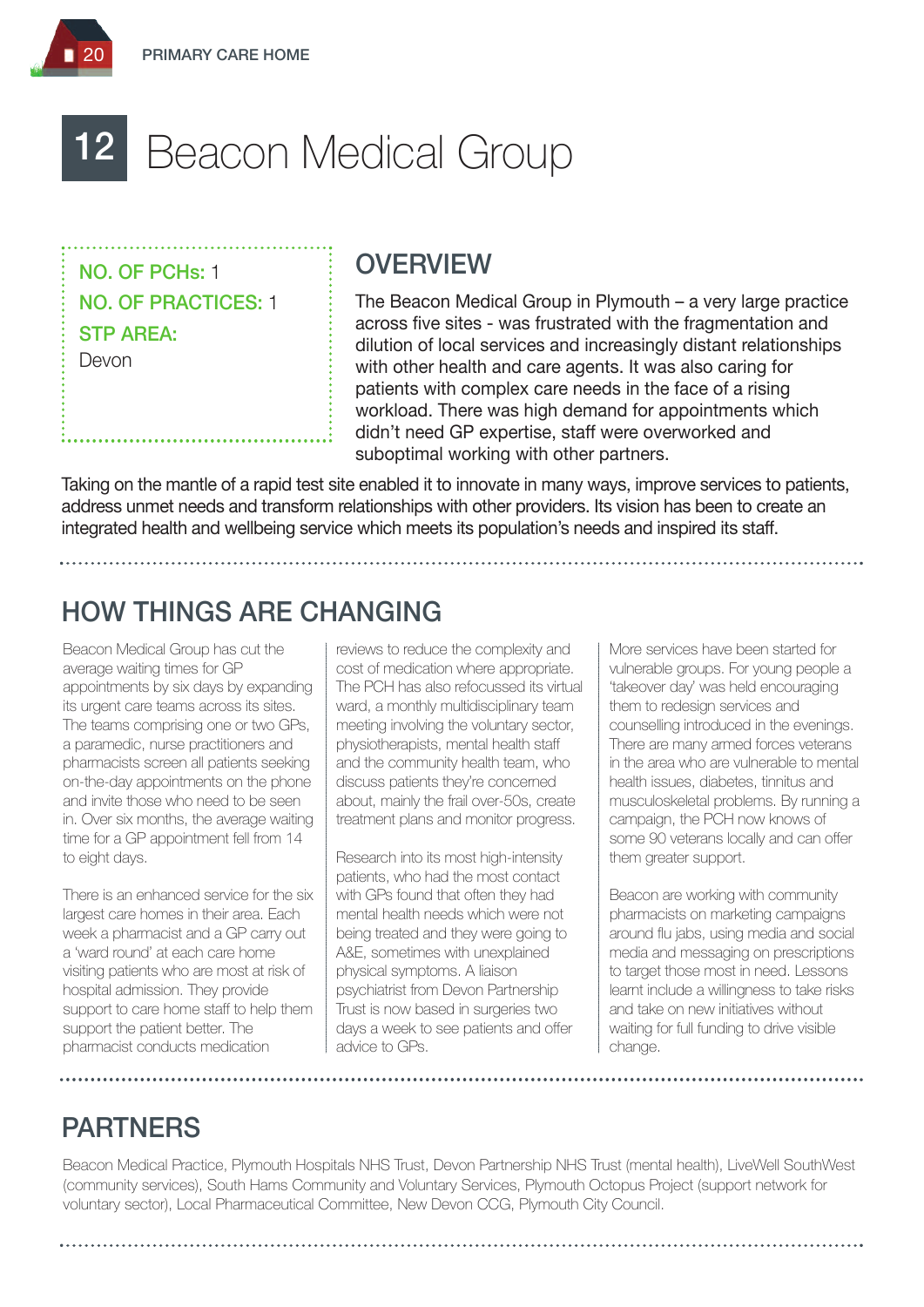# **Beacon Medical Group**

NO. OF PCHs: 1 NO. OF PRACTICES: 1 STP AREA: Devon

### **OVERVIEW**

The Beacon Medical Group in Plymouth – a very large practice across five sites - was frustrated with the fragmentation and dilution of local services and increasingly distant relationships with other health and care agents. It was also caring for patients with complex care needs in the face of a rising workload. There was high demand for appointments which didn't need GP expertise, staff were overworked and suboptimal working with other partners.

Taking on the mantle of a rapid test site enabled it to innovate in many ways, improve services to patients, address unmet needs and transform relationships with other providers. Its vision has been to create an integrated health and wellbeing service which meets its population's needs and inspired its staff.

### HOW THINGS ARE CHANGING

Beacon Medical Group has cut the average waiting times for GP appointments by six days by expanding its urgent care teams across its sites. The teams comprising one or two GPs, a paramedic, nurse practitioners and pharmacists screen all patients seeking on-the-day appointments on the phone and invite those who need to be seen in. Over six months, the average waiting time for a GP appointment fell from 14 to eight days.

There is an enhanced service for the six largest care homes in their area. Each week a pharmacist and a GP carry out a 'ward round' at each care home visiting patients who are most at risk of hospital admission. They provide support to care home staff to help them support the patient better. The pharmacist conducts medication

reviews to reduce the complexity and cost of medication where appropriate. The PCH has also refocussed its virtual ward, a monthly multidisciplinary team meeting involving the voluntary sector, physiotherapists, mental health staff and the community health team, who discuss patients they're concerned about, mainly the frail over-50s, create treatment plans and monitor progress.

Research into its most high-intensity patients, who had the most contact with GPs found that often they had mental health needs which were not being treated and they were going to A&E, sometimes with unexplained physical symptoms. A liaison psychiatrist from Devon Partnership Trust is now based in surgeries two days a week to see patients and offer advice to GPs.

More services have been started for vulnerable groups. For young people a 'takeover day' was held encouraging them to redesign services and counselling introduced in the evenings. There are many armed forces veterans in the area who are vulnerable to mental health issues, diabetes, tinnitus and musculoskeletal problems. By running a campaign, the PCH now knows of some 90 veterans locally and can offer them greater support.

Beacon are working with community pharmacists on marketing campaigns around flu jabs, using media and social media and messaging on prescriptions to target those most in need. Lessons learnt include a willingness to take risks and take on new initiatives without waiting for full funding to drive visible change.

### PARTNERS

Beacon Medical Practice, Plymouth Hospitals NHS Trust, Devon Partnership NHS Trust (mental health), LiveWell SouthWest (community services), South Hams Community and Voluntary Services, Plymouth Octopus Project (support network for voluntary sector), Local Pharmaceutical Committee, New Devon CCG, Plymouth City Council.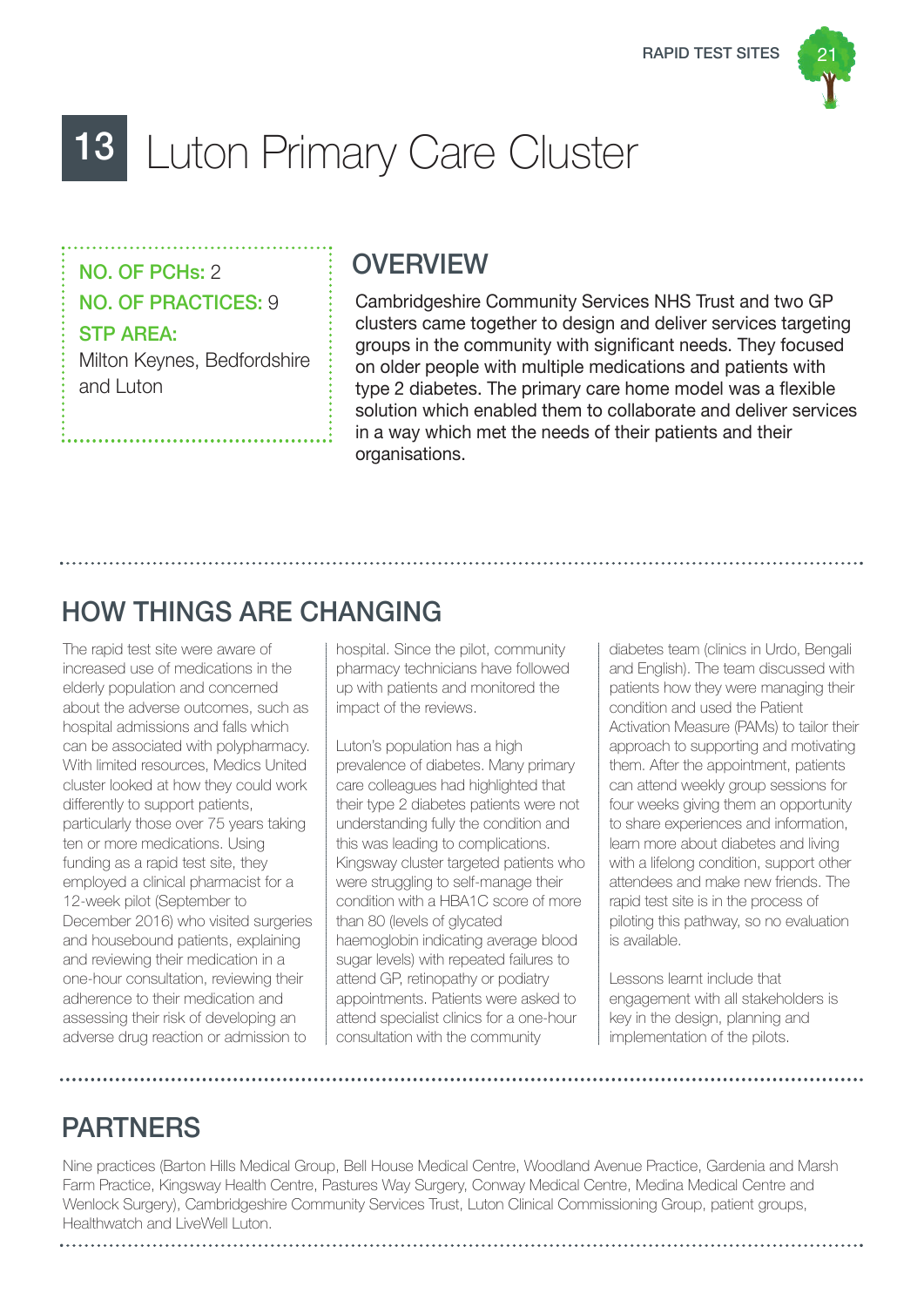

# 13 Luton Primary Care Cluster

#### NO. OF PCHs: 2 NO. OF PRACTICES: 9 STP AREA:

. . . . . . . . . . . . . .

Milton Keynes, Bedfordshire and Luton

### **OVERVIEW**

Cambridgeshire Community Services NHS Trust and two GP clusters came together to design and deliver services targeting groups in the community with significant needs. They focused on older people with multiple medications and patients with type 2 diabetes. The primary care home model was a flexible solution which enabled them to collaborate and deliver services in a way which met the needs of their patients and their organisations.

### HOW THINGS ARE CHANGING

The rapid test site were aware of increased use of medications in the elderly population and concerned about the adverse outcomes, such as hospital admissions and falls which can be associated with polypharmacy. With limited resources, Medics United cluster looked at how they could work differently to support patients, particularly those over 75 years taking ten or more medications. Using funding as a rapid test site, they employed a clinical pharmacist for a 12-week pilot (September to December 2016) who visited surgeries and housebound patients, explaining and reviewing their medication in a one-hour consultation, reviewing their adherence to their medication and assessing their risk of developing an adverse drug reaction or admission to

hospital. Since the pilot, community pharmacy technicians have followed up with patients and monitored the impact of the reviews.

Luton's population has a high prevalence of diabetes. Many primary care colleagues had highlighted that their type 2 diabetes patients were not understanding fully the condition and this was leading to complications. Kingsway cluster targeted patients who were struggling to self-manage their condition with a HBA1C score of more than 80 (levels of glycated haemoglobin indicating average blood sugar levels) with repeated failures to attend GP, retinopathy or podiatry appointments. Patients were asked to attend specialist clinics for a one-hour consultation with the community

diabetes team (clinics in Urdo, Bengali and English). The team discussed with patients how they were managing their condition and used the Patient Activation Measure (PAMs) to tailor their approach to supporting and motivating them. After the appointment, patients can attend weekly group sessions for four weeks giving them an opportunity to share experiences and information, learn more about diabetes and living with a lifelong condition, support other attendees and make new friends. The rapid test site is in the process of piloting this pathway, so no evaluation is available.

Lessons learnt include that engagement with all stakeholders is key in the design, planning and implementation of the pilots.

### PARTNERS

Nine practices (Barton Hills Medical Group, Bell House Medical Centre, Woodland Avenue Practice, Gardenia and Marsh Farm Practice, Kingsway Health Centre, Pastures Way Surgery, Conway Medical Centre, Medina Medical Centre and Wenlock Surgery), Cambridgeshire Community Services Trust, Luton Clinical Commissioning Group, patient groups, Healthwatch and LiveWell Luton.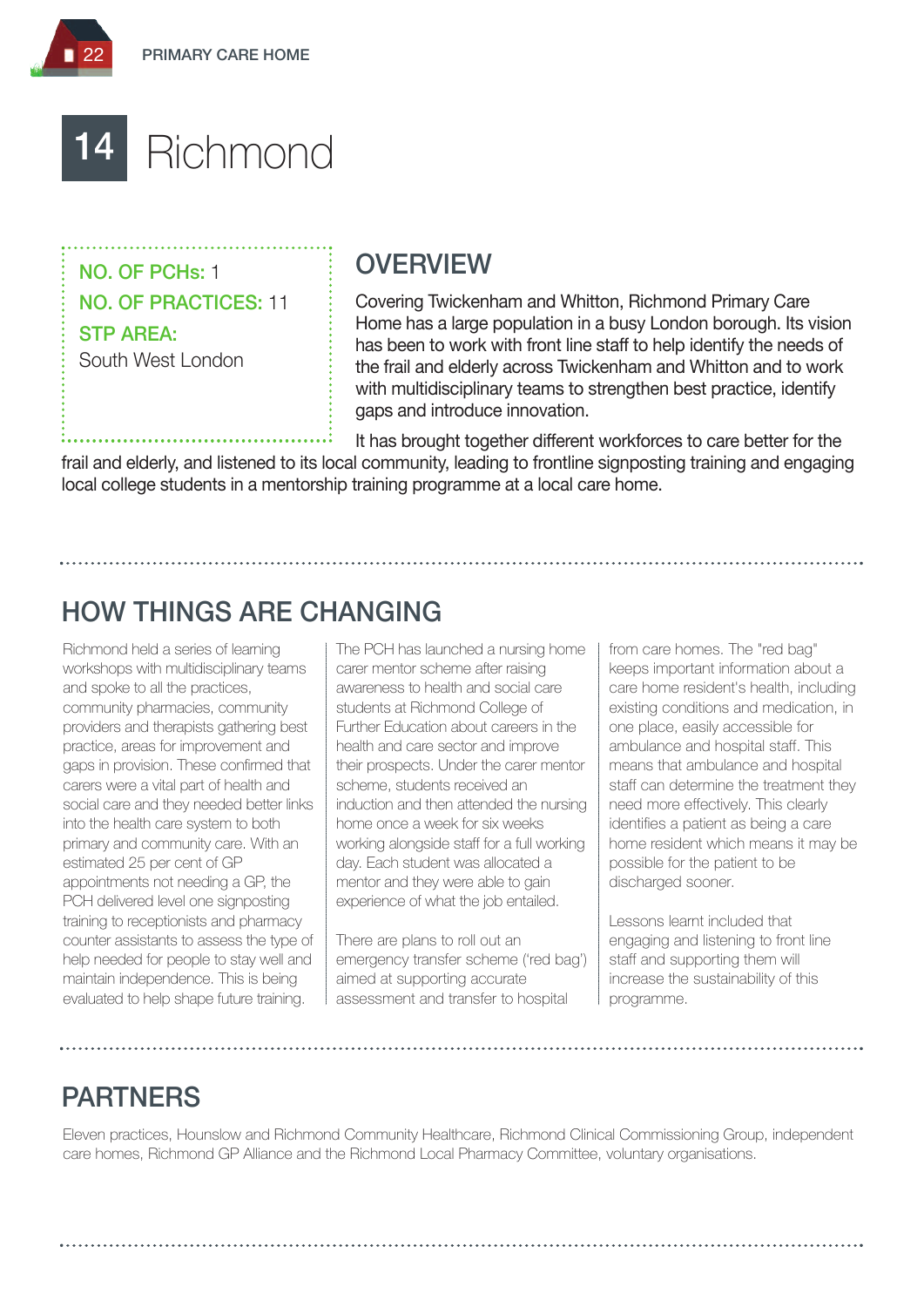# **Richmond**

### NO. OF PCHs: 1 NO. OF PRACTICES: 11 STP AREA: South West London

### **OVERVIEW**

Covering Twickenham and Whitton, Richmond Primary Care Home has a large population in a busy London borough. Its vision has been to work with front line staff to help identify the needs of the frail and elderly across Twickenham and Whitton and to work with multidisciplinary teams to strengthen best practice, identify gaps and introduce innovation.

It has brought together different workforces to care better for the frail and elderly, and listened to its local community, leading to frontline signposting training and engaging local college students in a mentorship training programme at a local care home.

### HOW THINGS ARE CHANGING

Richmond held a series of learning workshops with multidisciplinary teams and spoke to all the practices, community pharmacies, community providers and therapists gathering best practice, areas for improvement and gaps in provision. These confirmed that carers were a vital part of health and social care and they needed better links into the health care system to both primary and community care. With an estimated 25 per cent of GP appointments not needing a GP, the PCH delivered level one signposting training to receptionists and pharmacy counter assistants to assess the type of help needed for people to stay well and maintain independence. This is being evaluated to help shape future training.

The PCH has launched a nursing home carer mentor scheme after raising awareness to health and social care students at Richmond College of Further Education about careers in the health and care sector and improve their prospects. Under the carer mentor scheme, students received an induction and then attended the nursing home once a week for six weeks working alongside staff for a full working day. Each student was allocated a mentor and they were able to gain experience of what the job entailed.

There are plans to roll out an emergency transfer scheme ('red bag') aimed at supporting accurate assessment and transfer to hospital

from care homes. The "red bag" keeps important information about a care home resident's health, including existing conditions and medication, in one place, easily accessible for ambulance and hospital staff. This means that ambulance and hospital staff can determine the treatment they need more effectively. This clearly identifies a patient as being a care home resident which means it may be possible for the patient to be discharged sooner.

Lessons learnt included that engaging and listening to front line staff and supporting them will increase the sustainability of this programme.

### **PARTNERS**

Eleven practices, Hounslow and Richmond Community Healthcare, Richmond Clinical Commissioning Group, independent care homes, Richmond GP Alliance and the Richmond Local Pharmacy Committee, voluntary organisations.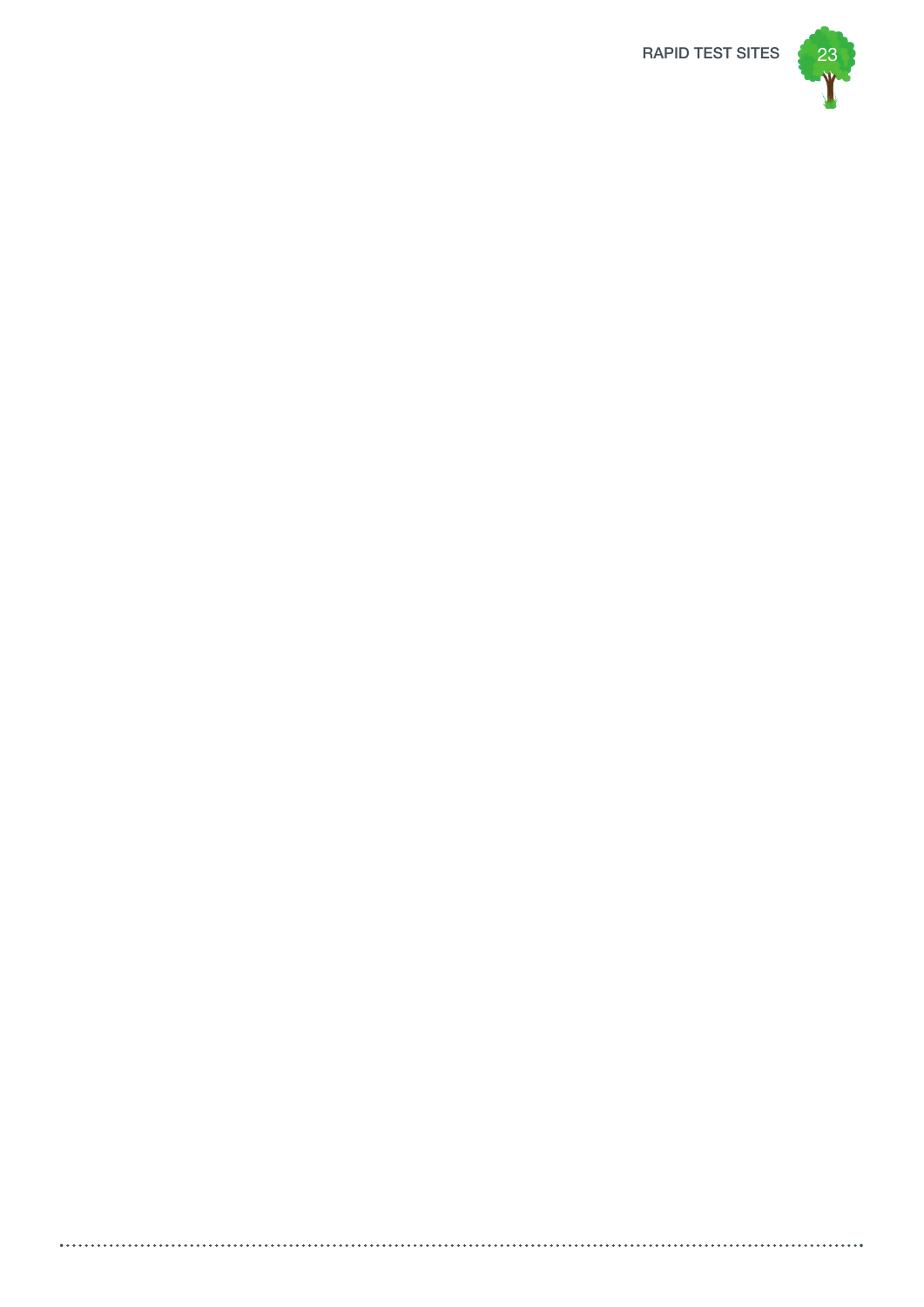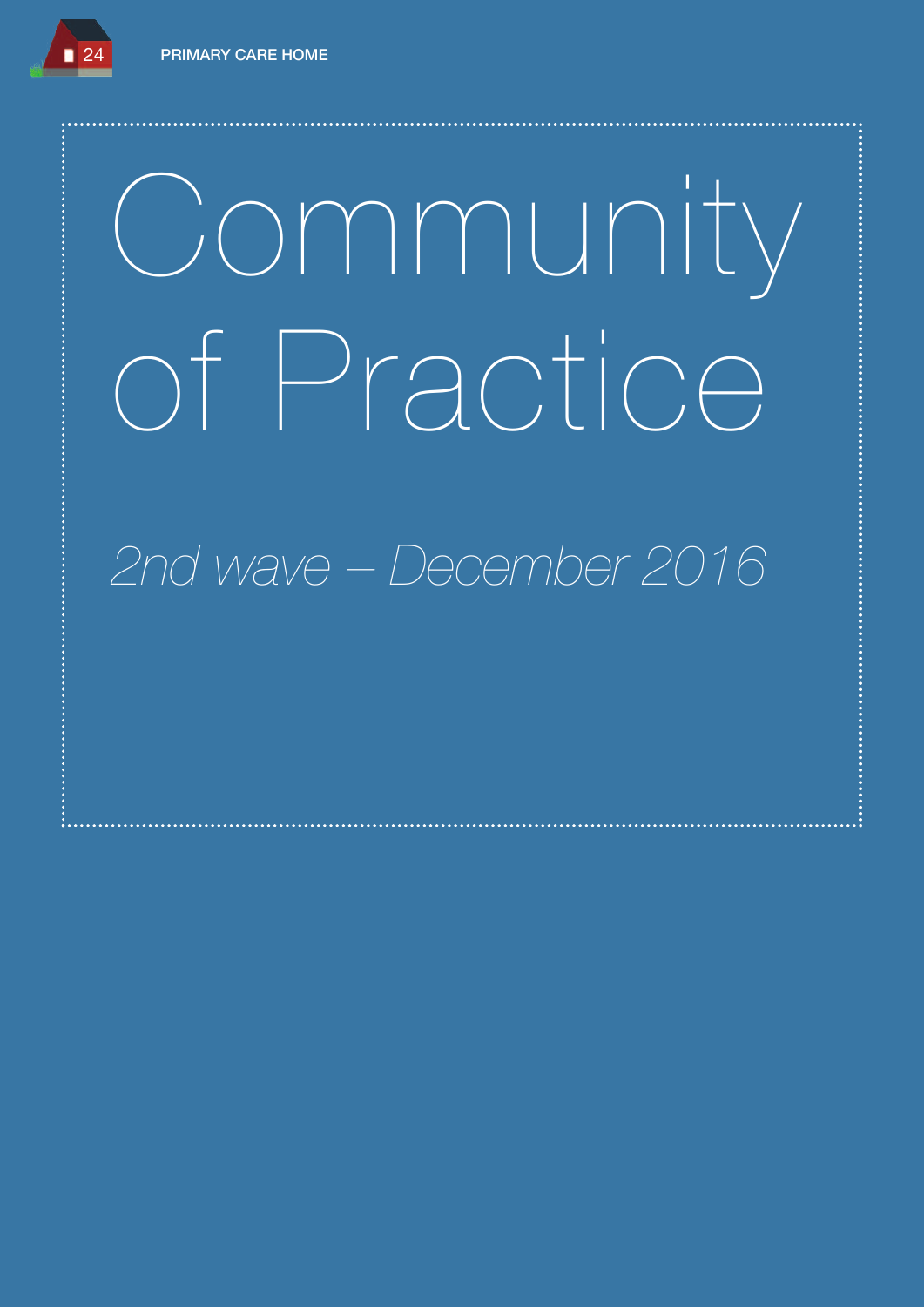24

# Community of Practice

*2nd wave – December 2016*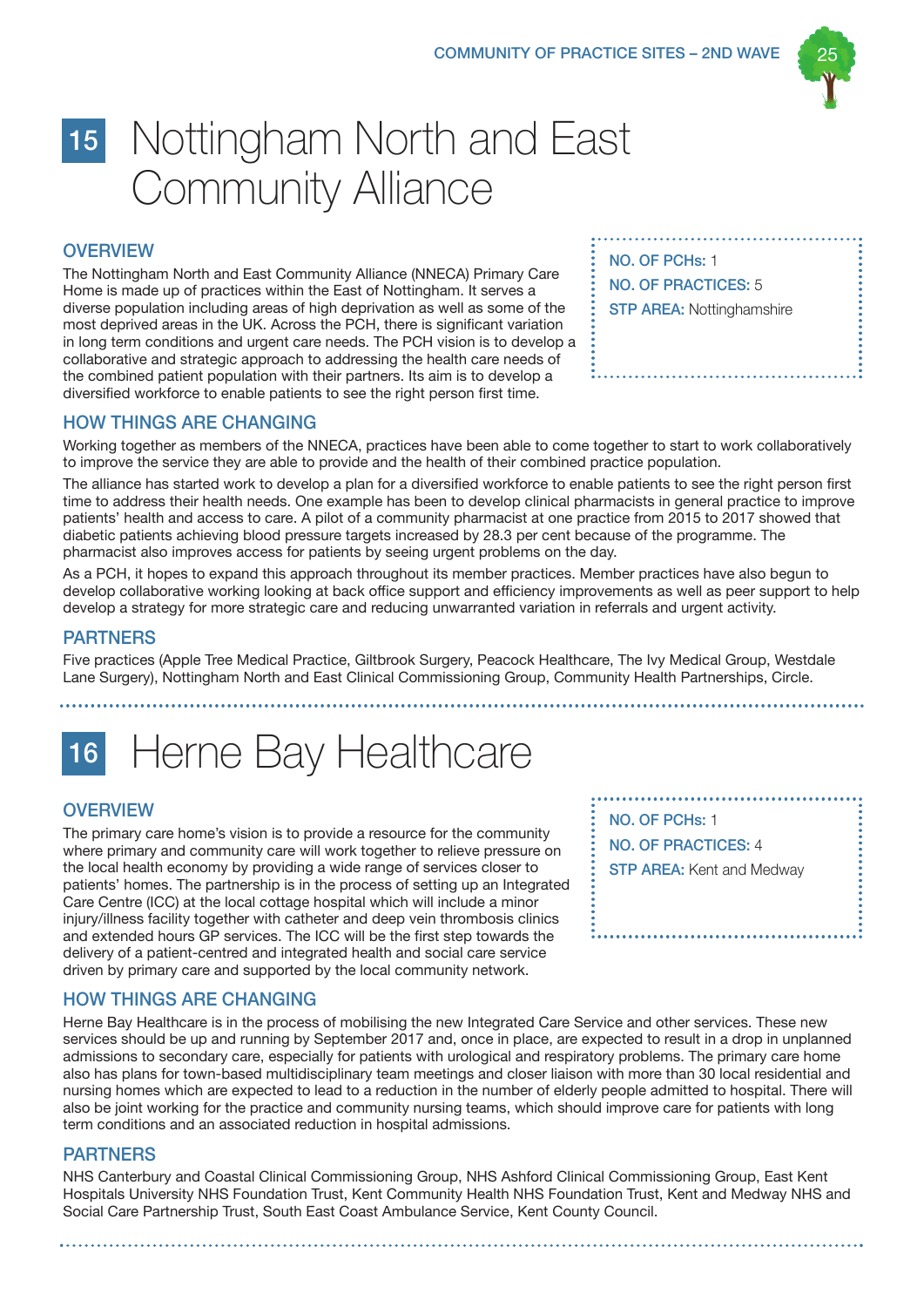

The Nottingham North and East Community Alliance (NNECA) Primary Care Home is made up of practices within the East of Nottingham. It serves a diverse population including areas of high deprivation as well as some of the most deprived areas in the UK. Across the PCH, there is significant variation in long term conditions and urgent care needs. The PCH vision is to develop a collaborative and strategic approach to addressing the health care needs of the combined patient population with their partners. Its aim is to develop a diversified workforce to enable patients to see the right person first time.

#### HOW THINGS ARE CHANGING

Working together as members of the NNECA, practices have been able to come together to start to work collaboratively to improve the service they are able to provide and the health of their combined practice population.

The alliance has started work to develop a plan for a diversified workforce to enable patients to see the right person first time to address their health needs. One example has been to develop clinical pharmacists in general practice to improve patients' health and access to care. A pilot of a community pharmacist at one practice from 2015 to 2017 showed that diabetic patients achieving blood pressure targets increased by 28.3 per cent because of the programme. The pharmacist also improves access for patients by seeing urgent problems on the day.

As a PCH, it hopes to expand this approach throughout its member practices. Member practices have also begun to develop collaborative working looking at back office support and efficiency improvements as well as peer support to help develop a strategy for more strategic care and reducing unwarranted variation in referrals and urgent activity.

#### **PARTNERS**

Five practices (Apple Tree Medical Practice, Giltbrook Surgery, Peacock Healthcare, The Ivy Medical Group, Westdale Lane Surgery), Nottingham North and East Clinical Commissioning Group, Community Health Partnerships, Circle.

# Herne Bay Healthcare

#### **OVERVIEW**

The primary care home's vision is to provide a resource for the community where primary and community care will work together to relieve pressure on the local health economy by providing a wide range of services closer to patients' homes. The partnership is in the process of setting up an Integrated Care Centre (ICC) at the local cottage hospital which will include a minor injury/illness facility together with catheter and deep vein thrombosis clinics and extended hours GP services. The ICC will be the first step towards the delivery of a patient-centred and integrated health and social care service driven by primary care and supported by the local community network.

#### HOW THINGS ARE CHANGING

Herne Bay Healthcare is in the process of mobilising the new Integrated Care Service and other services. These new services should be up and running by September 2017 and, once in place, are expected to result in a drop in unplanned admissions to secondary care, especially for patients with urological and respiratory problems. The primary care home also has plans for town-based multidisciplinary team meetings and closer liaison with more than 30 local residential and nursing homes which are expected to lead to a reduction in the number of elderly people admitted to hospital. There will also be joint working for the practice and community nursing teams, which should improve care for patients with long term conditions and an associated reduction in hospital admissions.

#### **PARTNERS**

NHS Canterbury and Coastal Clinical Commissioning Group, NHS Ashford Clinical Commissioning Group, East Kent Hospitals University NHS Foundation Trust, Kent Community Health NHS Foundation Trust, Kent and Medway NHS and Social Care Partnership Trust, South East Coast Ambulance Service, Kent County Council.

NO. OF PCHs: 1

NO. OF PRACTICES: 4 **STP AREA: Kent and Medway** 

NO. OF PCHs: 1 NO. OF PRACTICES: 5 **STP AREA: Nottinghamshire** 

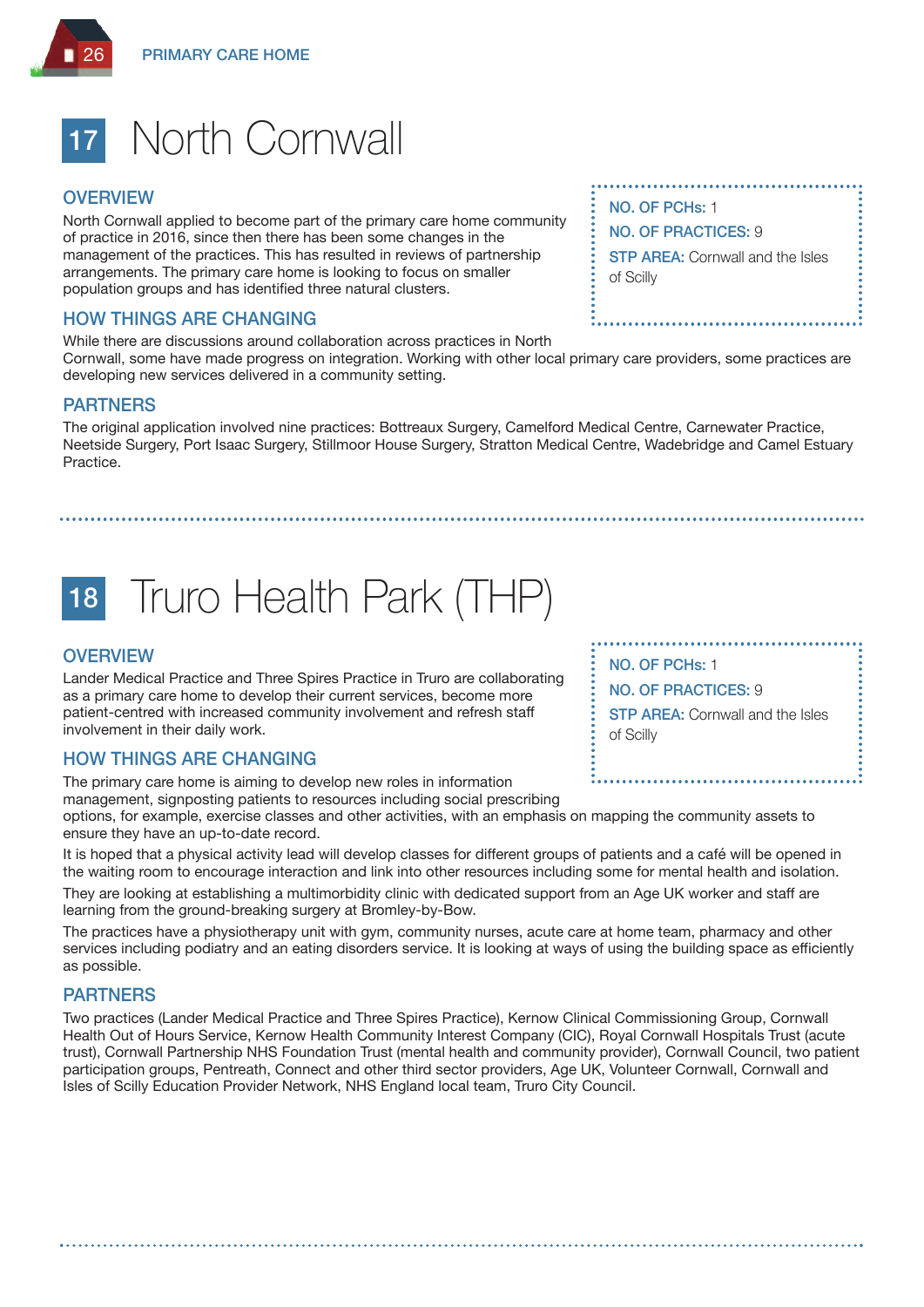# North Cornwall

#### **OVERVIEW**

North Cornwall applied to become part of the primary care home community of practice in 2016, since then there has been some changes in the management of the practices. This has resulted in reviews of partnership arrangements. The primary care home is looking to focus on smaller population groups and has identified three natural clusters.

#### HOW THINGS ARE CHANGING

While there are discussions around collaboration across practices in North

Cornwall, some have made progress on integration. Working with other local primary care providers, some practices are developing new services delivered in a community setting.

#### PARTNERS

The original application involved nine practices: Bottreaux Surgery, Camelford Medical Centre, Carnewater Practice, Neetside Surgery, Port Isaac Surgery, Stillmoor House Surgery, Stratton Medical Centre, Wadebridge and Camel Estuary Practice.

# <sup>18</sup> Truro Health Park (THP)

#### **OVERVIEW**

Lander Medical Practice and Three Spires Practice in Truro are collaborating as a primary care home to develop their current services, become more patient-centred with increased community involvement and refresh staff involvement in their daily work.

#### HOW THINGS ARE CHANGING

The primary care home is aiming to develop new roles in information management, signposting patients to resources including social prescribing

options, for example, exercise classes and other activities, with an emphasis on mapping the community assets to ensure they have an up-to-date record.

It is hoped that a physical activity lead will develop classes for different groups of patients and a café will be opened in the waiting room to encourage interaction and link into other resources including some for mental health and isolation.

They are looking at establishing a multimorbidity clinic with dedicated support from an Age UK worker and staff are learning from the ground-breaking surgery at Bromley-by-Bow.

The practices have a physiotherapy unit with gym, community nurses, acute care at home team, pharmacy and other services including podiatry and an eating disorders service. It is looking at ways of using the building space as efficiently as possible.

#### PARTNERS

Two practices (Lander Medical Practice and Three Spires Practice), Kernow Clinical Commissioning Group, Cornwall Health Out of Hours Service, Kernow Health Community Interest Company (CIC), Royal Cornwall Hospitals Trust (acute trust), Cornwall Partnership NHS Foundation Trust (mental health and community provider), Cornwall Council, two patient participation groups, Pentreath, Connect and other third sector providers, Age UK, Volunteer Cornwall, Cornwall and Isles of Scilly Education Provider Network, NHS England local team, Truro City Council.

NO. OF PCHs: 1 NO. OF PRACTICES: 9 **STP AREA: Cornwall and the Isles** of Scilly

NO. OF PCHs: 1 NO. OF PRACTICES: 9 STP AREA: Cornwall and the Isles of Scilly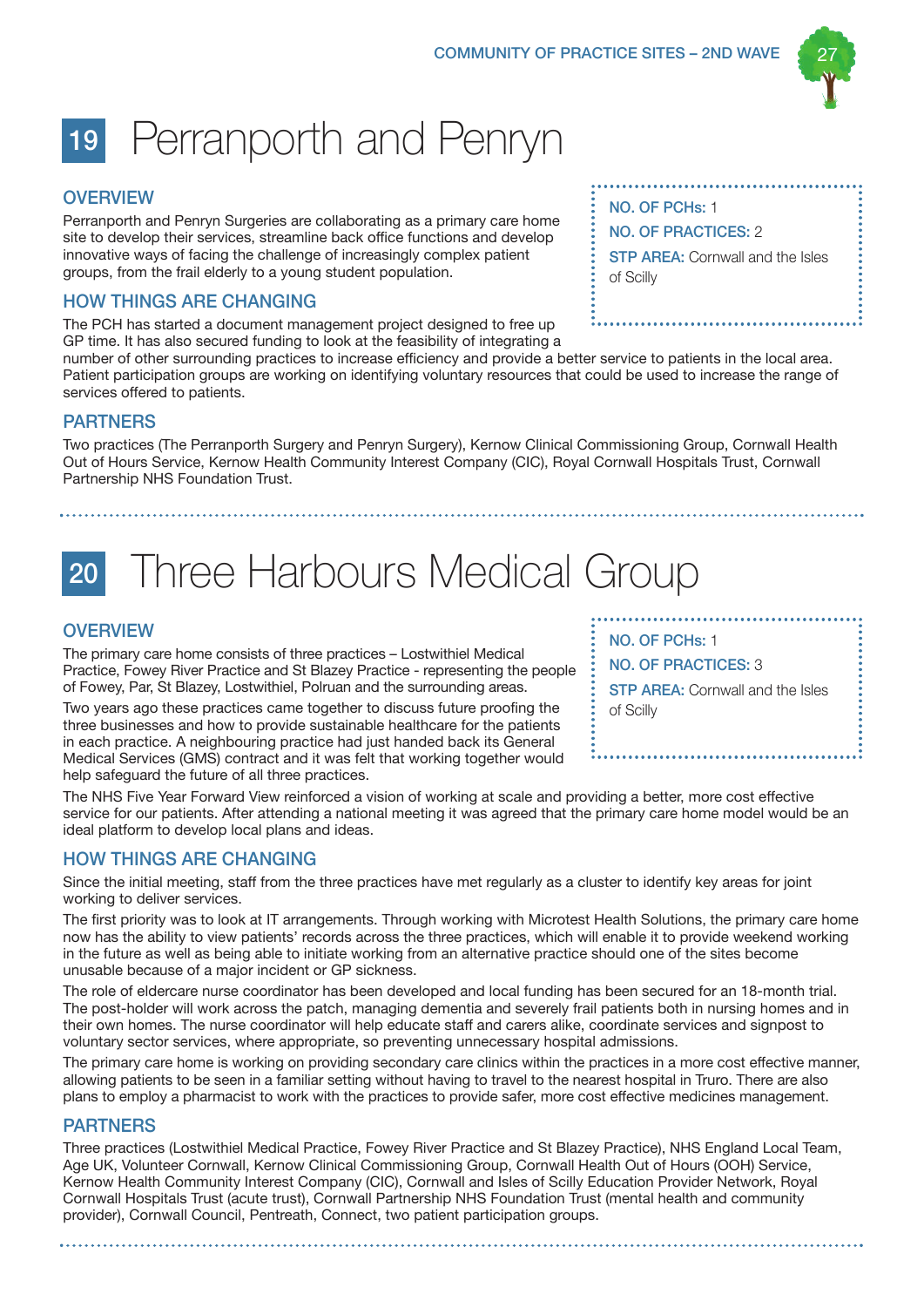

# <sup>19</sup> Perranporth and Penryn

#### **OVERVIEW**

Perranporth and Penryn Surgeries are collaborating as a primary care home site to develop their services, streamline back office functions and develop innovative ways of facing the challenge of increasingly complex patient groups, from the frail elderly to a young student population.

#### HOW THINGS ARE CHANGING

The PCH has started a document management project designed to free up GP time. It has also secured funding to look at the feasibility of integrating a

number of other surrounding practices to increase efficiency and provide a better service to patients in the local area. Patient participation groups are working on identifying voluntary resources that could be used to increase the range of services offered to patients.

#### PARTNERS

Two practices (The Perranporth Surgery and Penryn Surgery), Kernow Clinical Commissioning Group, Cornwall Health Out of Hours Service, Kernow Health Community Interest Company (CIC), Royal Cornwall Hospitals Trust, Cornwall Partnership NHS Foundation Trust.

# 20 Three Harbours Medical Group

#### **OVERVIEW**

The primary care home consists of three practices – Lostwithiel Medical Practice, Fowey River Practice and St Blazey Practice - representing the people of Fowey, Par, St Blazey, Lostwithiel, Polruan and the surrounding areas.

Two years ago these practices came together to discuss future proofing the three businesses and how to provide sustainable healthcare for the patients in each practice. A neighbouring practice had just handed back its General Medical Services (GMS) contract and it was felt that working together would help safeguard the future of all three practices.

The NHS Five Year Forward View reinforced a vision of working at scale and providing a better, more cost effective service for our patients. After attending a national meeting it was agreed that the primary care home model would be an ideal platform to develop local plans and ideas.

#### HOW THINGS ARE CHANGING

Since the initial meeting, staff from the three practices have met regularly as a cluster to identify key areas for joint working to deliver services.

The first priority was to look at IT arrangements. Through working with Microtest Health Solutions, the primary care home now has the ability to view patients' records across the three practices, which will enable it to provide weekend working in the future as well as being able to initiate working from an alternative practice should one of the sites become unusable because of a major incident or GP sickness.

The role of eldercare nurse coordinator has been developed and local funding has been secured for an 18-month trial. The post-holder will work across the patch, managing dementia and severely frail patients both in nursing homes and in their own homes. The nurse coordinator will help educate staff and carers alike, coordinate services and signpost to voluntary sector services, where appropriate, so preventing unnecessary hospital admissions.

The primary care home is working on providing secondary care clinics within the practices in a more cost effective manner, allowing patients to be seen in a familiar setting without having to travel to the nearest hospital in Truro. There are also plans to employ a pharmacist to work with the practices to provide safer, more cost effective medicines management.

#### **PARTNERS**

Three practices (Lostwithiel Medical Practice, Fowey River Practice and St Blazey Practice), NHS England Local Team, Age UK, Volunteer Cornwall, Kernow Clinical Commissioning Group, Cornwall Health Out of Hours (OOH) Service, Kernow Health Community Interest Company (CIC), Cornwall and Isles of Scilly Education Provider Network, Royal Cornwall Hospitals Trust (acute trust), Cornwall Partnership NHS Foundation Trust (mental health and community provider), Cornwall Council, Pentreath, Connect, two patient participation groups.

#### NO. OF PCHs: 1

NO. OF PRACTICES: 3

STP AREA: Cornwall and the Isles of Scilly

NO. OF PCHs: 1 NO. OF PRACTICES: 2 STP AREA: Cornwall and the Isles of Scilly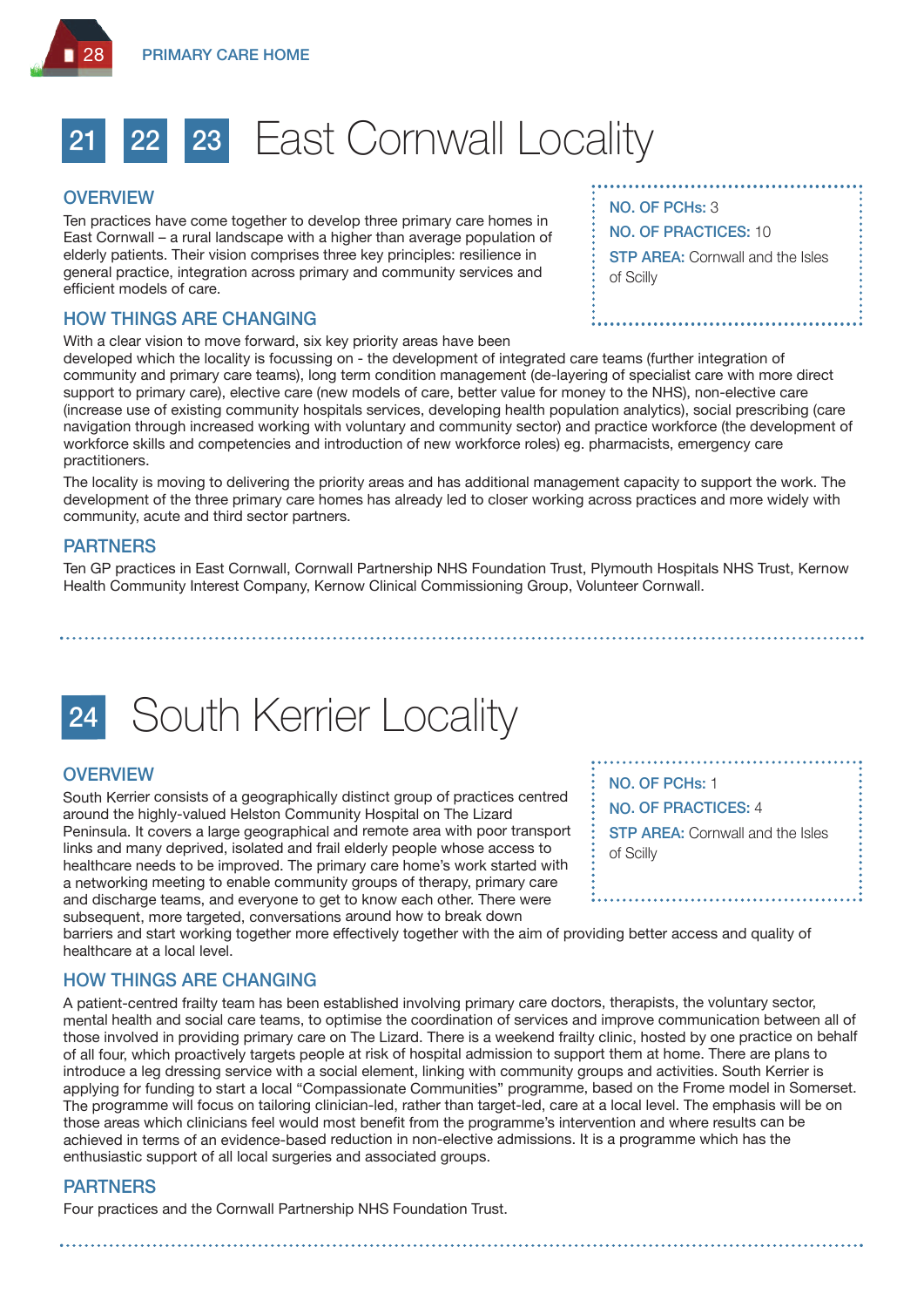

Ten practices have come together to develop three primary care homes in East Cornwall – a rural landscape with a higher than average population of elderly patients. Their vision comprises three key principles: resilience in general practice, integration across primary and community services and efficient models of care.

#### HOW THINGS ARE CHANGING

With a clear vision to move forward, six key priority areas have been

developed which the locality is focussing on - the development of integrated care teams (further integration of community and primary care teams), long term condition management (de-layering of specialist care with more direct support to primary care), elective care (new models of care, better value for money to the NHS), non-elective care (increase use of existing community hospitals services, developing health population analytics), social prescribing (care navigation through increased working with voluntary and community sector) and practice workforce (the development of workforce skills and competencies and introduction of new workforce roles) eg. pharmacists, emergency care practitioners.

The locality is moving to delivering the priority areas and has additional management capacity to support the work. The development of the three primary care homes has already led to closer working across practices and more widely with community, acute and third sector partners.

#### **PARTNERS**

Ten GP practices in East Cornwall, Cornwall Partnership NHS Foundation Trust, Plymouth Hospitals NHS Trust, Kernow Health Community Interest Company, Kernow Clinical Commissioning Group, Volunteer Cornwall.

### 24 South Kerrier Locality

#### **OVERVIEW**

South Kerrier consists of a geographically distinct group of practices centred around the highly-valued Helston Community Hospital on The Lizard Peninsula. It covers a large geographical and remote area with poor transport links and many deprived, isolated and frail elderly people whose access to healthcare needs to be improved. The primary care home's work started with a networking meeting to enable community groups of therapy, primary care and discharge teams, and everyone to get to know each other. There were subsequent, more targeted, conversations around how to break down

barriers and start working together more effectively together with the aim of providing better access and quality of healthcare at a local level.

#### HOW THINGS ARE CHANGING

A patient-centred frailty team has been established involving primary care doctors, therapists, the voluntary sector, mental health and social care teams, to optimise the coordination of services and improve communication between all of those involved in providing primary care on The Lizard. There is a weekend frailty clinic, hosted by one practice on behalf of all four, which proactively targets people at risk of hospital admission to support them at home. There are plans to introduce a leg dressing service with a social element, linking with community groups and activities. South Kerrier is applying for funding to start a local "Compassionate Communities" programme, based on the Frome model in Somerset. The programme will focus on tailoring clinician-led, rather than target-led, care at a local level. The emphasis will be on those areas which clinicians feel would most benefit from the programme's intervention and where results can be achieved in terms of an evidence-based reduction in non-elective admissions. It is a programme which has the enthusiastic support of all local surgeries and associated groups.

#### **PARTNERS**

Four practices and the Cornwall Partnership NHS Foundation Trust.

#### NO. OF PCHs: 3

NO. OF PRACTICES: 10

STP AREA: Cornwall and the Isles of Scilly

NO. OF PCHs: 1

NO. OF PRACTICES: 4

STP AREA: Cornwall and the Isles of Scilly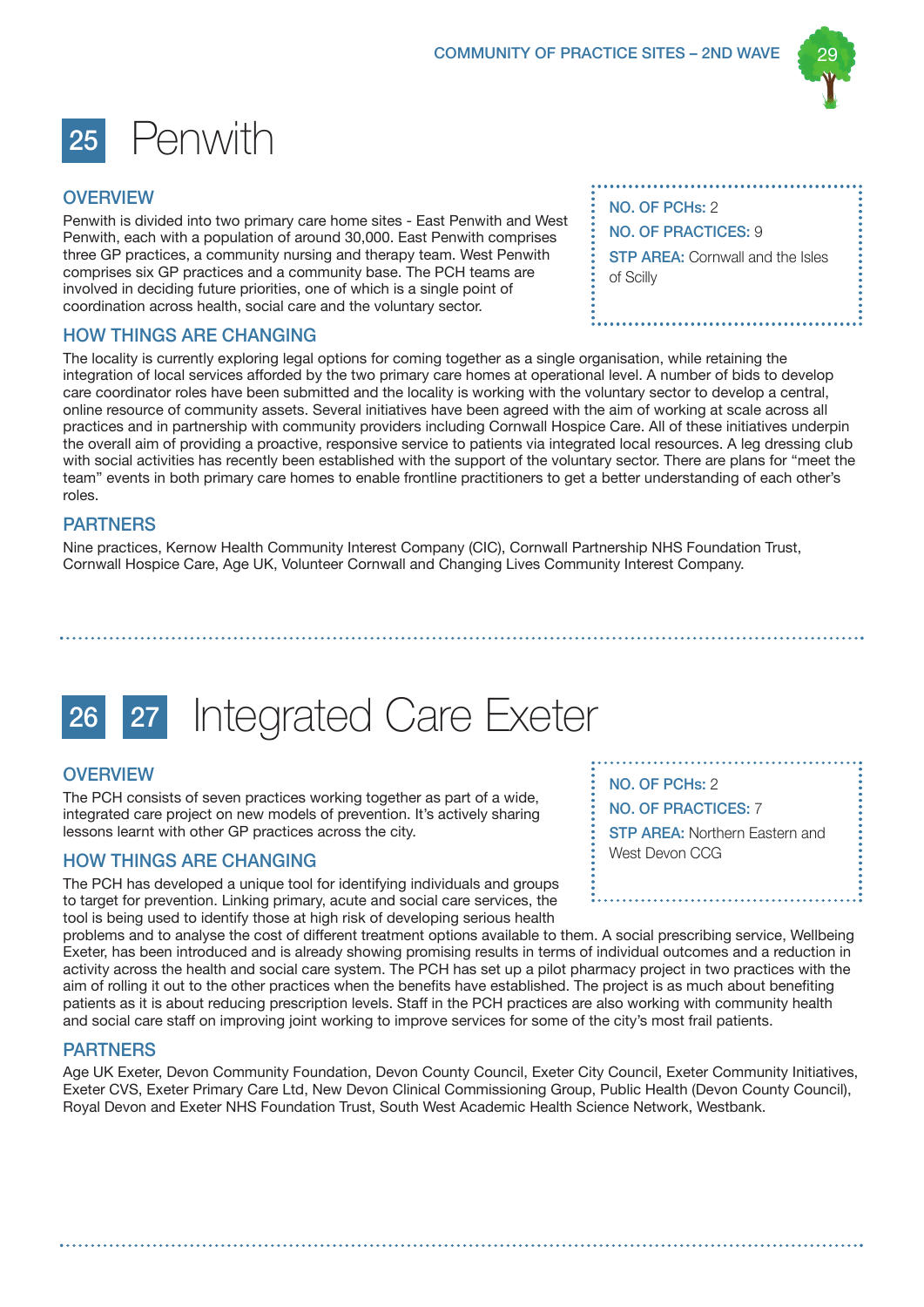### <sup>25</sup> Penwith

#### **OVERVIEW**

Penwith is divided into two primary care home sites - East Penwith and West Penwith, each with a population of around 30,000. East Penwith comprises three GP practices, a community nursing and therapy team. West Penwith comprises six GP practices and a community base. The PCH teams are involved in deciding future priorities, one of which is a single point of coordination across health, social care and the voluntary sector.

#### HOW THINGS ARE CHANGING

The locality is currently exploring legal options for coming together as a single organisation, while retaining the integration of local services afforded by the two primary care homes at operational level. A number of bids to develop care coordinator roles have been submitted and the locality is working with the voluntary sector to develop a central, online resource of community assets. Several initiatives have been agreed with the aim of working at scale across all practices and in partnership with community providers including Cornwall Hospice Care. All of these initiatives underpin the overall aim of providing a proactive, responsive service to patients via integrated local resources. A leg dressing club with social activities has recently been established with the support of the voluntary sector. There are plans for "meet the team" events in both primary care homes to enable frontline practitioners to get a better understanding of each other's roles.

#### **PARTNERS**

Nine practices, Kernow Health Community Interest Company (CIC), Cornwall Partnership NHS Foundation Trust, Cornwall Hospice Care, Age UK, Volunteer Cornwall and Changing Lives Community Interest Company.

#### **OVERVIEW**

The PCH consists of seven practices working together as part of a wide, integrated care project on new models of prevention. It's actively sharing lessons learnt with other GP practices across the city.

26 27 Integrated Care Exeter

#### HOW THINGS ARE CHANGING

The PCH has developed a unique tool for identifying individuals and groups to target for prevention. Linking primary, acute and social care services, the tool is being used to identify those at high risk of developing serious health

problems and to analyse the cost of different treatment options available to them. A social prescribing service, Wellbeing Exeter, has been introduced and is already showing promising results in terms of individual outcomes and a reduction in activity across the health and social care system. The PCH has set up a pilot pharmacy project in two practices with the aim of rolling it out to the other practices when the benefits have established. The project is as much about benefiting patients as it is about reducing prescription levels. Staff in the PCH practices are also working with community health and social care staff on improving joint working to improve services for some of the city's most frail patients.

#### PARTNERS

Age UK Exeter, Devon Community Foundation, Devon County Council, Exeter City Council, Exeter Community Initiatives, Exeter CVS, Exeter Primary Care Ltd, New Devon Clinical Commissioning Group, Public Health (Devon County Council), Royal Devon and Exeter NHS Foundation Trust, South West Academic Health Science Network, Westbank.

NO. OF PCHs: 2 NO. OF PRACTICES: 9 STP AREA: Cornwall and the Isles of Scilly



NO. OF PRACTICES: 7

STP AREA: Northern Eastern and West Devon CCG

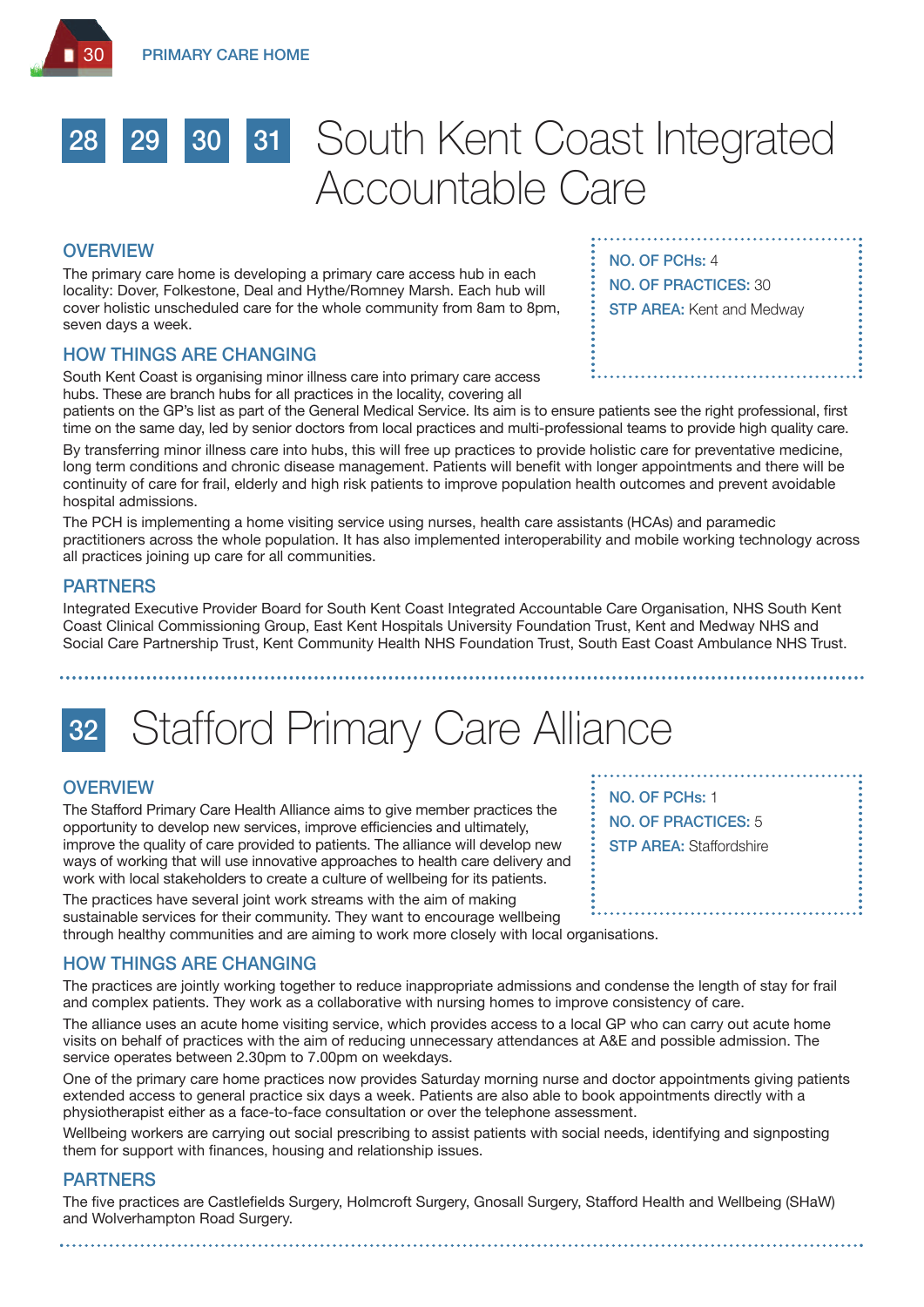# <sup>28</sup> <sup>29</sup> <sup>30</sup> <sup>31</sup> South Kent Coast Integrated Accountable Care

#### **OVERVIEW**

The primary care home is developing a primary care access hub in each locality: Dover, Folkestone, Deal and Hythe/Romney Marsh. Each hub will cover holistic unscheduled care for the whole community from 8am to 8pm, seven days a week.

#### HOW THINGS ARE CHANGING

South Kent Coast is organising minor illness care into primary care access hubs. These are branch hubs for all practices in the locality, covering all

patients on the GP's list as part of the General Medical Service. Its aim is to ensure patients see the right professional, first time on the same day, led by senior doctors from local practices and multi-professional teams to provide high quality care.

By transferring minor illness care into hubs, this will free up practices to provide holistic care for preventative medicine, long term conditions and chronic disease management. Patients will benefit with longer appointments and there will be continuity of care for frail, elderly and high risk patients to improve population health outcomes and prevent avoidable hospital admissions.

The PCH is implementing a home visiting service using nurses, health care assistants (HCAs) and paramedic practitioners across the whole population. It has also implemented interoperability and mobile working technology across all practices joining up care for all communities.

#### **PARTNERS**

Integrated Executive Provider Board for South Kent Coast Integrated Accountable Care Organisation, NHS South Kent Coast Clinical Commissioning Group, East Kent Hospitals University Foundation Trust, Kent and Medway NHS and Social Care Partnership Trust, Kent Community Health NHS Foundation Trust, South East Coast Ambulance NHS Trust.

Stafford Primary Care Alliance

#### **OVERVIEW**

The Stafford Primary Care Health Alliance aims to give member practices the opportunity to develop new services, improve efficiencies and ultimately, improve the quality of care provided to patients. The alliance will develop new ways of working that will use innovative approaches to health care delivery and work with local stakeholders to create a culture of wellbeing for its patients.

The practices have several joint work streams with the aim of making sustainable services for their community. They want to encourage wellbeing through healthy communities and are aiming to work more closely with local organisations.

#### HOW THINGS ARE CHANGING

The practices are jointly working together to reduce inappropriate admissions and condense the length of stay for frail and complex patients. They work as a collaborative with nursing homes to improve consistency of care.

The alliance uses an acute home visiting service, which provides access to a local GP who can carry out acute home visits on behalf of practices with the aim of reducing unnecessary attendances at A&E and possible admission. The service operates between 2.30pm to 7.00pm on weekdays.

One of the primary care home practices now provides Saturday morning nurse and doctor appointments giving patients extended access to general practice six days a week. Patients are also able to book appointments directly with a physiotherapist either as a face-to-face consultation or over the telephone assessment.

Wellbeing workers are carrying out social prescribing to assist patients with social needs, identifying and signposting them for support with finances, housing and relationship issues.

#### **PARTNERS**

The five practices are Castlefields Surgery, Holmcroft Surgery, Gnosall Surgery, Stafford Health and Wellbeing (SHaW) and Wolverhampton Road Surgery.

NO. OF PCHs: 1

NO. OF PRACTICES: 5

STP AREA: Staffordshire

NO. OF PCHs: 4 NO. OF PRACTICES: 30 **STP AREA: Kent and Medway**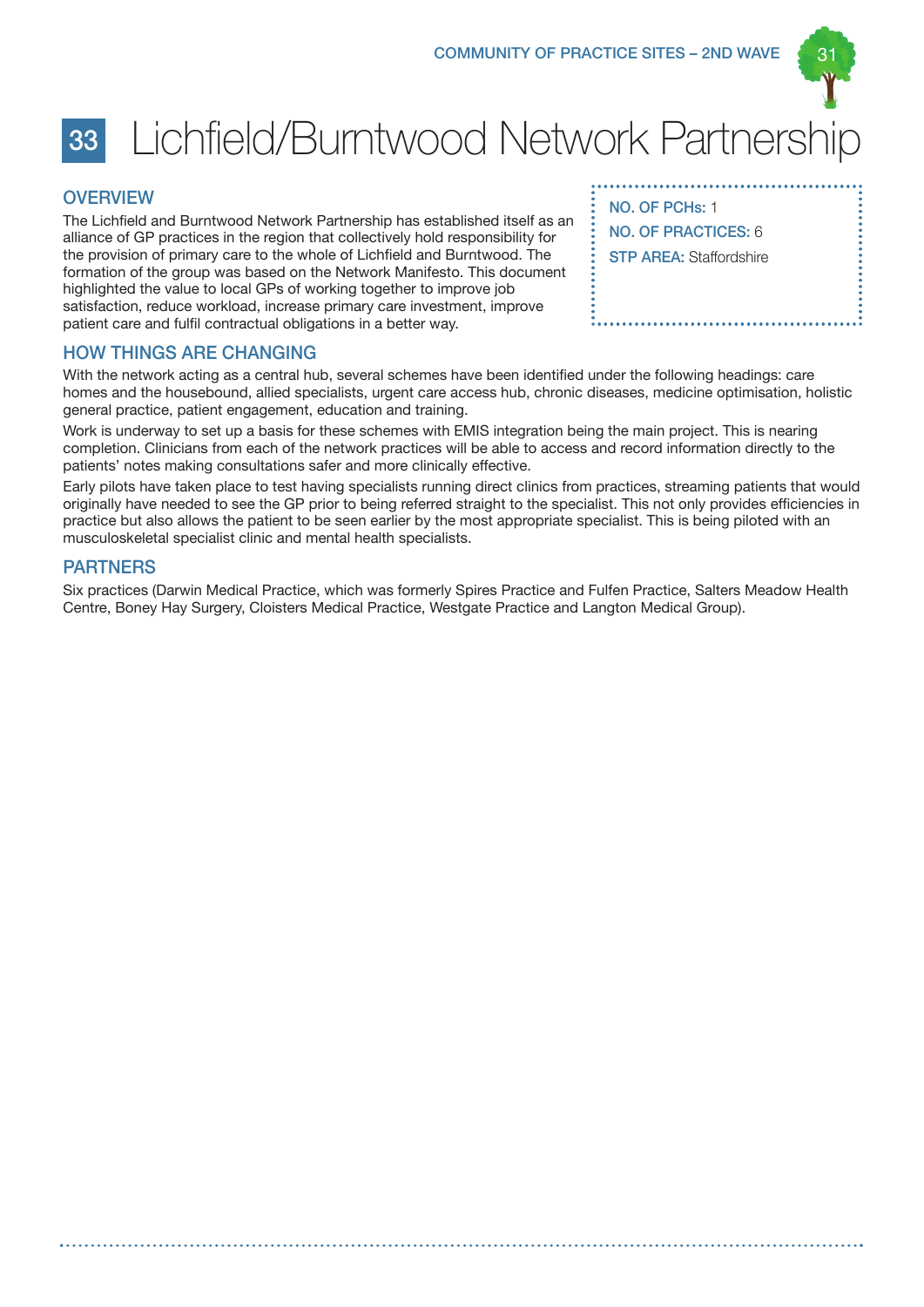

# <sup>33</sup> Lichfield/Burntwood Network Partnership

#### **OVERVIEW**

The Lichfield and Burntwood Network Partnership has established itself as an alliance of GP practices in the region that collectively hold responsibility for the provision of primary care to the whole of Lichfield and Burntwood. The formation of the group was based on the Network Manifesto. This document highlighted the value to local GPs of working together to improve job satisfaction, reduce workload, increase primary care investment, improve patient care and fulfil contractual obligations in a better way.

#### HOW THINGS ARE CHANGING

With the network acting as a central hub, several schemes have been identified under the following headings: care homes and the housebound, allied specialists, urgent care access hub, chronic diseases, medicine optimisation, holistic general practice, patient engagement, education and training.

Work is underway to set up a basis for these schemes with EMIS integration being the main project. This is nearing completion. Clinicians from each of the network practices will be able to access and record information directly to the patients' notes making consultations safer and more clinically effective.

Early pilots have taken place to test having specialists running direct clinics from practices, streaming patients that would originally have needed to see the GP prior to being referred straight to the specialist. This not only provides efficiencies in practice but also allows the patient to be seen earlier by the most appropriate specialist. This is being piloted with an musculoskeletal specialist clinic and mental health specialists.

#### **PARTNERS**

Six practices (Darwin Medical Practice, which was formerly Spires Practice and Fulfen Practice, Salters Meadow Health Centre, Boney Hay Surgery, Cloisters Medical Practice, Westgate Practice and Langton Medical Group).

NO. OF PCHs: 1 NO. OF PRACTICES: 6 **STP AREA: Staffordshire**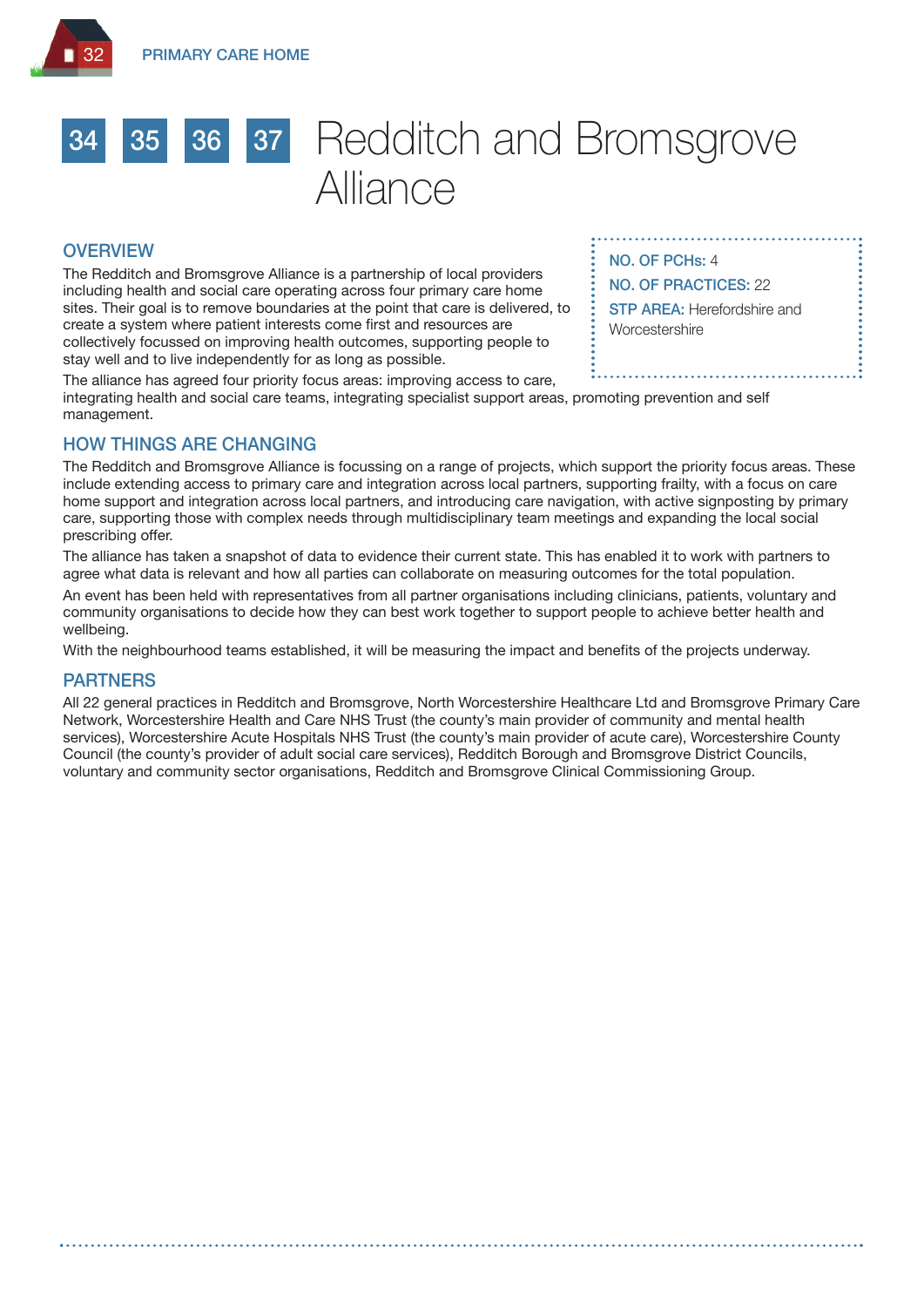

The Redditch and Bromsgrove Alliance is a partnership of local providers including health and social care operating across four primary care home sites. Their goal is to remove boundaries at the point that care is delivered, to create a system where patient interests come first and resources are collectively focussed on improving health outcomes, supporting people to stay well and to live independently for as long as possible.

The alliance has agreed four priority focus areas: improving access to care, integrating health and social care teams, integrating specialist support areas, promoting prevention and self management.

#### HOW THINGS ARE CHANGING

The Redditch and Bromsgrove Alliance is focussing on a range of projects, which support the priority focus areas. These include extending access to primary care and integration across local partners, supporting frailty, with a focus on care home support and integration across local partners, and introducing care navigation, with active signposting by primary care, supporting those with complex needs through multidisciplinary team meetings and expanding the local social prescribing offer.

NO. OF PCHs: 4

**Worcestershire** 

NO. OF PRACTICES: 22 STP AREA: Herefordshire and

The alliance has taken a snapshot of data to evidence their current state. This has enabled it to work with partners to agree what data is relevant and how all parties can collaborate on measuring outcomes for the total population.

An event has been held with representatives from all partner organisations including clinicians, patients, voluntary and community organisations to decide how they can best work together to support people to achieve better health and wellbeing.

With the neighbourhood teams established, it will be measuring the impact and benefits of the projects underway.

#### PARTNERS

All 22 general practices in Redditch and Bromsgrove, North Worcestershire Healthcare Ltd and Bromsgrove Primary Care Network, Worcestershire Health and Care NHS Trust (the county's main provider of community and mental health services), Worcestershire Acute Hospitals NHS Trust (the county's main provider of acute care), Worcestershire County Council (the county's provider of adult social care services), Redditch Borough and Bromsgrove District Councils, voluntary and community sector organisations, Redditch and Bromsgrove Clinical Commissioning Group.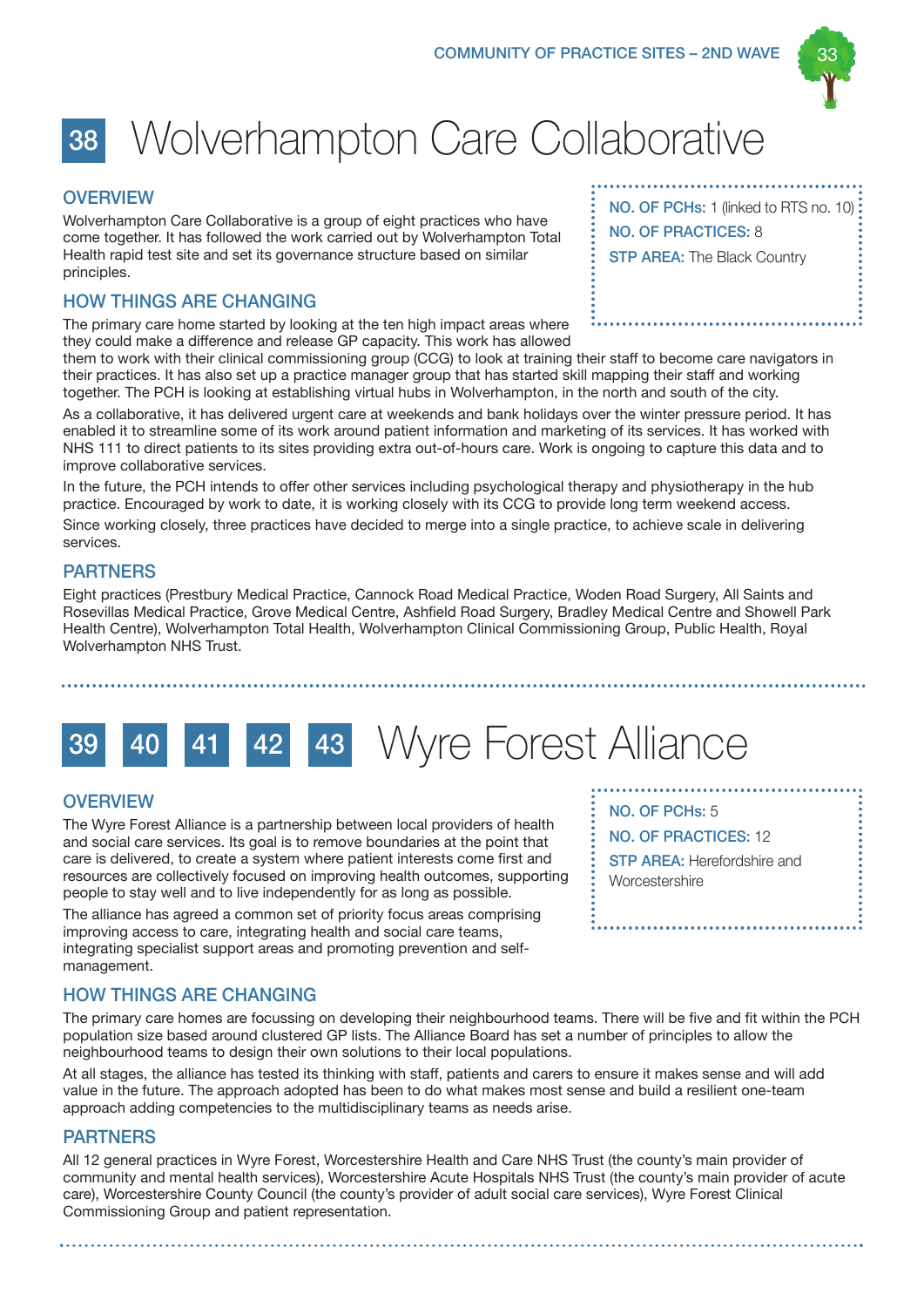

# <sup>38</sup> Wolverhampton Care Collaborative

#### **OVERVIEW**

Wolverhampton Care Collaborative is a group of eight practices who have come together. It has followed the work carried out by Wolverhampton Total Health rapid test site and set its governance structure based on similar principles.

#### HOW THINGS ARE CHANGING

The primary care home started by looking at the ten high impact areas where they could make a difference and release GP capacity. This work has allowed

them to work with their clinical commissioning group (CCG) to look at training their staff to become care navigators in their practices. It has also set up a practice manager group that has started skill mapping their staff and working together. The PCH is looking at establishing virtual hubs in Wolverhampton, in the north and south of the city.

As a collaborative, it has delivered urgent care at weekends and bank holidays over the winter pressure period. It has enabled it to streamline some of its work around patient information and marketing of its services. It has worked with NHS 111 to direct patients to its sites providing extra out-of-hours care. Work is ongoing to capture this data and to improve collaborative services.

In the future, the PCH intends to offer other services including psychological therapy and physiotherapy in the hub practice. Encouraged by work to date, it is working closely with its CCG to provide long term weekend access.

Since working closely, three practices have decided to merge into a single practice, to achieve scale in delivering services.

#### **PARTNERS**

Eight practices (Prestbury Medical Practice, Cannock Road Medical Practice, Woden Road Surgery, All Saints and Rosevillas Medical Practice, Grove Medical Centre, Ashfield Road Surgery, Bradley Medical Centre and Showell Park Health Centre), Wolverhampton Total Health, Wolverhampton Clinical Commissioning Group, Public Health, Royal Wolverhampton NHS Trust.



# <sup>39</sup> <sup>40</sup> <sup>41</sup> <sup>42</sup> <sup>43</sup> Wyre Forest Alliance

#### **OVERVIEW**

The Wyre Forest Alliance is a partnership between local providers of health and social care services. Its goal is to remove boundaries at the point that care is delivered, to create a system where patient interests come first and resources are collectively focused on improving health outcomes, supporting people to stay well and to live independently for as long as possible.

The alliance has agreed a common set of priority focus areas comprising improving access to care, integrating health and social care teams, integrating specialist support areas and promoting prevention and selfmanagement.

#### HOW THINGS ARE CHANGING

The primary care homes are focussing on developing their neighbourhood teams. There will be five and fit within the PCH population size based around clustered GP lists. The Alliance Board has set a number of principles to allow the neighbourhood teams to design their own solutions to their local populations.

At all stages, the alliance has tested its thinking with staff, patients and carers to ensure it makes sense and will add value in the future. The approach adopted has been to do what makes most sense and build a resilient one-team approach adding competencies to the multidisciplinary teams as needs arise.

#### PARTNERS

All 12 general practices in Wyre Forest, Worcestershire Health and Care NHS Trust (the county's main provider of community and mental health services), Worcestershire Acute Hospitals NHS Trust (the county's main provider of acute care), Worcestershire County Council (the county's provider of adult social care services), Wyre Forest Clinical Commissioning Group and patient representation.

NO. OF PCHs: 1 (linked to RTS no. 10): NO. OF PRACTICES: 8 **STP AREA: The Black Country** 

#### NO. OF PCHs: 5

NO. OF PRACTICES: 12 STP AREA: Herefordshire and **Worcestershire**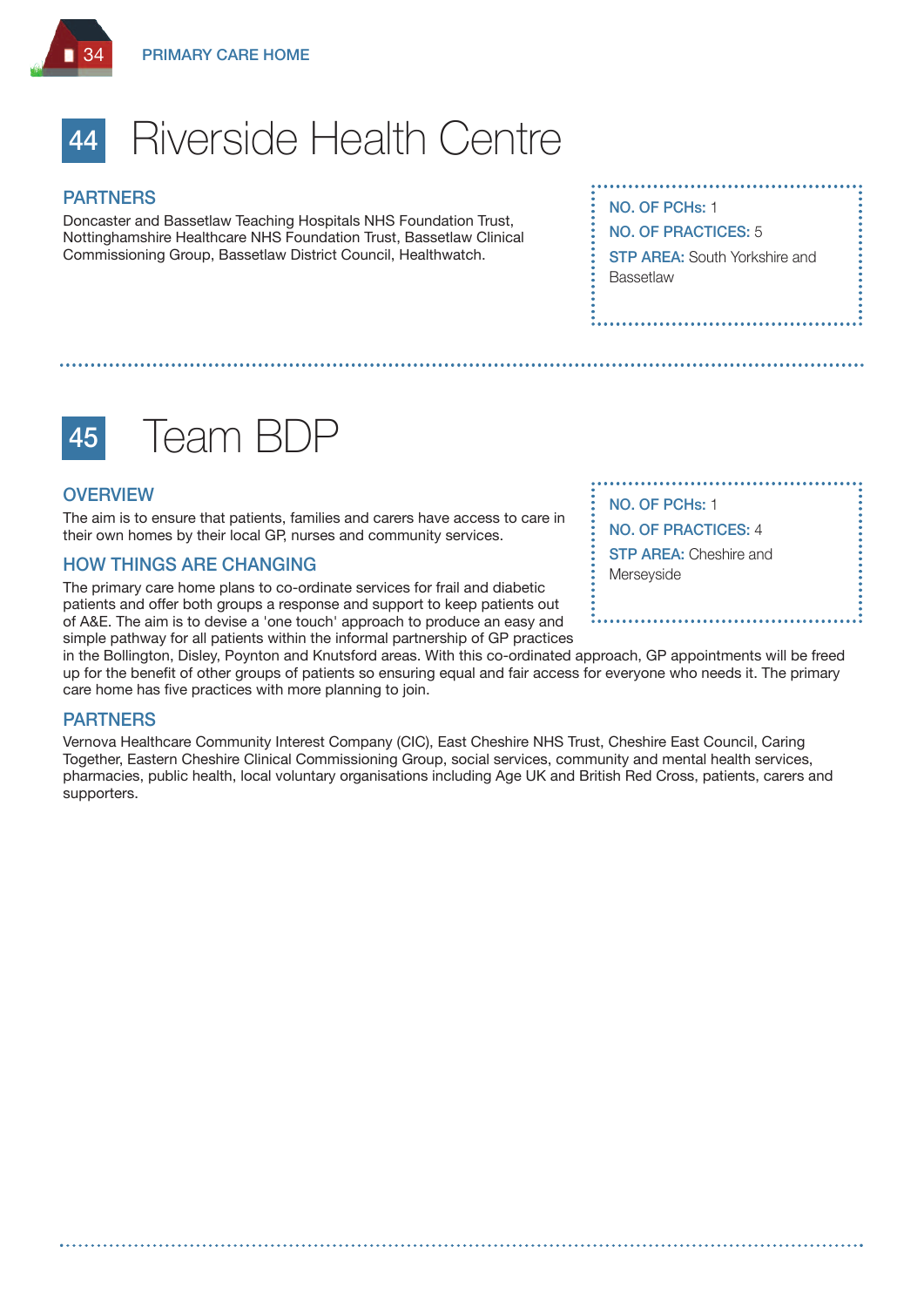# <sup>44</sup> Riverside Health Centre

#### **PARTNERS**

Doncaster and Bassetlaw Teaching Hospitals NHS Foundation Trust, Nottinghamshire Healthcare NHS Foundation Trust, Bassetlaw Clinical Commissioning Group, Bassetlaw District Council, Healthwatch.

| NO. OF PCH <sub>s</sub> : 1                       |
|---------------------------------------------------|
| NO. OF PRACTICES: 5                               |
| <b>STP AREA:</b> South Yorkshire and<br>Bassetlaw |
|                                                   |

### <sup>45</sup> Team BDP

#### **OVERVIEW**

The aim is to ensure that patients, families and carers have access to care in their own homes by their local GP, nurses and community services.

#### HOW THINGS ARE CHANGING

The primary care home plans to co-ordinate services for frail and diabetic patients and offer both groups a response and support to keep patients out of A&E. The aim is to devise a 'one touch' approach to produce an easy and simple pathway for all patients within the informal partnership of GP practices

in the Bollington, Disley, Poynton and Knutsford areas. With this co-ordinated approach, GP appointments will be freed up for the benefit of other groups of patients so ensuring equal and fair access for everyone who needs it. The primary care home has five practices with more planning to join.

#### **PARTNERS**

Vernova Healthcare Community Interest Company (CIC), East Cheshire NHS Trust, Cheshire East Council, Caring Together, Eastern Cheshire Clinical Commissioning Group, social services, community and mental health services, pharmacies, public health, local voluntary organisations including Age UK and British Red Cross, patients, carers and supporters.

NO. OF PCHs: 1 NO. OF PRACTICES: 4 STP AREA: Cheshire and Merseyside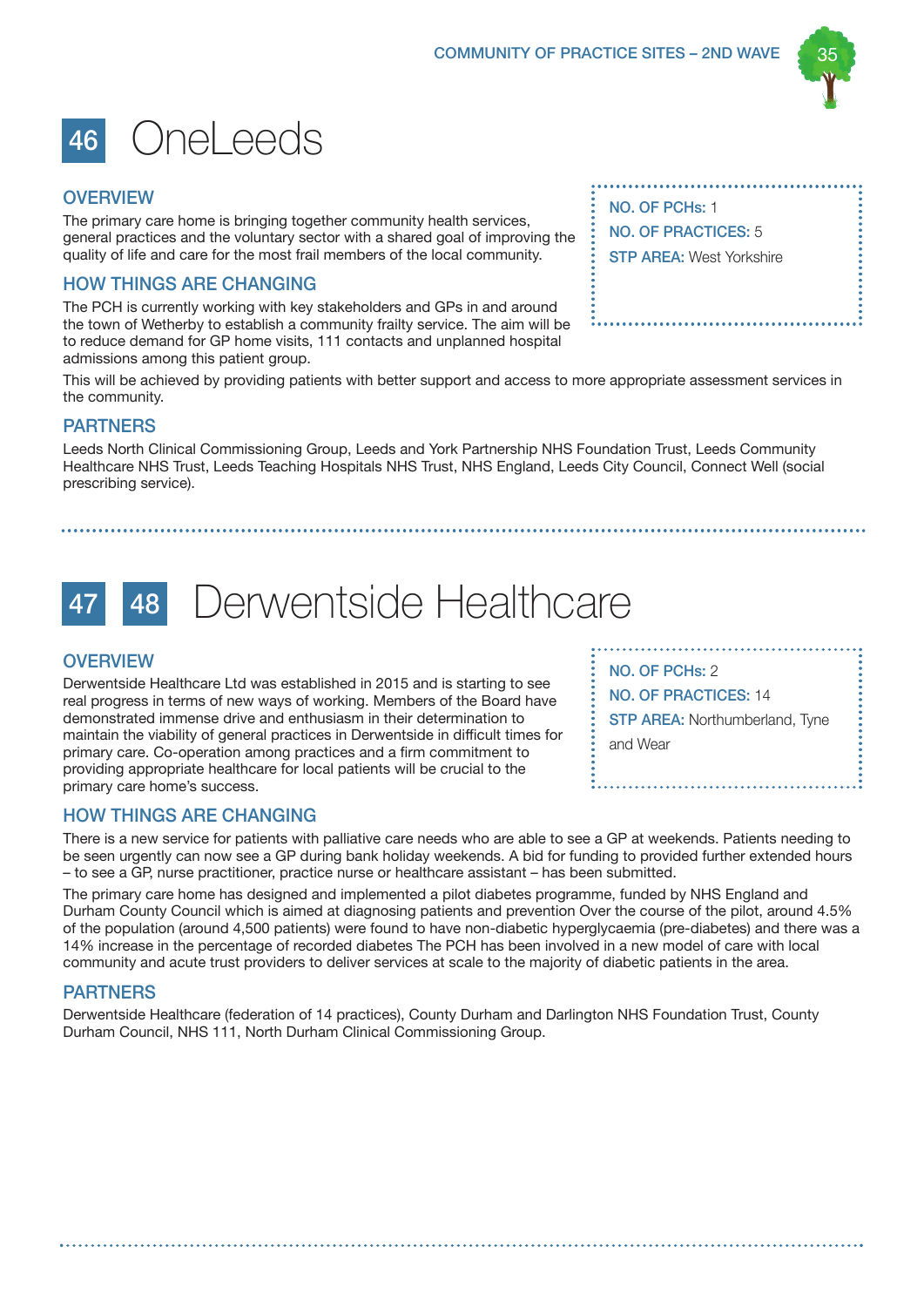46 Onel eeds

The primary care home is bringing together community health services, general practices and the voluntary sector with a shared goal of improving the quality of life and care for the most frail members of the local community.

#### HOW THINGS ARE CHANGING

The PCH is currently working with key stakeholders and GPs in and around the town of Wetherby to establish a community frailty service. The aim will be to reduce demand for GP home visits, 111 contacts and unplanned hospital admissions among this patient group.

This will be achieved by providing patients with better support and access to more appropriate assessment services in the community.

#### **PARTNERS**

Leeds North Clinical Commissioning Group, Leeds and York Partnership NHS Foundation Trust, Leeds Community Healthcare NHS Trust, Leeds Teaching Hospitals NHS Trust, NHS England, Leeds City Council, Connect Well (social prescribing service).

## 48 Derwentside Healthcare

#### **OVERVIEW**

Derwentside Healthcare Ltd was established in 2015 and is starting to see real progress in terms of new ways of working. Members of the Board have demonstrated immense drive and enthusiasm in their determination to maintain the viability of general practices in Derwentside in difficult times for primary care. Co-operation among practices and a firm commitment to providing appropriate healthcare for local patients will be crucial to the primary care home's success.

NO. OF PCHs: 2 NO. OF PRACTICES: 14 **STP AREA: Northumberland, Tyne** and Wear

#### HOW THINGS ARE CHANGING

There is a new service for patients with palliative care needs who are able to see a GP at weekends. Patients needing to be seen urgently can now see a GP during bank holiday weekends. A bid for funding to provided further extended hours – to see a GP, nurse practitioner, practice nurse or healthcare assistant – has been submitted.

The primary care home has designed and implemented a pilot diabetes programme, funded by NHS England and Durham County Council which is aimed at diagnosing patients and prevention Over the course of the pilot, around 4.5% of the population (around 4,500 patients) were found to have non-diabetic hyperglycaemia (pre-diabetes) and there was a 14% increase in the percentage of recorded diabetes The PCH has been involved in a new model of care with local community and acute trust providers to deliver services at scale to the majority of diabetic patients in the area.

#### **PARTNERS**

Derwentside Healthcare (federation of 14 practices), County Durham and Darlington NHS Foundation Trust, County Durham Council, NHS 111, North Durham Clinical Commissioning Group.

| NO. OF PCH <sub>s</sub> : 1     |  |
|---------------------------------|--|
| <b>NO. OF PRACTICES: 5</b>      |  |
| <b>STP AREA: West Yorkshire</b> |  |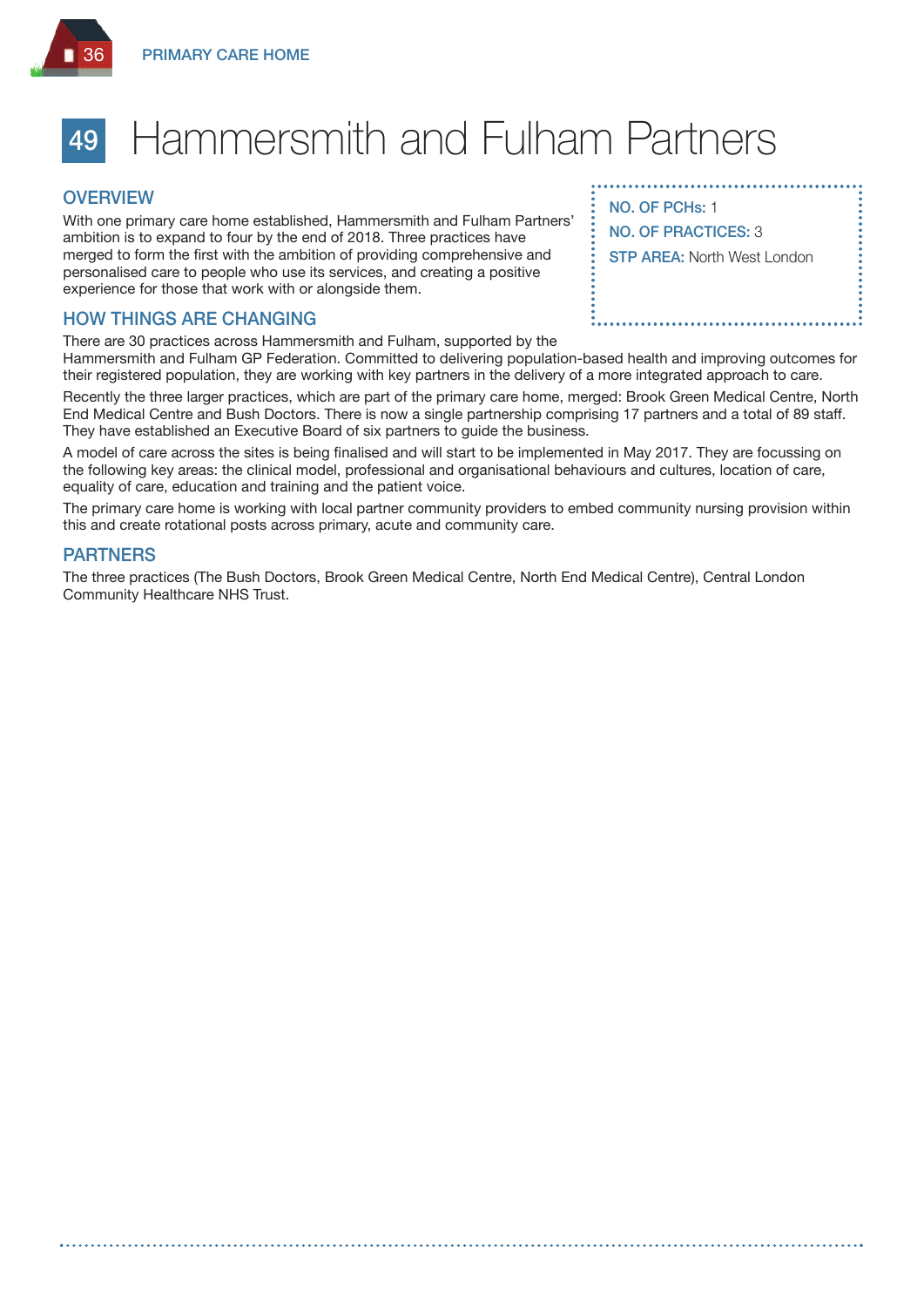

With one primary care home established, Hammersmith and Fulham Partners' ambition is to expand to four by the end of 2018. Three practices have merged to form the first with the ambition of providing comprehensive and personalised care to people who use its services, and creating a positive experience for those that work with or alongside them.

#### HOW THINGS ARE CHANGING

There are 30 practices across Hammersmith and Fulham, supported by the

Hammersmith and Fulham GP Federation. Committed to delivering population-based health and improving outcomes for their registered population, they are working with key partners in the delivery of a more integrated approach to care.

Recently the three larger practices, which are part of the primary care home, merged: Brook Green Medical Centre, North End Medical Centre and Bush Doctors. There is now a single partnership comprising 17 partners and a total of 89 staff. They have established an Executive Board of six partners to guide the business.

A model of care across the sites is being finalised and will start to be implemented in May 2017. They are focussing on the following key areas: the clinical model, professional and organisational behaviours and cultures, location of care, equality of care, education and training and the patient voice.

The primary care home is working with local partner community providers to embed community nursing provision within this and create rotational posts across primary, acute and community care.

#### PARTNERS

The three practices (The Bush Doctors, Brook Green Medical Centre, North End Medical Centre), Central London Community Healthcare NHS Trust.

#### NO. OF PCHs: 1 NO. OF PRACTICES: 3

**STP AREA: North West London** 

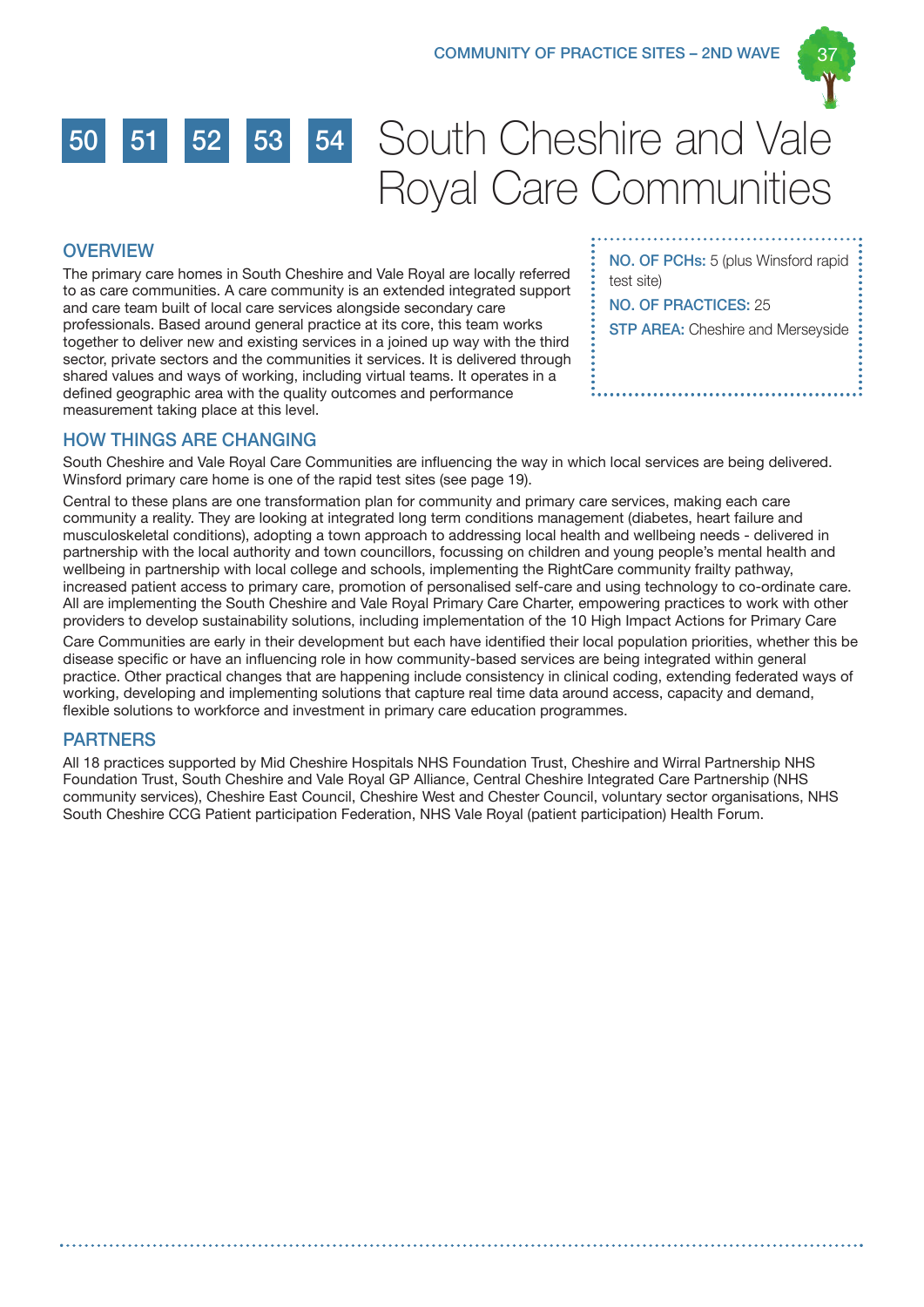

# <sup>50</sup> <sup>51</sup> <sup>52</sup> <sup>53</sup> <sup>54</sup> South Cheshire and Vale Royal Care Communities

#### **OVERVIEW**

The primary care homes in South Cheshire and Vale Royal are locally referred to as care communities. A care community is an extended integrated support and care team built of local care services alongside secondary care professionals. Based around general practice at its core, this team works together to deliver new and existing services in a joined up way with the third sector, private sectors and the communities it services. It is delivered through shared values and ways of working, including virtual teams. It operates in a defined geographic area with the quality outcomes and performance measurement taking place at this level.

NO. OF PCHs: 5 (plus Winsford rapid test site)

NO. OF PRACTICES: 25

**STP AREA: Cheshire and Merseyside** 

#### HOW THINGS ARE CHANGING

South Cheshire and Vale Royal Care Communities are influencing the way in which local services are being delivered. Winsford primary care home is one of the rapid test sites (see page 19).

Central to these plans are one transformation plan for community and primary care services, making each care community a reality. They are looking at integrated long term conditions management (diabetes, heart failure and musculoskeletal conditions), adopting a town approach to addressing local health and wellbeing needs - delivered in partnership with the local authority and town councillors, focussing on children and young people's mental health and wellbeing in partnership with local college and schools, implementing the RightCare community frailty pathway, increased patient access to primary care, promotion of personalised self-care and using technology to co-ordinate care. All are implementing the South Cheshire and Vale Royal Primary Care Charter, empowering practices to work with other providers to develop sustainability solutions, including implementation of the 10 High Impact Actions for Primary Care

Care Communities are early in their development but each have identified their local population priorities, whether this be disease specific or have an influencing role in how community-based services are being integrated within general practice. Other practical changes that are happening include consistency in clinical coding, extending federated ways of working, developing and implementing solutions that capture real time data around access, capacity and demand, flexible solutions to workforce and investment in primary care education programmes.

#### **PARTNERS**

All 18 practices supported by Mid Cheshire Hospitals NHS Foundation Trust, Cheshire and Wirral Partnership NHS Foundation Trust, South Cheshire and Vale Royal GP Alliance, Central Cheshire Integrated Care Partnership (NHS community services), Cheshire East Council, Cheshire West and Chester Council, voluntary sector organisations, NHS South Cheshire CCG Patient participation Federation, NHS Vale Royal (patient participation) Health Forum.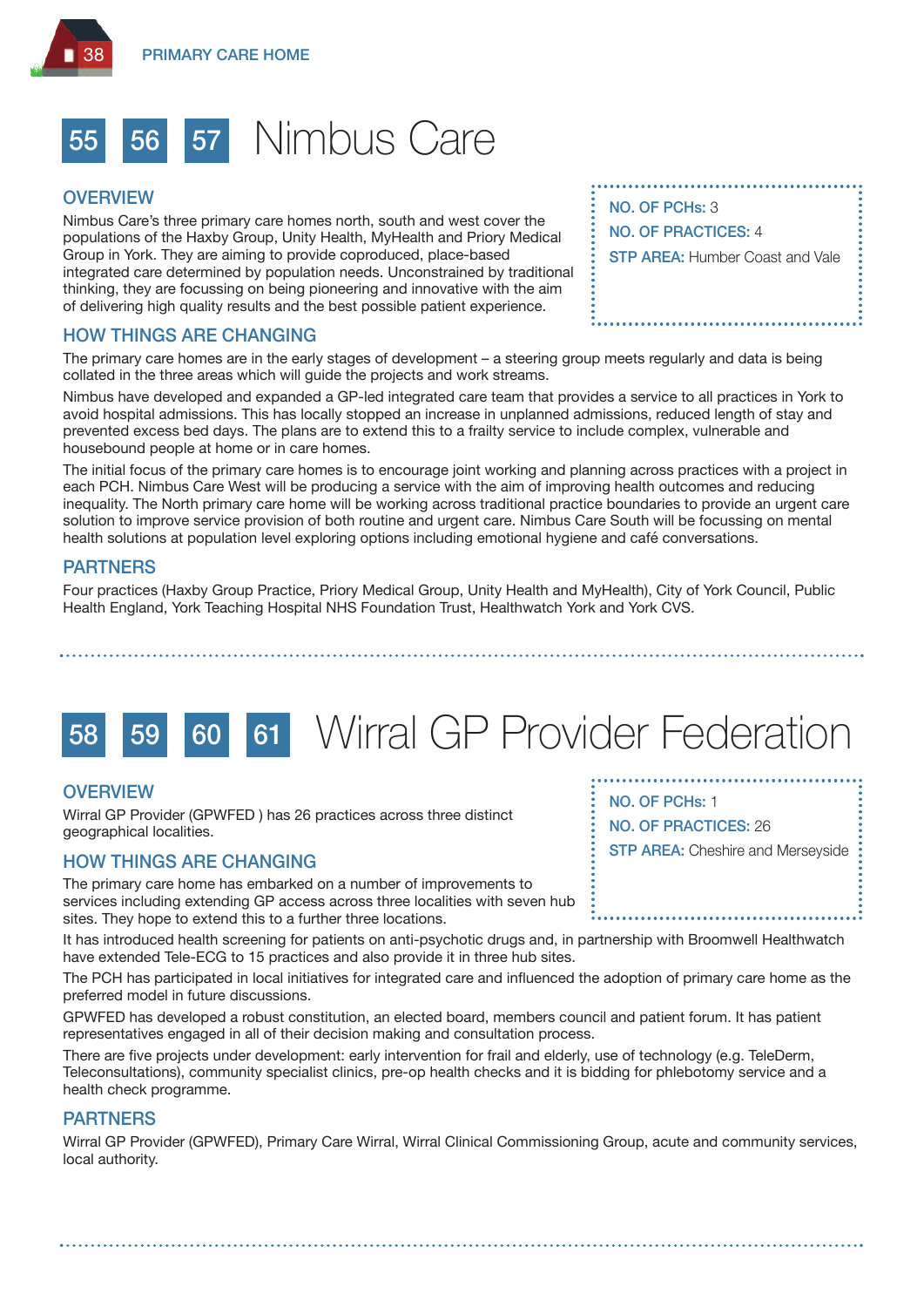

Nimbus Care's three primary care homes north, south and west cover the populations of the Haxby Group, Unity Health, MyHealth and Priory Medical Group in York. They are aiming to provide coproduced, place-based integrated care determined by population needs. Unconstrained by traditional thinking, they are focussing on being pioneering and innovative with the aim of delivering high quality results and the best possible patient experience.

#### HOW THINGS ARE CHANGING

The primary care homes are in the early stages of development – a steering group meets regularly and data is being collated in the three areas which will guide the projects and work streams.

Nimbus have developed and expanded a GP-led integrated care team that provides a service to all practices in York to avoid hospital admissions. This has locally stopped an increase in unplanned admissions, reduced length of stay and prevented excess bed days. The plans are to extend this to a frailty service to include complex, vulnerable and housebound people at home or in care homes.

The initial focus of the primary care homes is to encourage joint working and planning across practices with a project in each PCH. Nimbus Care West will be producing a service with the aim of improving health outcomes and reducing inequality. The North primary care home will be working across traditional practice boundaries to provide an urgent care solution to improve service provision of both routine and urgent care. Nimbus Care South will be focussing on mental health solutions at population level exploring options including emotional hygiene and café conversations.

#### PARTNERS

Four practices (Haxby Group Practice, Priory Medical Group, Unity Health and MyHealth), City of York Council, Public Health England, York Teaching Hospital NHS Foundation Trust, Healthwatch York and York CVS.

<sup>58</sup> <sup>59</sup> <sup>60</sup> <sup>61</sup> Wirral GP Provider Federation

#### **OVERVIEW**

Wirral GP Provider (GPWFED ) has 26 practices across three distinct geographical localities.

#### HOW THINGS ARE CHANGING

The primary care home has embarked on a number of improvements to services including extending GP access across three localities with seven hub sites. They hope to extend this to a further three locations.

It has introduced health screening for patients on anti-psychotic drugs and, in partnership with Broomwell Healthwatch have extended Tele-ECG to 15 practices and also provide it in three hub sites.

The PCH has participated in local initiatives for integrated care and influenced the adoption of primary care home as the preferred model in future discussions.

GPWFED has developed a robust constitution, an elected board, members council and patient forum. It has patient representatives engaged in all of their decision making and consultation process.

There are five projects under development: early intervention for frail and elderly, use of technology (e.g. TeleDerm, Teleconsultations), community specialist clinics, pre-op health checks and it is bidding for phlebotomy service and a health check programme.

#### PARTNERS

Wirral GP Provider (GPWFED), Primary Care Wirral, Wirral Clinical Commissioning Group, acute and community services, local authority.

#### NO. OF PCHs: 1

NO. OF PRACTICES: 26

**STP AREA: Cheshire and Merseyside** 

NO. OF PCHs: 3 NO. OF PRACTICES: 4 **STP AREA: Humber Coast and Vale** 

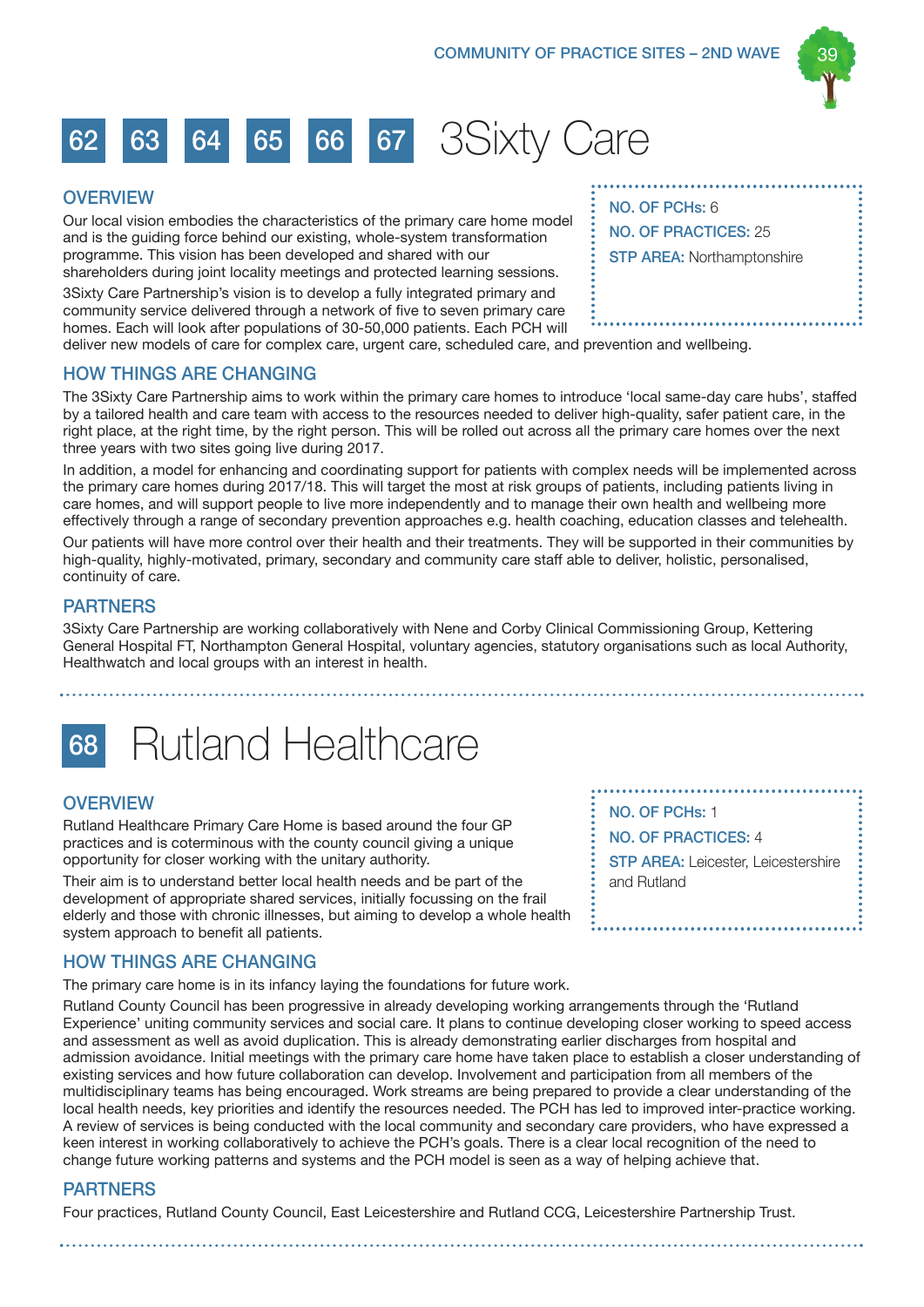



Our local vision embodies the characteristics of the primary care home model and is the guiding force behind our existing, whole-system transformation programme. This vision has been developed and shared with our shareholders during joint locality meetings and protected learning sessions.

3Sixty Care Partnership's vision is to develop a fully integrated primary and community service delivered through a network of five to seven primary care homes. Each will look after populations of 30-50,000 patients. Each PCH will

deliver new models of care for complex care, urgent care, scheduled care, and prevention and wellbeing.

#### HOW THINGS ARE CHANGING

The 3Sixty Care Partnership aims to work within the primary care homes to introduce 'local same-day care hubs', staffed by a tailored health and care team with access to the resources needed to deliver high-quality, safer patient care, in the right place, at the right time, by the right person. This will be rolled out across all the primary care homes over the next three years with two sites going live during 2017.

In addition, a model for enhancing and coordinating support for patients with complex needs will be implemented across the primary care homes during 2017/18. This will target the most at risk groups of patients, including patients living in care homes, and will support people to live more independently and to manage their own health and wellbeing more effectively through a range of secondary prevention approaches e.g. health coaching, education classes and telehealth.

Our patients will have more control over their health and their treatments. They will be supported in their communities by high-quality, highly-motivated, primary, secondary and community care staff able to deliver, holistic, personalised, continuity of care.

#### PARTNERS

3Sixty Care Partnership are working collaboratively with Nene and Corby Clinical Commissioning Group, Kettering General Hospital FT, Northampton General Hospital, voluntary agencies, statutory organisations such as local Authority, Healthwatch and local groups with an interest in health.

<sup>68</sup> Rutland Healthcare

#### **OVERVIEW**

Rutland Healthcare Primary Care Home is based around the four GP practices and is coterminous with the county council giving a unique opportunity for closer working with the unitary authority.

Their aim is to understand better local health needs and be part of the development of appropriate shared services, initially focussing on the frail elderly and those with chronic illnesses, but aiming to develop a whole health system approach to benefit all patients.

#### HOW THINGS ARE CHANGING

The primary care home is in its infancy laying the foundations for future work.

Rutland County Council has been progressive in already developing working arrangements through the 'Rutland Experience' uniting community services and social care. It plans to continue developing closer working to speed access and assessment as well as avoid duplication. This is already demonstrating earlier discharges from hospital and admission avoidance. Initial meetings with the primary care home have taken place to establish a closer understanding of existing services and how future collaboration can develop. Involvement and participation from all members of the multidisciplinary teams has being encouraged. Work streams are being prepared to provide a clear understanding of the local health needs, key priorities and identify the resources needed. The PCH has led to improved inter-practice working. A review of services is being conducted with the local community and secondary care providers, who have expressed a keen interest in working collaboratively to achieve the PCH's goals. There is a clear local recognition of the need to change future working patterns and systems and the PCH model is seen as a way of helping achieve that.

#### PARTNERS

Four practices, Rutland County Council, East Leicestershire and Rutland CCG, Leicestershire Partnership Trust.

#### NO. OF PCHs: 6 NO. OF PRACTICES: 25

**STP AREA: Northamptonshire** 

#### NO. OF PCHs: 1

NO. OF PRACTICES: 4

STP AREA: Leicester, Leicestershire and Rutland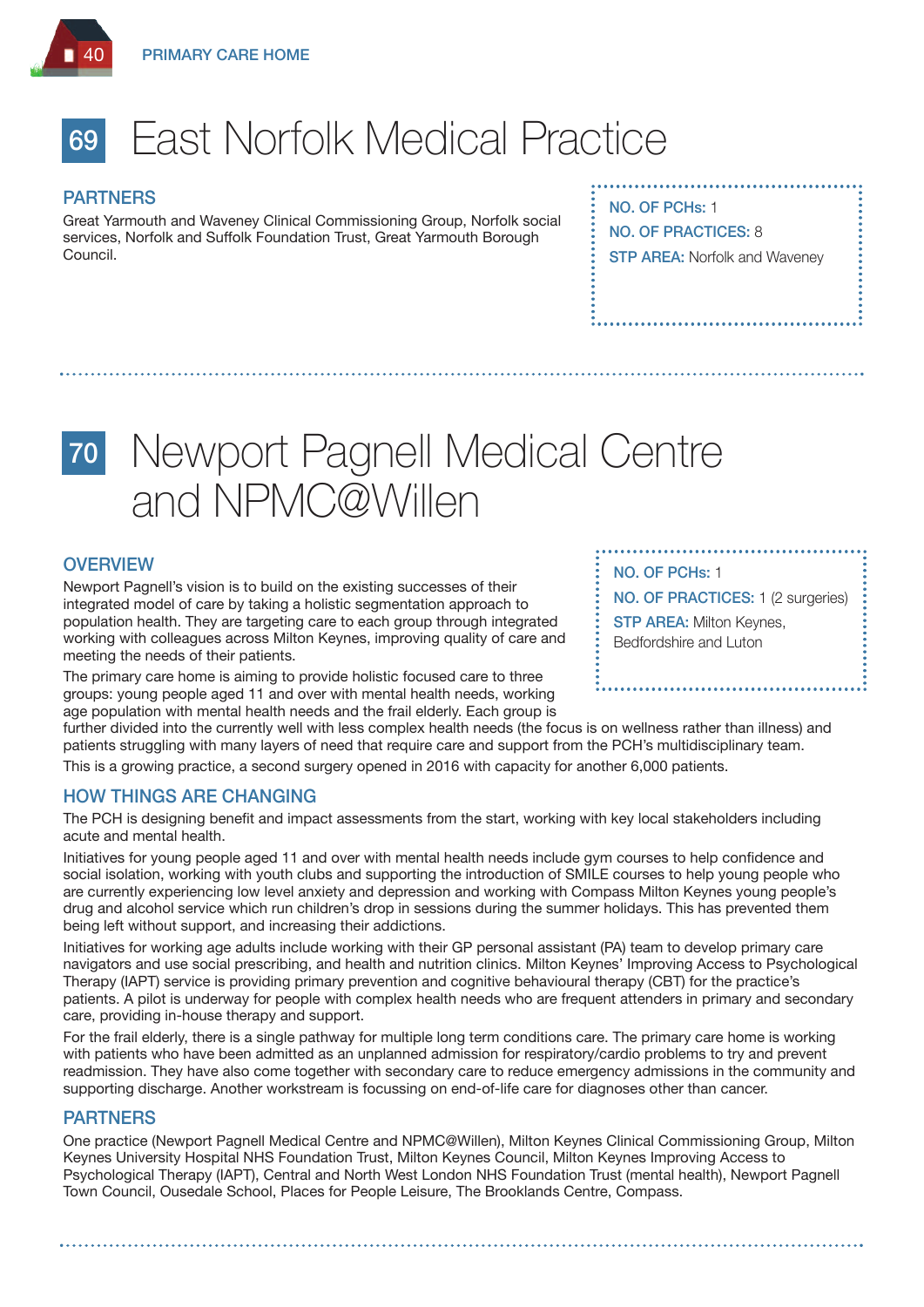

#### **PARTNERS**

Great Yarmouth and Waveney Clinical Commissioning Group, Norfolk social services, Norfolk and Suffolk Foundation Trust, Great Yarmouth Borough Council.

#### NO. OF PCHs: 1 NO. OF PRACTICES: 8 **STP AREA: Norfolk and Wavenev**

## <sup>70</sup> Newport Pagnell Medical Centre and NPMC@Willen

#### **OVERVIEW**

Newport Pagnell's vision is to build on the existing successes of their integrated model of care by taking a holistic segmentation approach to population health. They are targeting care to each group through integrated working with colleagues across Milton Keynes, improving quality of care and meeting the needs of their patients.

The primary care home is aiming to provide holistic focused care to three groups: young people aged 11 and over with mental health needs, working age population with mental health needs and the frail elderly. Each group is

#### NO. OF PCHs: 1

NO. OF PRACTICES: 1 (2 surgeries)

**STP AREA: Milton Keynes,** Bedfordshire and Luton

. . . . . . . . . . . . . . . .

further divided into the currently well with less complex health needs (the focus is on wellness rather than illness) and patients struggling with many layers of need that require care and support from the PCH's multidisciplinary team.

This is a growing practice, a second surgery opened in 2016 with capacity for another 6,000 patients.

#### HOW THINGS ARE CHANGING

The PCH is designing benefit and impact assessments from the start, working with key local stakeholders including acute and mental health.

Initiatives for young people aged 11 and over with mental health needs include gym courses to help confidence and social isolation, working with youth clubs and supporting the introduction of SMILE courses to help young people who are currently experiencing low level anxiety and depression and working with Compass Milton Keynes young people's drug and alcohol service which run children's drop in sessions during the summer holidays. This has prevented them being left without support, and increasing their addictions.

Initiatives for working age adults include working with their GP personal assistant (PA) team to develop primary care navigators and use social prescribing, and health and nutrition clinics. Milton Keynes' Improving Access to Psychological Therapy (IAPT) service is providing primary prevention and cognitive behavioural therapy (CBT) for the practice's patients. A pilot is underway for people with complex health needs who are frequent attenders in primary and secondary care, providing in-house therapy and support.

For the frail elderly, there is a single pathway for multiple long term conditions care. The primary care home is working with patients who have been admitted as an unplanned admission for respiratory/cardio problems to try and prevent readmission. They have also come together with secondary care to reduce emergency admissions in the community and supporting discharge. Another workstream is focussing on end-of-life care for diagnoses other than cancer.

#### PARTNERS

One practice (Newport Pagnell Medical Centre and NPMC@Willen), Milton Keynes Clinical Commissioning Group, Milton Keynes University Hospital NHS Foundation Trust, Milton Keynes Council, Milton Keynes Improving Access to Psychological Therapy (IAPT), Central and North West London NHS Foundation Trust (mental health), Newport Pagnell Town Council, Ousedale School, Places for People Leisure, The Brooklands Centre, Compass.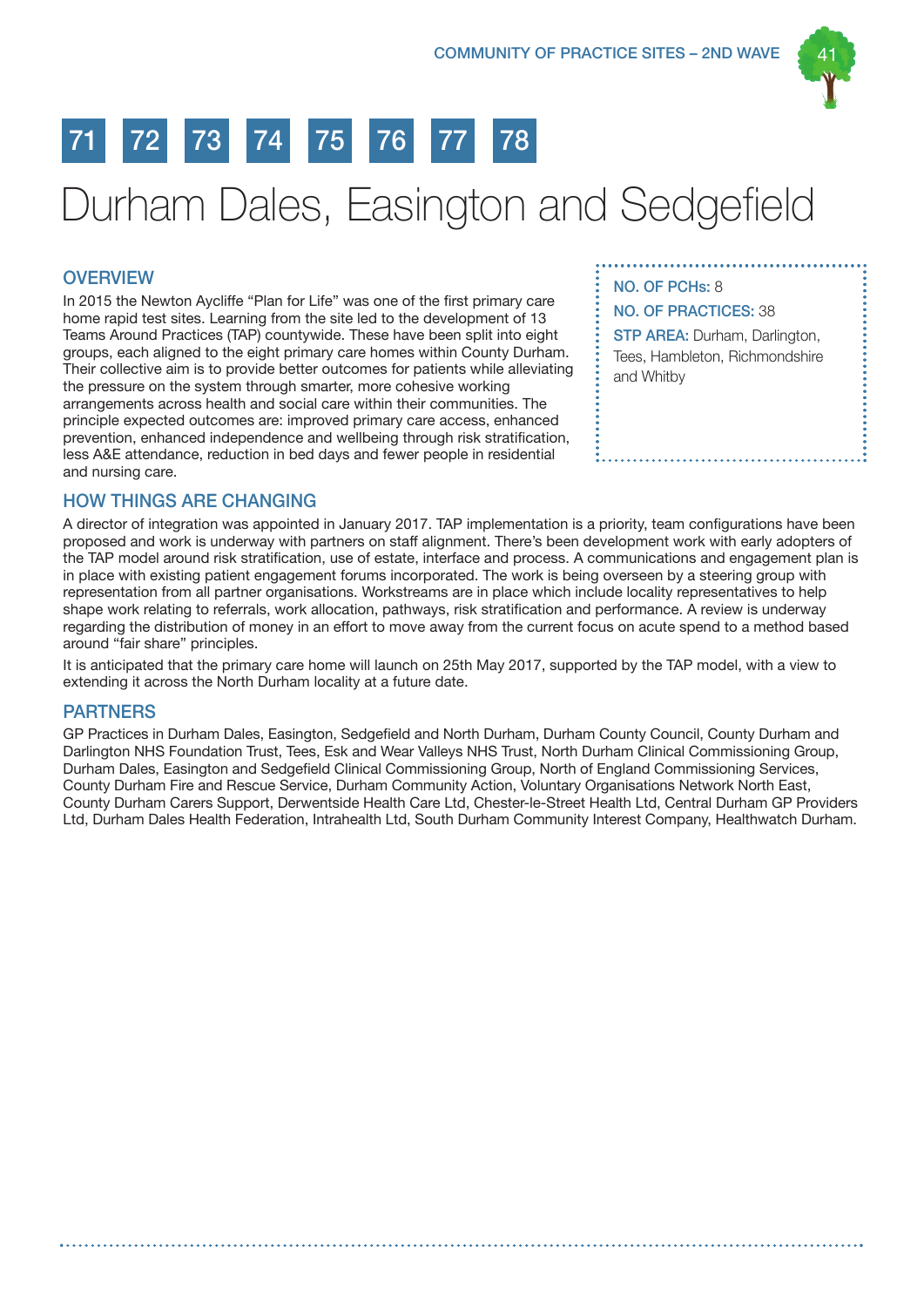



# Durham Dales, Easington and Sedgefield

#### **OVERVIEW**

In 2015 the Newton Aycliffe "Plan for Life" was one of the first primary care home rapid test sites. Learning from the site led to the development of 13 Teams Around Practices (TAP) countywide. These have been split into eight groups, each aligned to the eight primary care homes within County Durham. Their collective aim is to provide better outcomes for patients while alleviating the pressure on the system through smarter, more cohesive working arrangements across health and social care within their communities. The principle expected outcomes are: improved primary care access, enhanced prevention, enhanced independence and wellbeing through risk stratification, less A&E attendance, reduction in bed days and fewer people in residential and nursing care.

#### HOW THINGS ARE CHANGING

A director of integration was appointed in January 2017. TAP implementation is a priority, team configurations have been proposed and work is underway with partners on staff alignment. There's been development work with early adopters of the TAP model around risk stratification, use of estate, interface and process. A communications and engagement plan is in place with existing patient engagement forums incorporated. The work is being overseen by a steering group with representation from all partner organisations. Workstreams are in place which include locality representatives to help shape work relating to referrals, work allocation, pathways, risk stratification and performance. A review is underway regarding the distribution of money in an effort to move away from the current focus on acute spend to a method based around "fair share" principles.

It is anticipated that the primary care home will launch on 25th May 2017, supported by the TAP model, with a view to extending it across the North Durham locality at a future date.

#### PARTNERS

GP Practices in Durham Dales, Easington, Sedgefield and North Durham, Durham County Council, County Durham and Darlington NHS Foundation Trust, Tees, Esk and Wear Valleys NHS Trust, North Durham Clinical Commissioning Group, Durham Dales, Easington and Sedgefield Clinical Commissioning Group, North of England Commissioning Services, County Durham Fire and Rescue Service, Durham Community Action, Voluntary Organisations Network North East, County Durham Carers Support, Derwentside Health Care Ltd, Chester-le-Street Health Ltd, Central Durham GP Providers Ltd, Durham Dales Health Federation, Intrahealth Ltd, South Durham Community Interest Company, Healthwatch Durham.

#### NO. OF PCHs: 8 NO. OF PRACTICES: 38

STP AREA: Durham, Darlington, Tees, Hambleton, Richmondshire and Whitby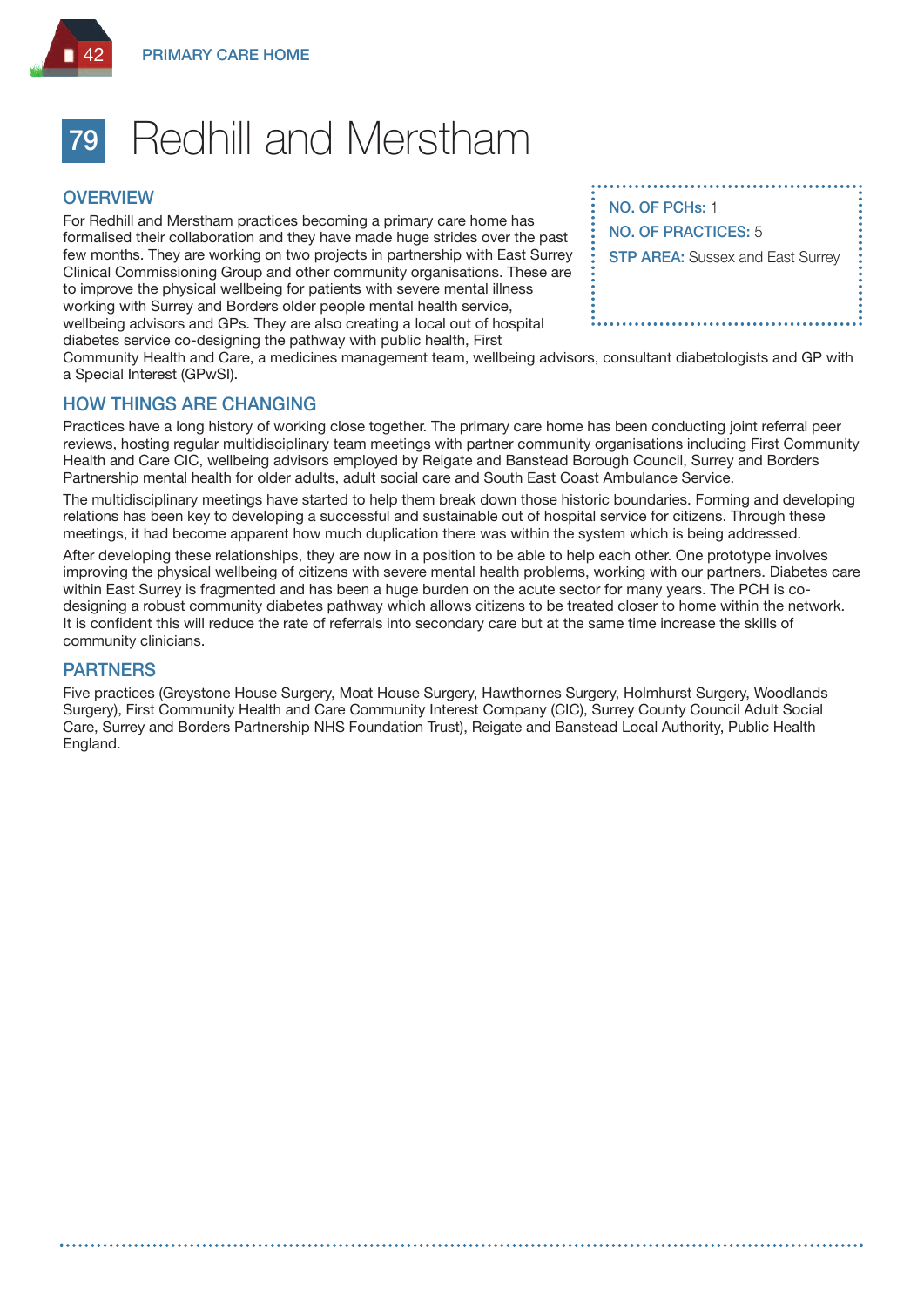# Redhill and Merstham

#### **OVERVIEW**

For Redhill and Merstham practices becoming a primary care home has formalised their collaboration and they have made huge strides over the past few months. They are working on two projects in partnership with East Surrey Clinical Commissioning Group and other community organisations. These are to improve the physical wellbeing for patients with severe mental illness working with Surrey and Borders older people mental health service, wellbeing advisors and GPs. They are also creating a local out of hospital diabetes service co-designing the pathway with public health, First

| NO. OF PCH <sub>s</sub> : 1             |
|-----------------------------------------|
| <b>NO. OF PRACTICES: 5</b>              |
| <b>STP AREA:</b> Sussex and East Surrey |
|                                         |

Community Health and Care, a medicines management team, wellbeing advisors, consultant diabetologists and GP with a Special Interest (GPwSI).

#### HOW THINGS ARE CHANGING

Practices have a long history of working close together. The primary care home has been conducting joint referral peer reviews, hosting regular multidisciplinary team meetings with partner community organisations including First Community Health and Care CIC, wellbeing advisors employed by Reigate and Banstead Borough Council, Surrey and Borders Partnership mental health for older adults, adult social care and South East Coast Ambulance Service.

The multidisciplinary meetings have started to help them break down those historic boundaries. Forming and developing relations has been key to developing a successful and sustainable out of hospital service for citizens. Through these meetings, it had become apparent how much duplication there was within the system which is being addressed.

After developing these relationships, they are now in a position to be able to help each other. One prototype involves improving the physical wellbeing of citizens with severe mental health problems, working with our partners. Diabetes care within East Surrey is fragmented and has been a huge burden on the acute sector for many years. The PCH is codesigning a robust community diabetes pathway which allows citizens to be treated closer to home within the network. It is confident this will reduce the rate of referrals into secondary care but at the same time increase the skills of community clinicians.

#### **PARTNERS**

Five practices (Greystone House Surgery, Moat House Surgery, Hawthornes Surgery, Holmhurst Surgery, Woodlands Surgery), First Community Health and Care Community Interest Company (CIC), Surrey County Council Adult Social Care, Surrey and Borders Partnership NHS Foundation Trust), Reigate and Banstead Local Authority, Public Health England.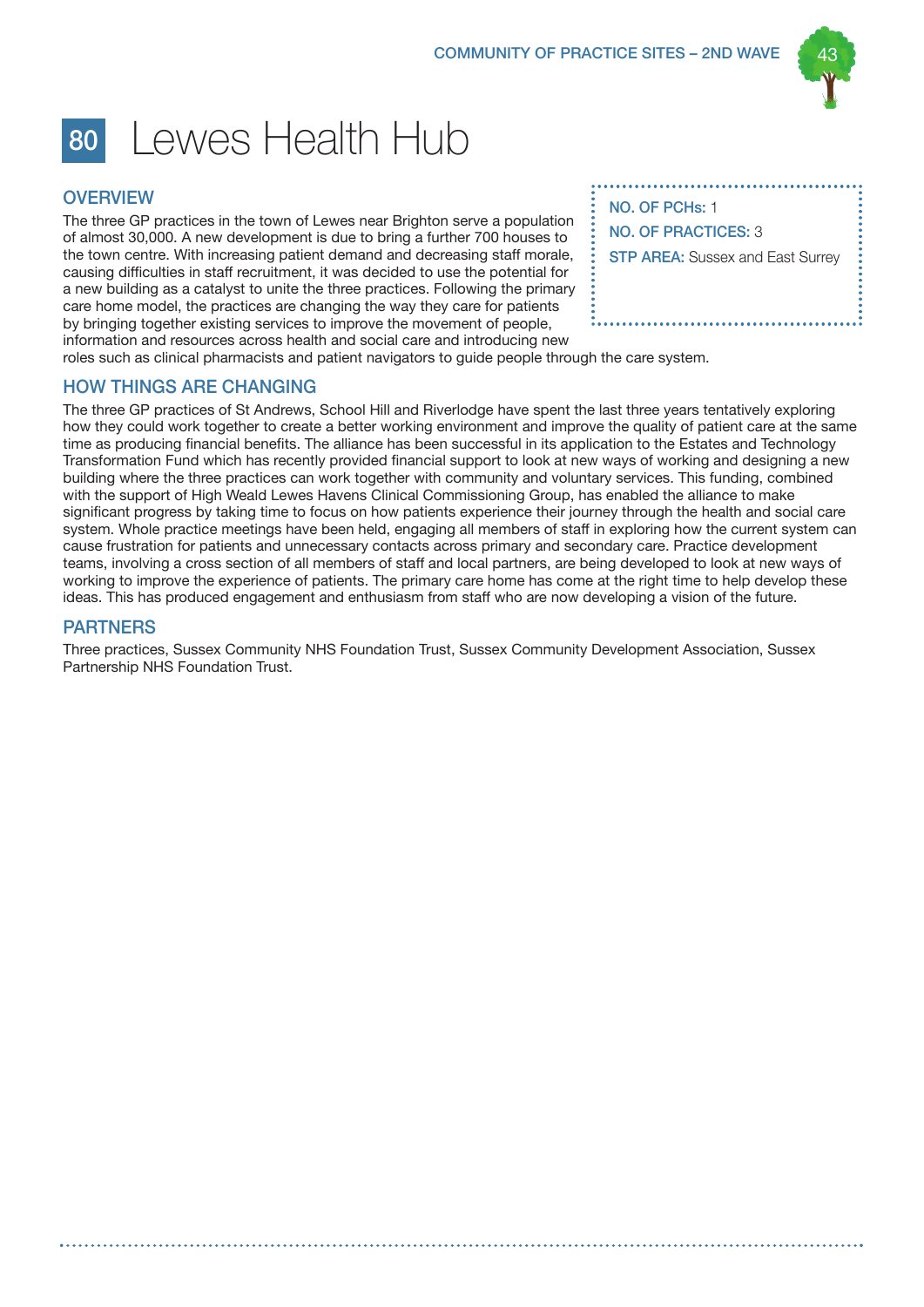

## <sup>80</sup> Lewes Health Hub

#### **OVERVIEW**

The three GP practices in the town of Lewes near Brighton serve a population of almost 30,000. A new development is due to bring a further 700 houses to the town centre. With increasing patient demand and decreasing staff morale, causing difficulties in staff recruitment, it was decided to use the potential for a new building as a catalyst to unite the three practices. Following the primary care home model, the practices are changing the way they care for patients by bringing together existing services to improve the movement of people, information and resources across health and social care and introducing new

roles such as clinical pharmacists and patient navigators to guide people through the care system.

#### HOW THINGS ARE CHANGING

The three GP practices of St Andrews, School Hill and Riverlodge have spent the last three years tentatively exploring how they could work together to create a better working environment and improve the quality of patient care at the same time as producing financial benefits. The alliance has been successful in its application to the Estates and Technology Transformation Fund which has recently provided financial support to look at new ways of working and designing a new building where the three practices can work together with community and voluntary services. This funding, combined with the support of High Weald Lewes Havens Clinical Commissioning Group, has enabled the alliance to make significant progress by taking time to focus on how patients experience their journey through the health and social care system. Whole practice meetings have been held, engaging all members of staff in exploring how the current system can cause frustration for patients and unnecessary contacts across primary and secondary care. Practice development teams, involving a cross section of all members of staff and local partners, are being developed to look at new ways of working to improve the experience of patients. The primary care home has come at the right time to help develop these ideas. This has produced engagement and enthusiasm from staff who are now developing a vision of the future.

#### **PARTNERS**

Three practices, Sussex Community NHS Foundation Trust, Sussex Community Development Association, Sussex Partnership NHS Foundation Trust.

NO. OF PCHs: 1 NO. OF PRACTICES: 3 **STP AREA: Sussex and East Surrey**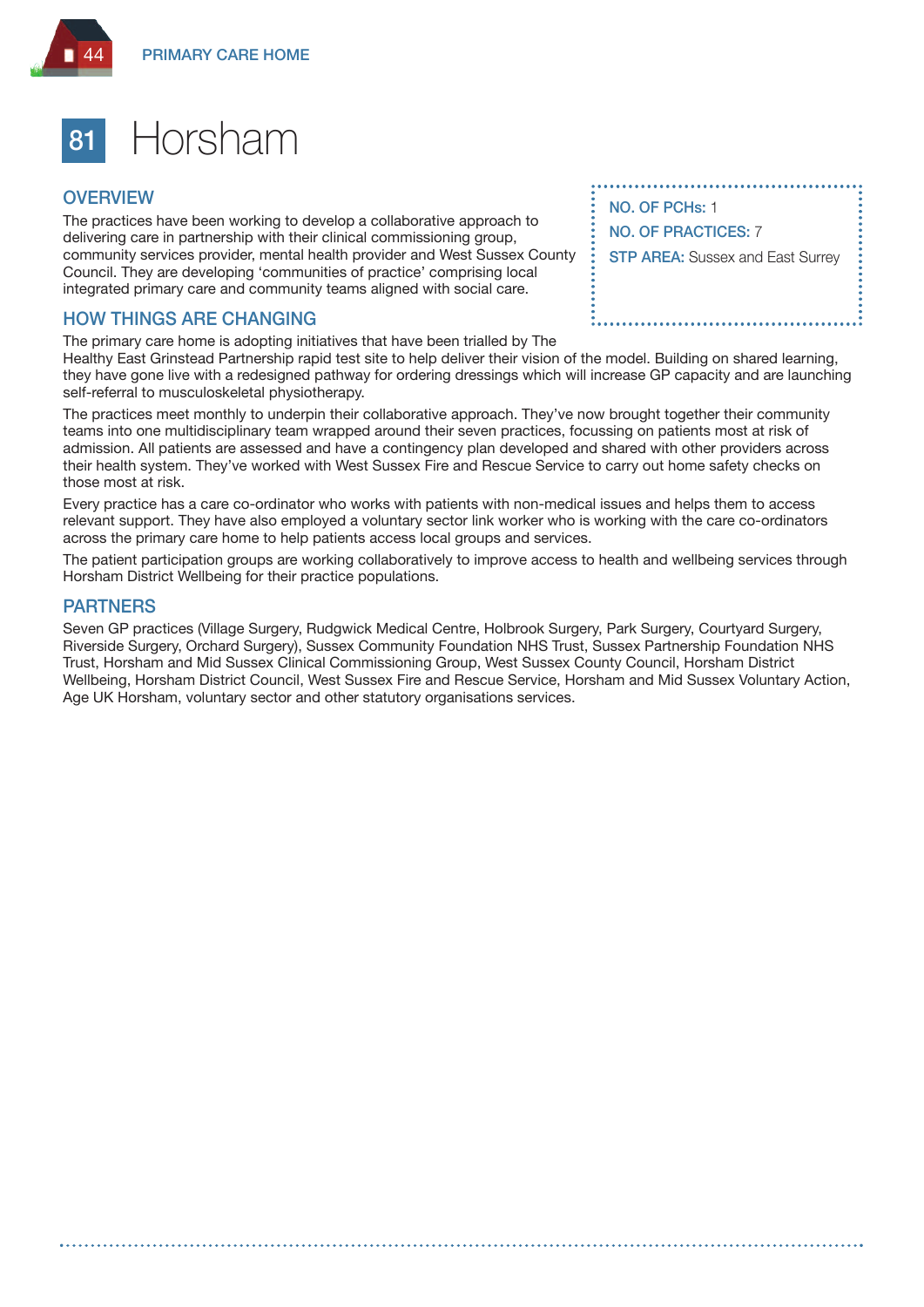# <sup>81</sup> Horsham

#### **OVERVIEW**

The practices have been working to develop a collaborative approach to delivering care in partnership with their clinical commissioning group, community services provider, mental health provider and West Sussex County Council. They are developing 'communities of practice' comprising local integrated primary care and community teams aligned with social care.

#### HOW THINGS ARE CHANGING

The primary care home is adopting initiatives that have been trialled by The

Healthy East Grinstead Partnership rapid test site to help deliver their vision of the model. Building on shared learning, they have gone live with a redesigned pathway for ordering dressings which will increase GP capacity and are launching self-referral to musculoskeletal physiotherapy.

The practices meet monthly to underpin their collaborative approach. They've now brought together their community teams into one multidisciplinary team wrapped around their seven practices, focussing on patients most at risk of admission. All patients are assessed and have a contingency plan developed and shared with other providers across their health system. They've worked with West Sussex Fire and Rescue Service to carry out home safety checks on those most at risk.

Every practice has a care co-ordinator who works with patients with non-medical issues and helps them to access relevant support. They have also employed a voluntary sector link worker who is working with the care co-ordinators across the primary care home to help patients access local groups and services.

The patient participation groups are working collaboratively to improve access to health and wellbeing services through Horsham District Wellbeing for their practice populations.

#### **PARTNERS**

Seven GP practices (Village Surgery, Rudgwick Medical Centre, Holbrook Surgery, Park Surgery, Courtyard Surgery, Riverside Surgery, Orchard Surgery), Sussex Community Foundation NHS Trust, Sussex Partnership Foundation NHS Trust, Horsham and Mid Sussex Clinical Commissioning Group, West Sussex County Council, Horsham District Wellbeing, Horsham District Council, West Sussex Fire and Rescue Service, Horsham and Mid Sussex Voluntary Action, Age UK Horsham, voluntary sector and other statutory organisations services.

NO. OF PCHs: 1 NO. OF PRACTICES: 7 **STP AREA: Sussex and East Surrey** 

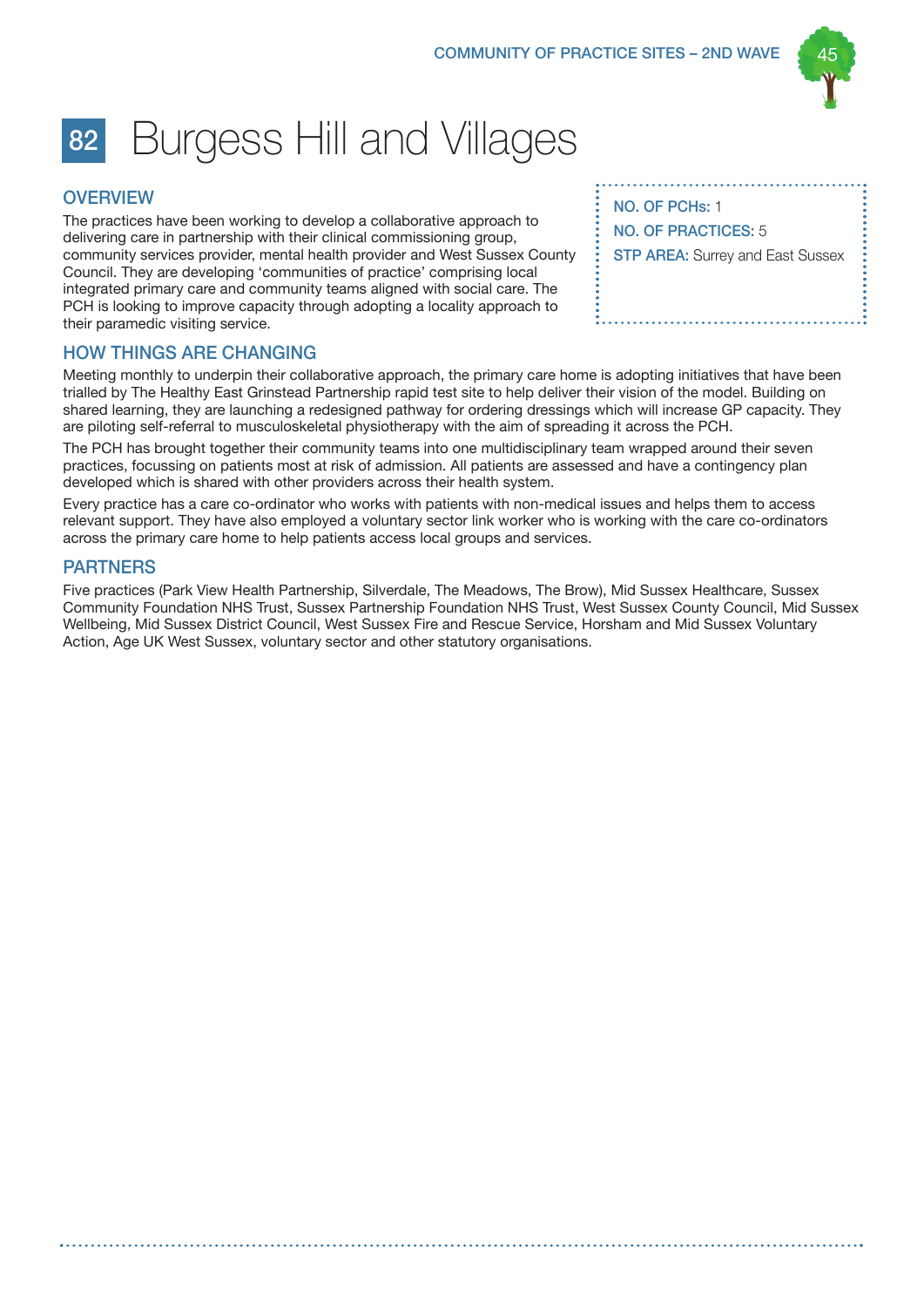

# <sup>82</sup> Burgess Hill and Villages

#### **OVERVIEW**

The practices have been working to develop a collaborative approach to delivering care in partnership with their clinical commissioning group, community services provider, mental health provider and West Sussex County Council. They are developing 'communities of practice' comprising local integrated primary care and community teams aligned with social care. The PCH is looking to improve capacity through adopting a locality approach to their paramedic visiting service.

#### HOW THINGS ARE CHANGING

Meeting monthly to underpin their collaborative approach, the primary care home is adopting initiatives that have been trialled by The Healthy East Grinstead Partnership rapid test site to help deliver their vision of the model. Building on shared learning, they are launching a redesigned pathway for ordering dressings which will increase GP capacity. They are piloting self-referral to musculoskeletal physiotherapy with the aim of spreading it across the PCH.

The PCH has brought together their community teams into one multidisciplinary team wrapped around their seven practices, focussing on patients most at risk of admission. All patients are assessed and have a contingency plan developed which is shared with other providers across their health system.

Every practice has a care co-ordinator who works with patients with non-medical issues and helps them to access relevant support. They have also employed a voluntary sector link worker who is working with the care co-ordinators across the primary care home to help patients access local groups and services.

#### PARTNERS

Five practices (Park View Health Partnership, Silverdale, The Meadows, The Brow), Mid Sussex Healthcare, Sussex Community Foundation NHS Trust, Sussex Partnership Foundation NHS Trust, West Sussex County Council, Mid Sussex Wellbeing, Mid Sussex District Council, West Sussex Fire and Rescue Service, Horsham and Mid Sussex Voluntary Action, Age UK West Sussex, voluntary sector and other statutory organisations.

#### NO. OF PCHs: 1 NO. OF PRACTICES: 5

**STP AREA: Surrey and East Sussex**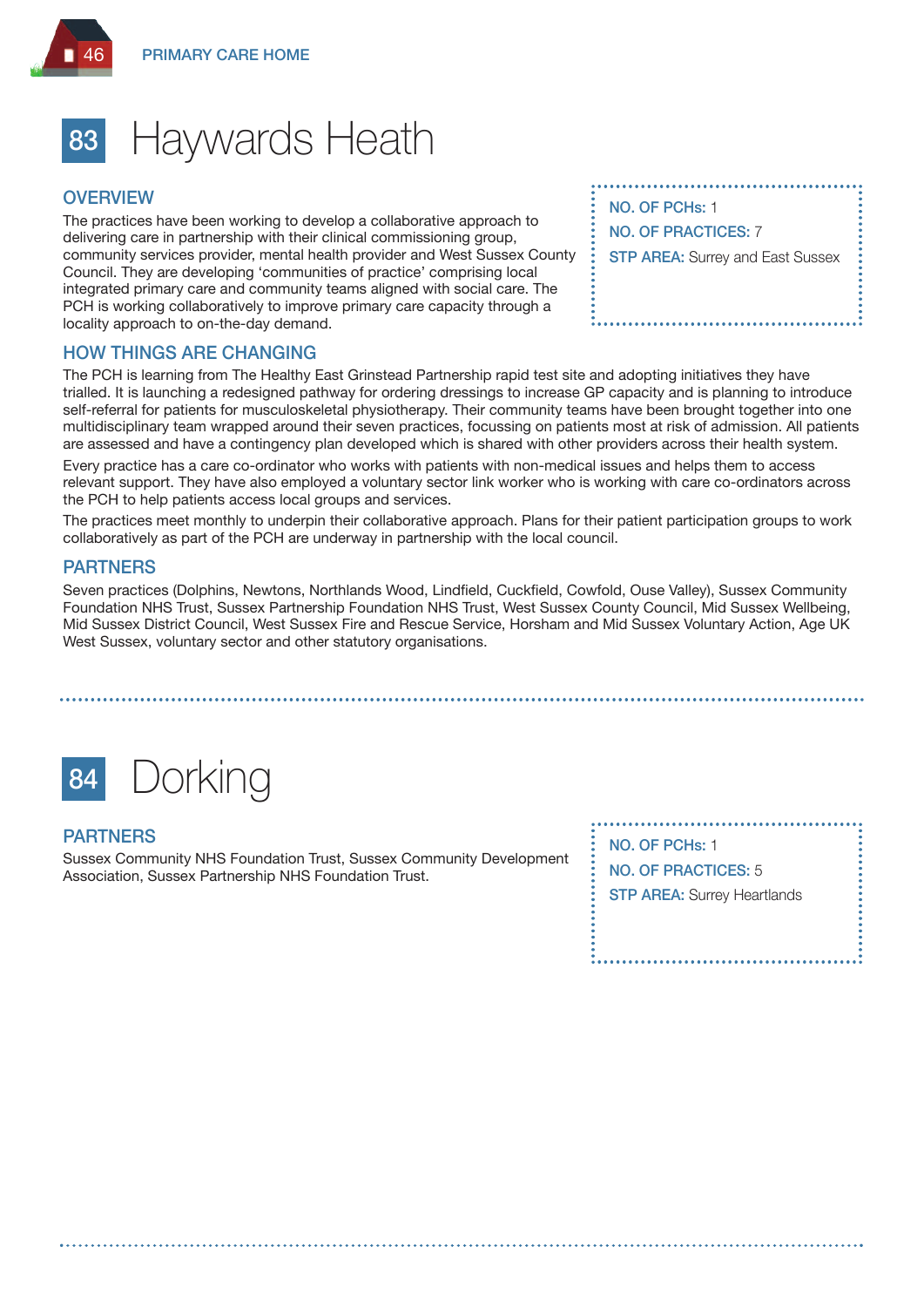83 Haywards Heath

The practices have been working to develop a collaborative approach to delivering care in partnership with their clinical commissioning group, community services provider, mental health provider and West Sussex County Council. They are developing 'communities of practice' comprising local integrated primary care and community teams aligned with social care. The PCH is working collaboratively to improve primary care capacity through a locality approach to on-the-day demand.

#### HOW THINGS ARE CHANGING

The PCH is learning from The Healthy East Grinstead Partnership rapid test site and adopting initiatives they have trialled. It is launching a redesigned pathway for ordering dressings to increase GP capacity and is planning to introduce self-referral for patients for musculoskeletal physiotherapy. Their community teams have been brought together into one multidisciplinary team wrapped around their seven practices, focussing on patients most at risk of admission. All patients are assessed and have a contingency plan developed which is shared with other providers across their health system.

Every practice has a care co-ordinator who works with patients with non-medical issues and helps them to access relevant support. They have also employed a voluntary sector link worker who is working with care co-ordinators across the PCH to help patients access local groups and services.

The practices meet monthly to underpin their collaborative approach. Plans for their patient participation groups to work collaboratively as part of the PCH are underway in partnership with the local council.

#### PARTNERS

Seven practices (Dolphins, Newtons, Northlands Wood, Lindfield, Cuckfield, Cowfold, Ouse Valley), Sussex Community Foundation NHS Trust, Sussex Partnership Foundation NHS Trust, West Sussex County Council, Mid Sussex Wellbeing, Mid Sussex District Council, West Sussex Fire and Rescue Service, Horsham and Mid Sussex Voluntary Action, Age UK West Sussex, voluntary sector and other statutory organisations.



#### **PARTNERS**

Sussex Community NHS Foundation Trust, Sussex Community Development Association, Sussex Partnership NHS Foundation Trust.

NO. OF PCHs: 1 NO. OF PRACTICES: 5 **STP AREA: Surrey Heartlands** 

NO. OF PCHs: 1 NO. OF PRACTICES: 7 **STP AREA: Surrey and East Sussex**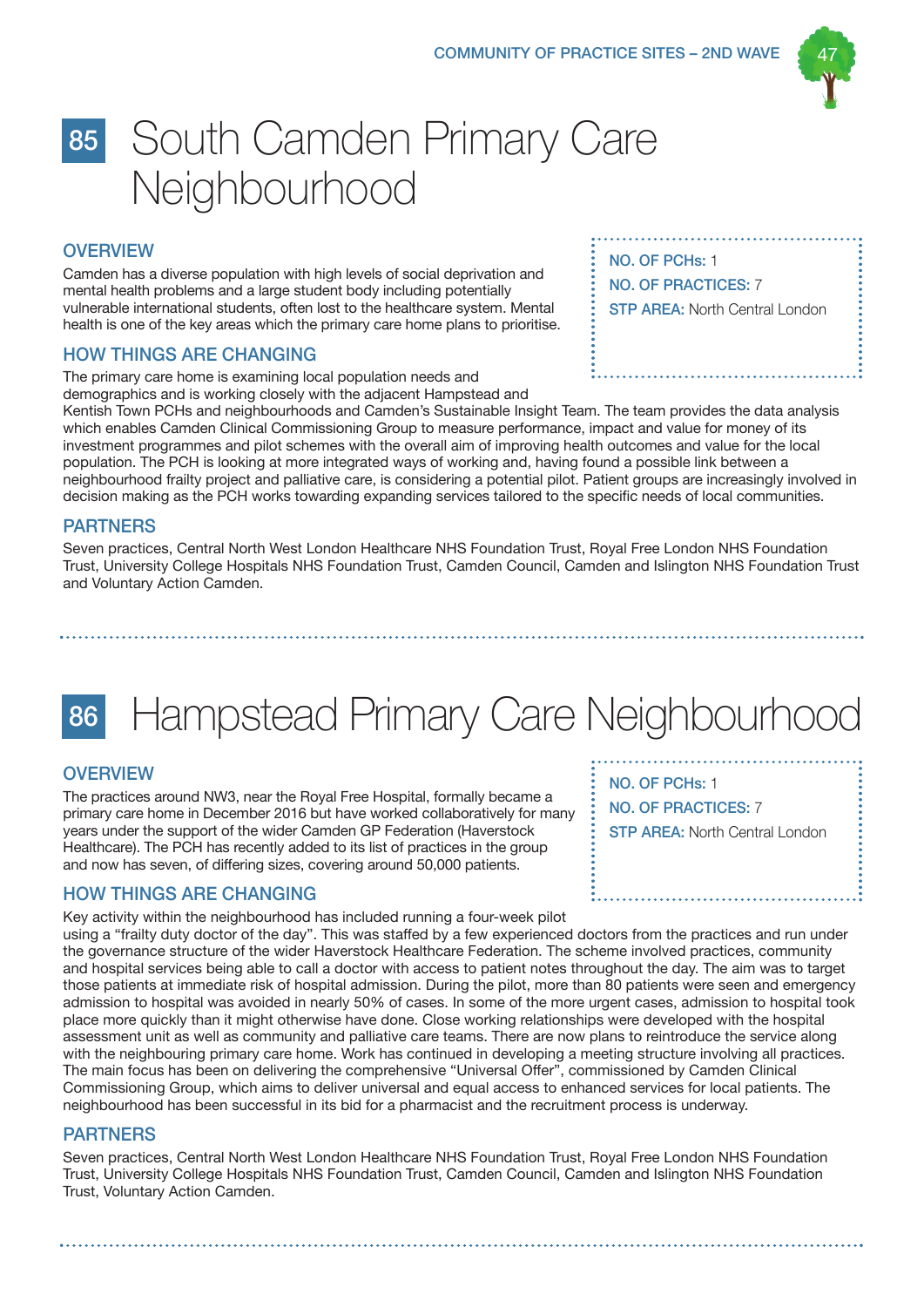

# 85 South Camden Primary Care **Neighbourhood**

#### **OVERVIEW**

Camden has a diverse population with high levels of social deprivation and mental health problems and a large student body including potentially vulnerable international students, often lost to the healthcare system. Mental health is one of the key areas which the primary care home plans to prioritise.

#### HOW THINGS ARE CHANGING

The primary care home is examining local population needs and demographics and is working closely with the adjacent Hampstead and

Kentish Town PCHs and neighbourhoods and Camden's Sustainable Insight Team. The team provides the data analysis which enables Camden Clinical Commissioning Group to measure performance, impact and value for money of its investment programmes and pilot schemes with the overall aim of improving health outcomes and value for the local population. The PCH is looking at more integrated ways of working and, having found a possible link between a neighbourhood frailty project and palliative care, is considering a potential pilot. Patient groups are increasingly involved in decision making as the PCH works towarding expanding services tailored to the specific needs of local communities.

#### PARTNERS

Seven practices, Central North West London Healthcare NHS Foundation Trust, Royal Free London NHS Foundation Trust, University College Hospitals NHS Foundation Trust, Camden Council, Camden and Islington NHS Foundation Trust and Voluntary Action Camden.

# 86 Hampstead Primary Care Neighbourhood

#### **OVERVIEW**

The practices around NW3, near the Royal Free Hospital, formally became a primary care home in December 2016 but have worked collaboratively for many years under the support of the wider Camden GP Federation (Haverstock Healthcare). The PCH has recently added to its list of practices in the group and now has seven, of differing sizes, covering around 50,000 patients.

#### HOW THINGS ARE CHANGING

Key activity within the neighbourhood has included running a four-week pilot

using a "frailty duty doctor of the day". This was staffed by a few experienced doctors from the practices and run under the governance structure of the wider Haverstock Healthcare Federation. The scheme involved practices, community and hospital services being able to call a doctor with access to patient notes throughout the day. The aim was to target those patients at immediate risk of hospital admission. During the pilot, more than 80 patients were seen and emergency admission to hospital was avoided in nearly 50% of cases. In some of the more urgent cases, admission to hospital took place more quickly than it might otherwise have done. Close working relationships were developed with the hospital assessment unit as well as community and palliative care teams. There are now plans to reintroduce the service along with the neighbouring primary care home. Work has continued in developing a meeting structure involving all practices. The main focus has been on delivering the comprehensive "Universal Offer", commissioned by Camden Clinical Commissioning Group, which aims to deliver universal and equal access to enhanced services for local patients. The neighbourhood has been successful in its bid for a pharmacist and the recruitment process is underway.

#### PARTNERS

Seven practices, Central North West London Healthcare NHS Foundation Trust, Royal Free London NHS Foundation Trust, University College Hospitals NHS Foundation Trust, Camden Council, Camden and Islington NHS Foundation Trust, Voluntary Action Camden.

NO. OF PCHs: 1 NO. OF PRACTICES: 7 **STP AREA: North Central London** 

NO. OF PCHs: 1

NO. OF PRACTICES: 7

**STP AREA: North Central London**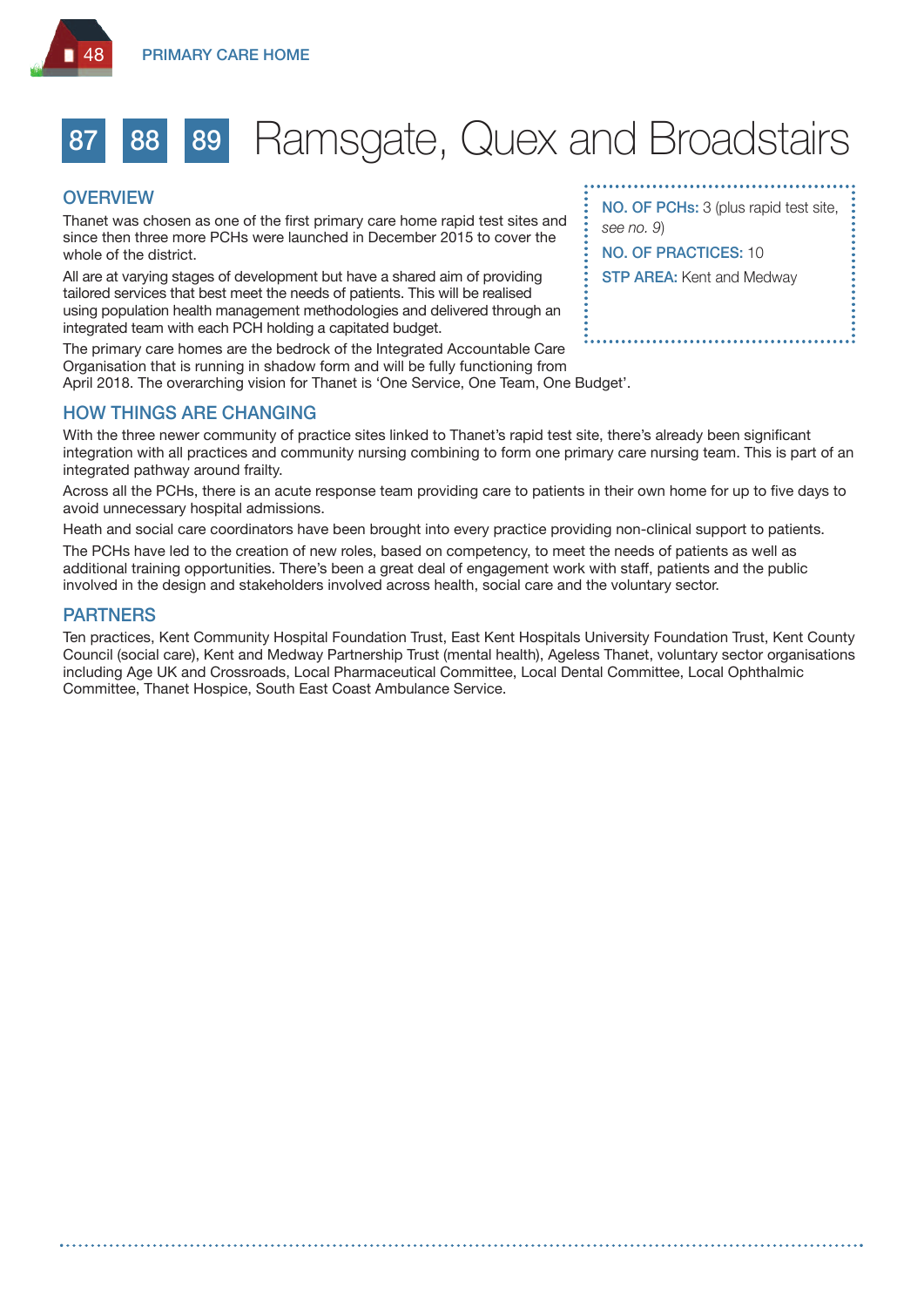

Thanet was chosen as one of the first primary care home rapid test sites and since then three more PCHs were launched in December 2015 to cover the whole of the district.

All are at varying stages of development but have a shared aim of providing tailored services that best meet the needs of patients. This will be realised using population health management methodologies and delivered through an integrated team with each PCH holding a capitated budget.

The primary care homes are the bedrock of the Integrated Accountable Care Organisation that is running in shadow form and will be fully functioning from April 2018. The overarching vision for Thanet is 'One Service, One Team, One Budget'.

#### HOW THINGS ARE CHANGING

With the three newer community of practice sites linked to Thanet's rapid test site, there's already been significant integration with all practices and community nursing combining to form one primary care nursing team. This is part of an integrated pathway around frailty.

Across all the PCHs, there is an acute response team providing care to patients in their own home for up to five days to avoid unnecessary hospital admissions.

Heath and social care coordinators have been brought into every practice providing non-clinical support to patients.

The PCHs have led to the creation of new roles, based on competency, to meet the needs of patients as well as additional training opportunities. There's been a great deal of engagement work with staff, patients and the public involved in the design and stakeholders involved across health, social care and the voluntary sector.

#### **PARTNERS**

Ten practices, Kent Community Hospital Foundation Trust, East Kent Hospitals University Foundation Trust, Kent County Council (social care), Kent and Medway Partnership Trust (mental health), Ageless Thanet, voluntary sector organisations including Age UK and Crossroads, Local Pharmaceutical Committee, Local Dental Committee, Local Ophthalmic Committee, Thanet Hospice, South East Coast Ambulance Service.

NO. OF PCHs: 3 (plus rapid test site, *see no. 9*) NO. OF PRACTICES: 10 **STP AREA: Kent and Medway**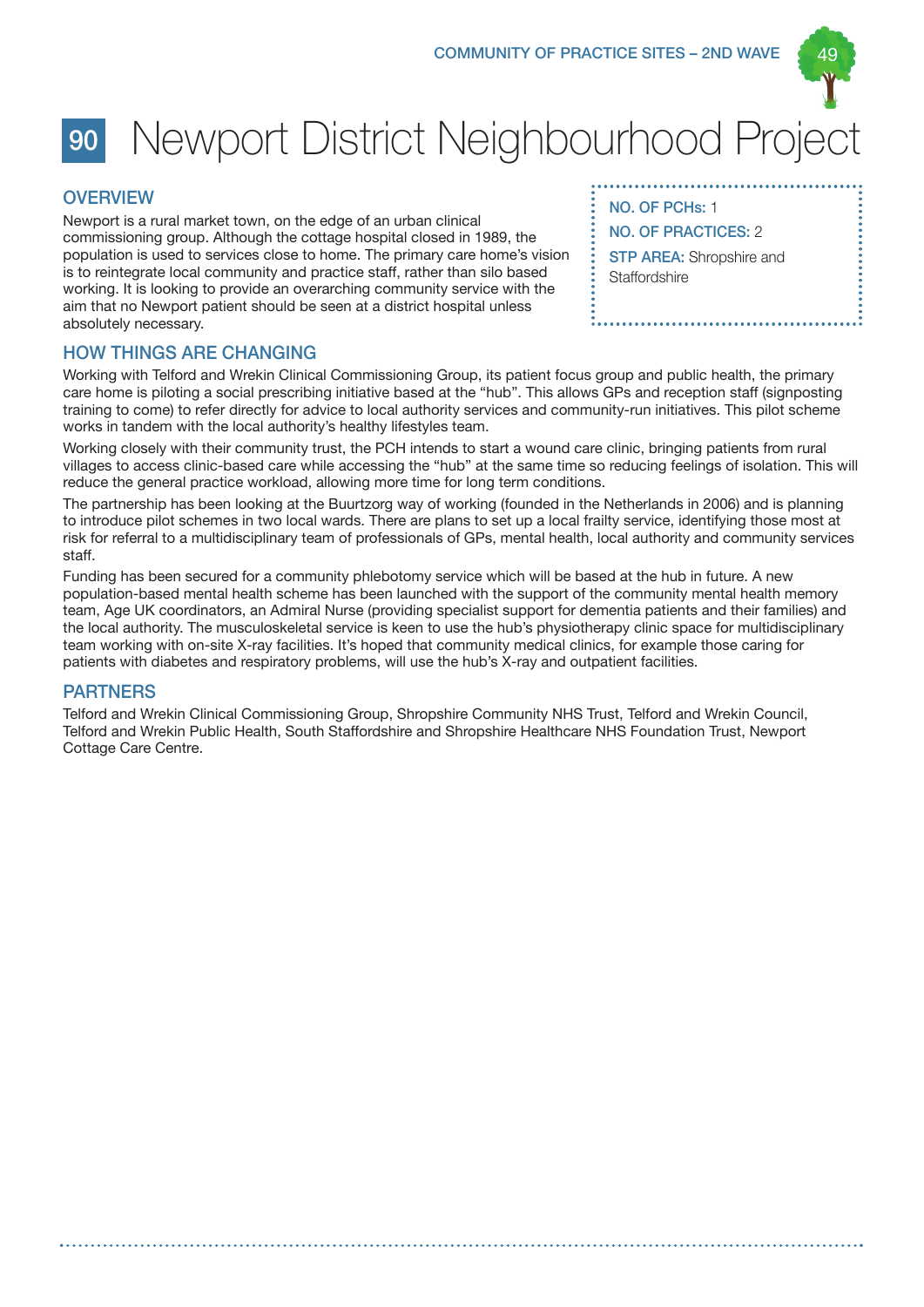

# <sup>90</sup> Newport District Neighbourhood Project

#### **OVERVIEW**

Newport is a rural market town, on the edge of an urban clinical commissioning group. Although the cottage hospital closed in 1989, the population is used to services close to home. The primary care home's vision is to reintegrate local community and practice staff, rather than silo based working. It is looking to provide an overarching community service with the aim that no Newport patient should be seen at a district hospital unless absolutely necessary.

#### HOW THINGS ARE CHANGING

Working with Telford and Wrekin Clinical Commissioning Group, its patient focus group and public health, the primary care home is piloting a social prescribing initiative based at the "hub". This allows GPs and reception staff (signposting training to come) to refer directly for advice to local authority services and community-run initiatives. This pilot scheme works in tandem with the local authority's healthy lifestyles team.

Working closely with their community trust, the PCH intends to start a wound care clinic, bringing patients from rural villages to access clinic-based care while accessing the "hub" at the same time so reducing feelings of isolation. This will reduce the general practice workload, allowing more time for long term conditions.

The partnership has been looking at the Buurtzorg way of working (founded in the Netherlands in 2006) and is planning to introduce pilot schemes in two local wards. There are plans to set up a local frailty service, identifying those most at risk for referral to a multidisciplinary team of professionals of GPs, mental health, local authority and community services staff.

Funding has been secured for a community phlebotomy service which will be based at the hub in future. A new population-based mental health scheme has been launched with the support of the community mental health memory team, Age UK coordinators, an Admiral Nurse (providing specialist support for dementia patients and their families) and the local authority. The musculoskeletal service is keen to use the hub's physiotherapy clinic space for multidisciplinary team working with on-site X-ray facilities. It's hoped that community medical clinics, for example those caring for patients with diabetes and respiratory problems, will use the hub's X-ray and outpatient facilities.

#### PARTNERS

Telford and Wrekin Clinical Commissioning Group, Shropshire Community NHS Trust, Telford and Wrekin Council, Telford and Wrekin Public Health, South Staffordshire and Shropshire Healthcare NHS Foundation Trust, Newport Cottage Care Centre.

#### NO. OF PCHs: 1

NO. OF PRACTICES: 2 **STP AREA: Shropshire and Staffordshire**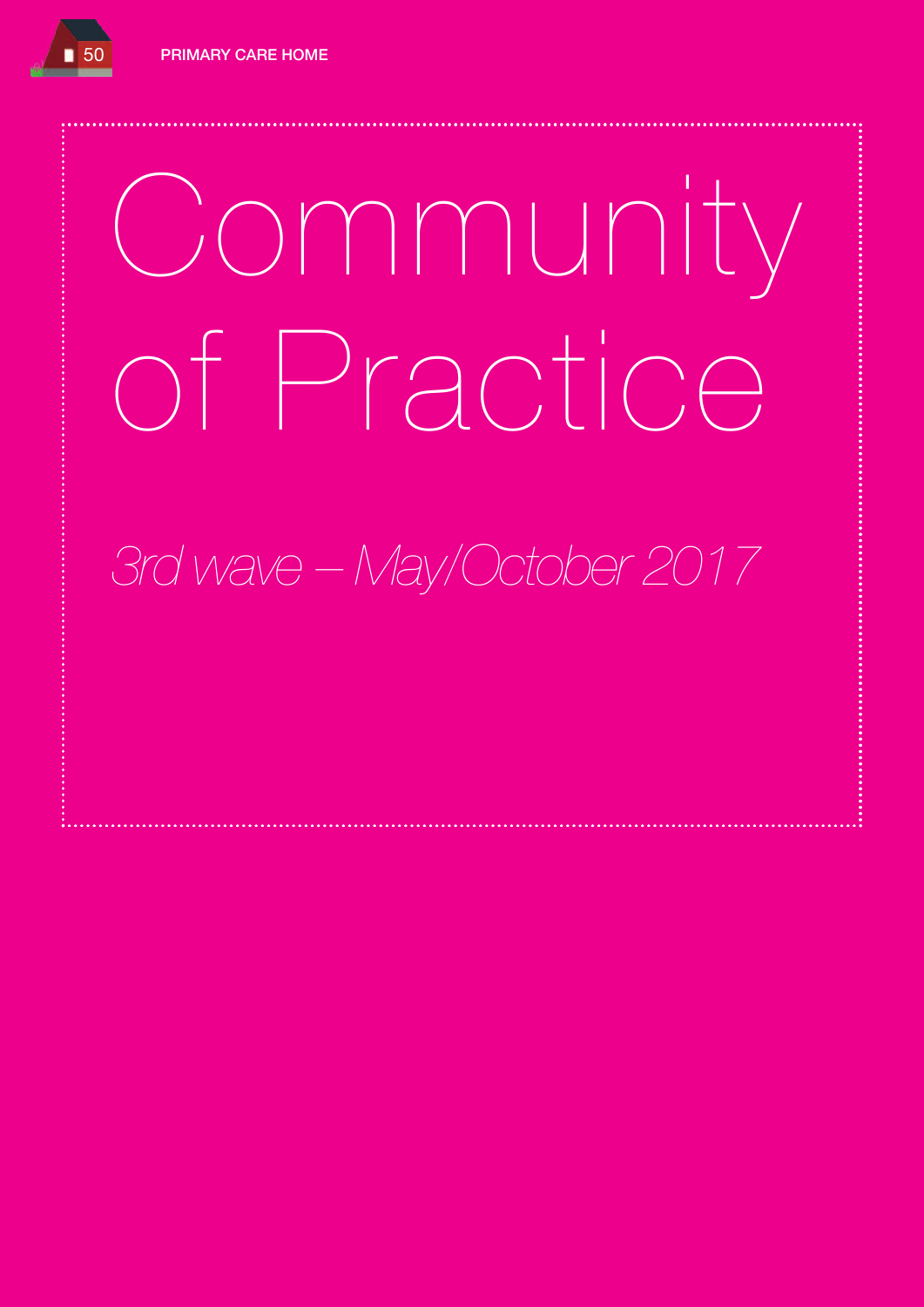50

# Community of Practice

*3rd wave – May/October 2017*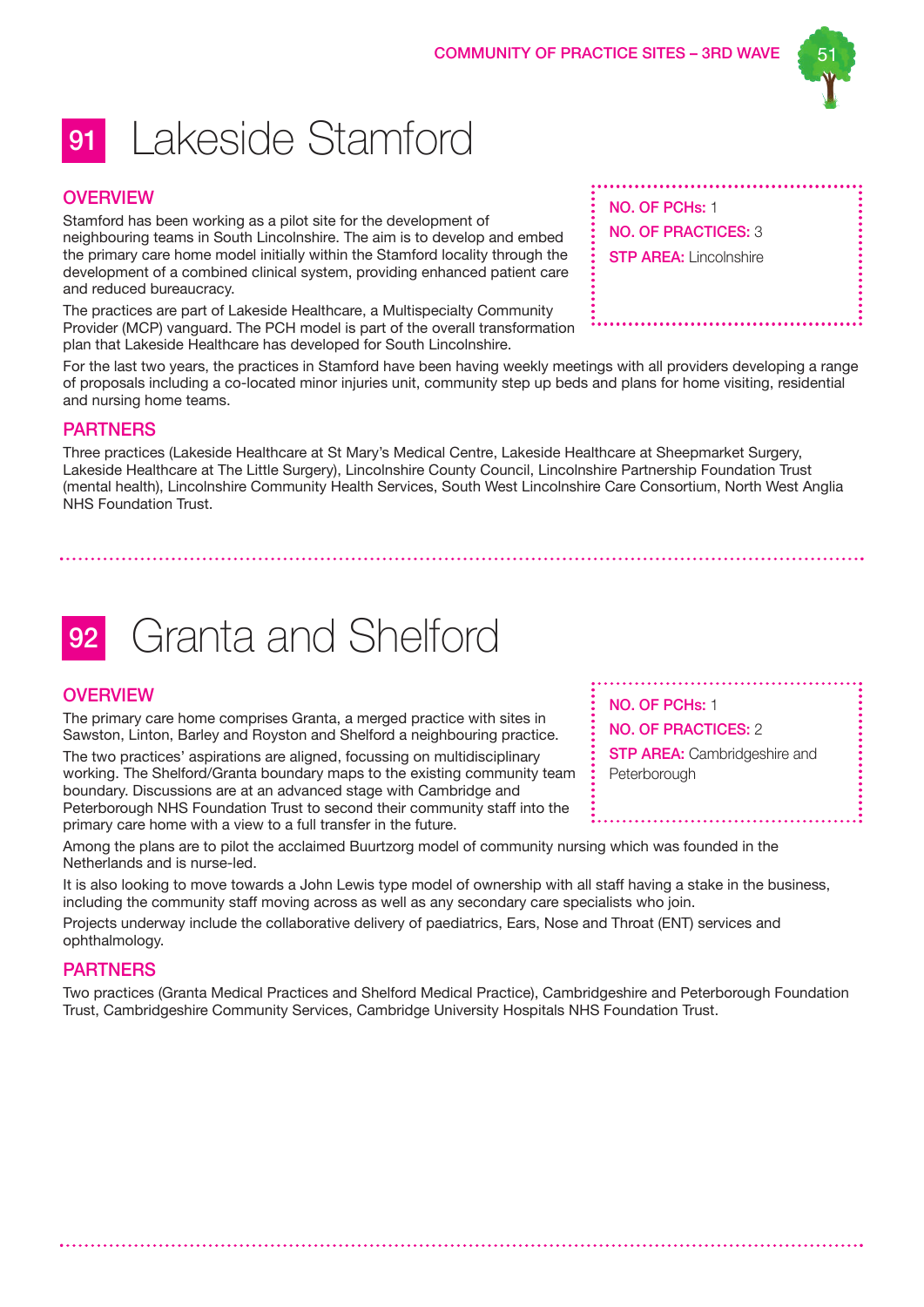# Lakeside Stamford

#### **OVERVIEW**

Stamford has been working as a pilot site for the development of neighbouring teams in South Lincolnshire. The aim is to develop and embed the primary care home model initially within the Stamford locality through the development of a combined clinical system, providing enhanced patient care and reduced bureaucracy.

The practices are part of Lakeside Healthcare, a Multispecialty Community Provider (MCP) vanguard. The PCH model is part of the overall transformation plan that Lakeside Healthcare has developed for South Lincolnshire.

For the last two years, the practices in Stamford have been having weekly meetings with all providers developing a range of proposals including a co-located minor injuries unit, community step up beds and plans for home visiting, residential and nursing home teams.

#### PARTNERS

Three practices (Lakeside Healthcare at St Mary's Medical Centre, Lakeside Healthcare at Sheepmarket Surgery, Lakeside Healthcare at The Little Surgery), Lincolnshire County Council, Lincolnshire Partnership Foundation Trust (mental health), Lincolnshire Community Health Services, South West Lincolnshire Care Consortium, North West Anglia NHS Foundation Trust.

### Granta and Shelford

#### **OVERVIEW**

The primary care home comprises Granta, a merged practice with sites in Sawston, Linton, Barley and Royston and Shelford a neighbouring practice.

The two practices' aspirations are aligned, focussing on multidisciplinary working. The Shelford/Granta boundary maps to the existing community team boundary. Discussions are at an advanced stage with Cambridge and Peterborough NHS Foundation Trust to second their community staff into the primary care home with a view to a full transfer in the future.

Among the plans are to pilot the acclaimed Buurtzorg model of community nursing which was founded in the Netherlands and is nurse-led.

It is also looking to move towards a John Lewis type model of ownership with all staff having a stake in the business, including the community staff moving across as well as any secondary care specialists who join.

Projects underway include the collaborative delivery of paediatrics, Ears, Nose and Throat (ENT) services and ophthalmology.

#### PARTNERS

Two practices (Granta Medical Practices and Shelford Medical Practice), Cambridgeshire and Peterborough Foundation Trust, Cambridgeshire Community Services, Cambridge University Hospitals NHS Foundation Trust.

### NO. OF PCHs: 1 NO. OF PRACTICES: 3 **STP AREA: Lincolnshire**

NO. OF PCHs: 1

NO. OF PRACTICES: 2

**STP AREA: Cambridgeshire and Peterborough** 

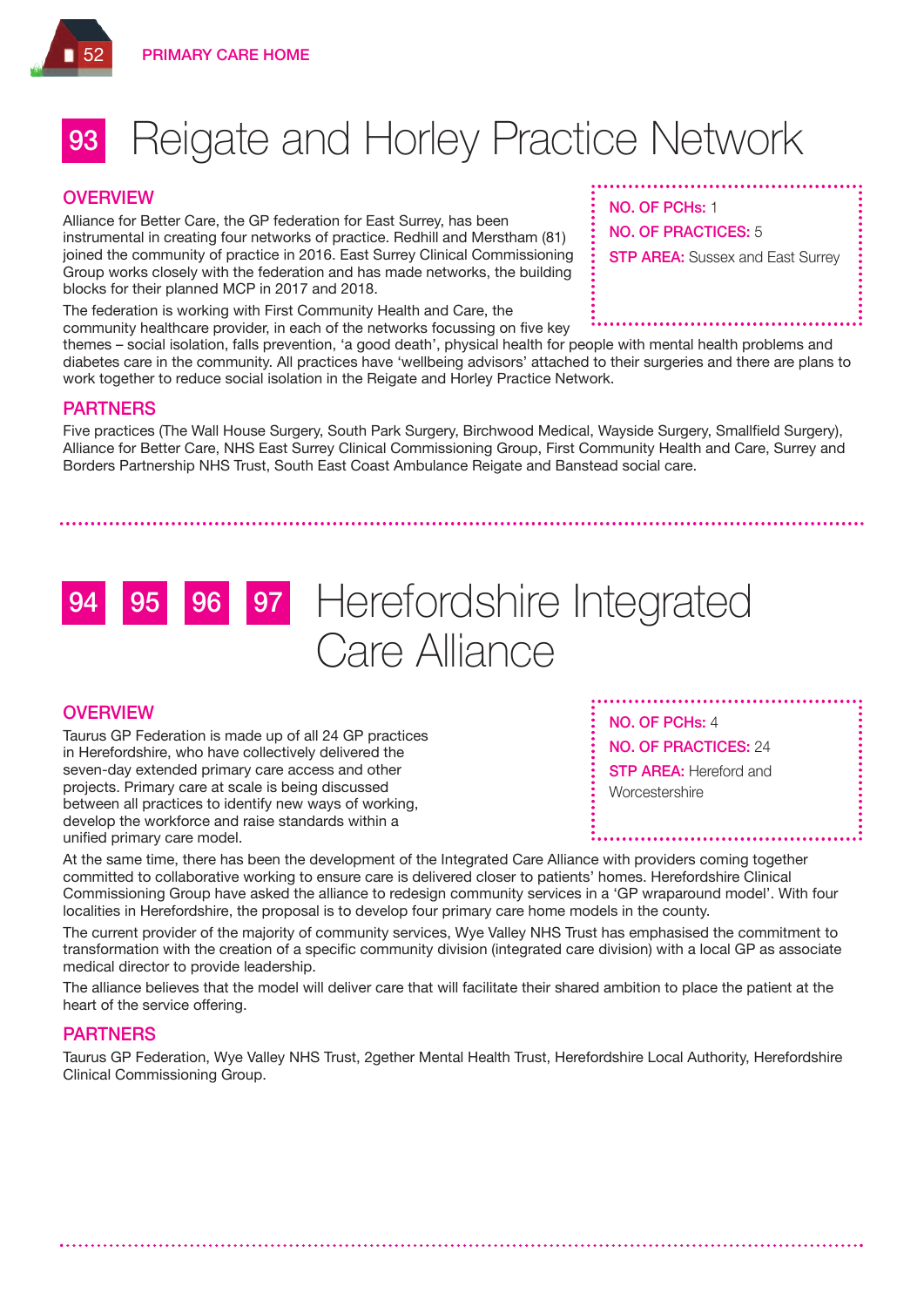

Alliance for Better Care, the GP federation for East Surrey, has been instrumental in creating four networks of practice. Redhill and Merstham (81) joined the community of practice in 2016. East Surrey Clinical Commissioning Group works closely with the federation and has made networks, the building blocks for their planned MCP in 2017 and 2018.

The federation is working with First Community Health and Care, the

community healthcare provider, in each of the networks focussing on five key themes – social isolation, falls prevention, 'a good death', physical health for people with mental health problems and diabetes care in the community. All practices have 'wellbeing advisors' attached to their surgeries and there are plans to work together to reduce social isolation in the Reigate and Horley Practice Network.

#### PARTNERS

Five practices (The Wall House Surgery, South Park Surgery, Birchwood Medical, Wayside Surgery, Smallfield Surgery), Alliance for Better Care, NHS East Surrey Clinical Commissioning Group, First Community Health and Care, Surrey and Borders Partnership NHS Trust, South East Coast Ambulance Reigate and Banstead social care.

### **96 97** Herefordshire Integrated Care Alliance

#### **OVERVIEW**

Taurus GP Federation is made up of all 24 GP practices in Herefordshire, who have collectively delivered the seven-day extended primary care access and other projects. Primary care at scale is being discussed between all practices to identify new ways of working, develop the workforce and raise standards within a unified primary care model.

#### NO. OF PCHs: 4

NO. OF PRACTICES: 24 **STP AREA: Hereford and** 

**Worcestershire** 

At the same time, there has been the development of the Integrated Care Alliance with providers coming together committed to collaborative working to ensure care is delivered closer to patients' homes. Herefordshire Clinical Commissioning Group have asked the alliance to redesign community services in a 'GP wraparound model'. With four localities in Herefordshire, the proposal is to develop four primary care home models in the county.

The current provider of the majority of community services, Wye Valley NHS Trust has emphasised the commitment to transformation with the creation of a specific community division (integrated care division) with a local GP as associate medical director to provide leadership.

The alliance believes that the model will deliver care that will facilitate their shared ambition to place the patient at the heart of the service offering.

#### **PARTNERS**

Taurus GP Federation, Wye Valley NHS Trust, 2gether Mental Health Trust, Herefordshire Local Authority, Herefordshire Clinical Commissioning Group.

NO. OF PCHs: 1 NO. OF PRACTICES: 5

**STP AREA:** Sussex and East Surrey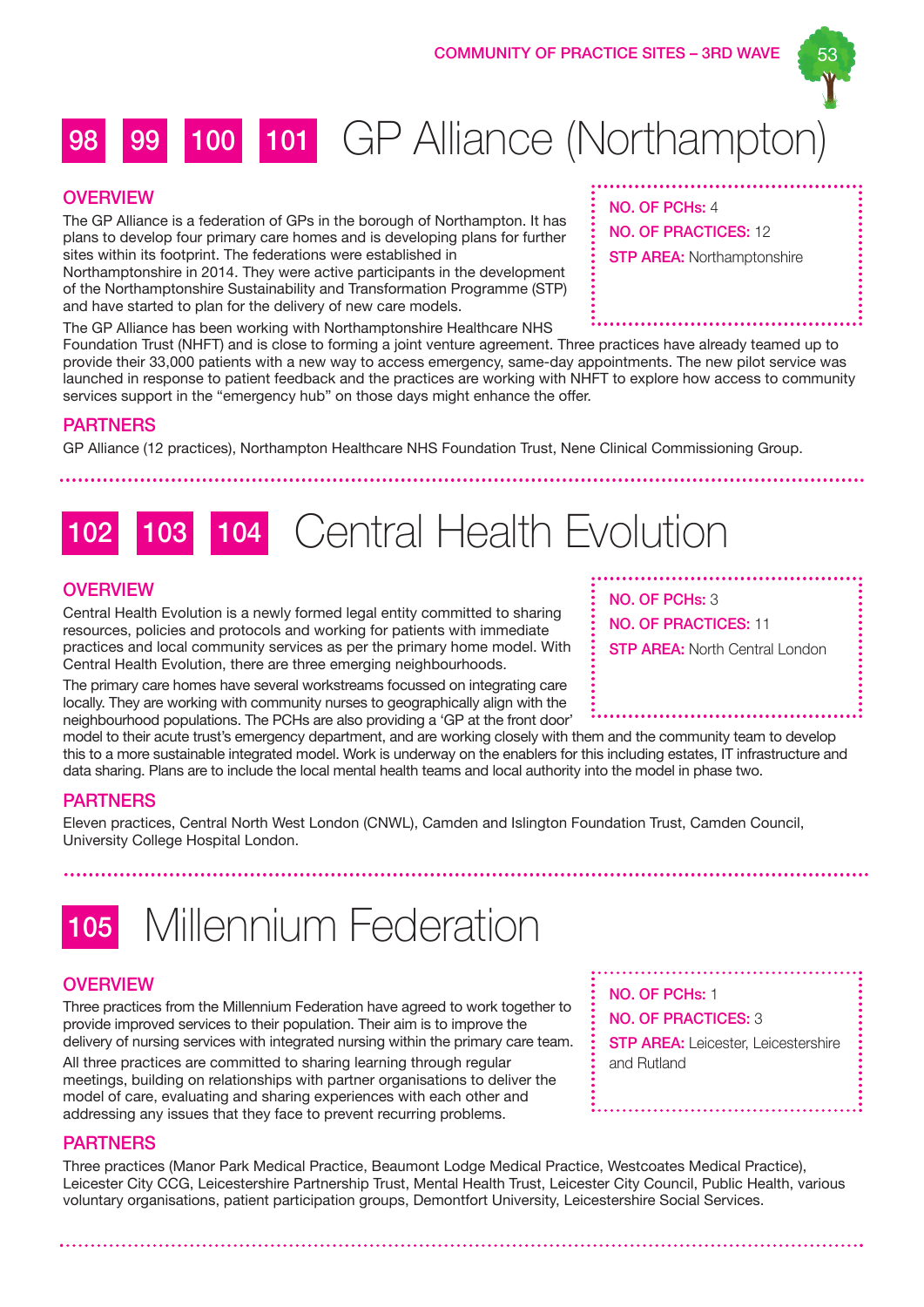

# 98 99 100 101 GP Alliance (Northampton)

#### **OVERVIEW**

The GP Alliance is a federation of GPs in the borough of Northampton. It has plans to develop four primary care homes and is developing plans for further sites within its footprint. The federations were established in

Northamptonshire in 2014. They were active participants in the development of the Northamptonshire Sustainability and Transformation Programme (STP) and have started to plan for the delivery of new care models.

The GP Alliance has been working with Northamptonshire Healthcare NHS

Foundation Trust (NHFT) and is close to forming a joint venture agreement. Three practices have already teamed up to provide their 33,000 patients with a new way to access emergency, same-day appointments. The new pilot service was launched in response to patient feedback and the practices are working with NHFT to explore how access to community services support in the "emergency hub" on those days might enhance the offer.

#### PARTNERS

GP Alliance (12 practices), Northampton Healthcare NHS Foundation Trust, Nene Clinical Commissioning Group.



# 103 104 Central Health Evolution

#### **OVERVIEW**

Central Health Evolution is a newly formed legal entity committed to sharing resources, policies and protocols and working for patients with immediate practices and local community services as per the primary home model. With Central Health Evolution, there are three emerging neighbourhoods.

The primary care homes have several workstreams focussed on integrating care locally. They are working with community nurses to geographically align with the neighbourhood populations. The PCHs are also providing a 'GP at the front door'

model to their acute trust's emergency department, and are working closely with them and the community team to develop this to a more sustainable integrated model. Work is underway on the enablers for this including estates, IT infrastructure and data sharing. Plans are to include the local mental health teams and local authority into the model in phase two.

#### PARTNERS

Eleven practices, Central North West London (CNWL), Camden and Islington Foundation Trust, Camden Council, University College Hospital London.

**Millennium Federation** 

#### **OVERVIEW**

Three practices from the Millennium Federation have agreed to work together to provide improved services to their population. Their aim is to improve the delivery of nursing services with integrated nursing within the primary care team.

All three practices are committed to sharing learning through regular meetings, building on relationships with partner organisations to deliver the model of care, evaluating and sharing experiences with each other and addressing any issues that they face to prevent recurring problems.

#### PARTNERS

Three practices (Manor Park Medical Practice, Beaumont Lodge Medical Practice, Westcoates Medical Practice), Leicester City CCG, Leicestershire Partnership Trust, Mental Health Trust, Leicester City Council, Public Health, various voluntary organisations, patient participation groups, Demontfort University, Leicestershire Social Services.

NO. OF PCHs: 1 NO. OF PRACTICES: 3 **STP AREA: Leicester, Leicestershire** and Rutland

NO. OF PCHs: 3

NO. OF PRACTICES: 11

**STP AREA: North Central London** 

NO. OF PCHs: 4 NO. OF PRACTICES: 12

**STP AREA: Northamptonshire**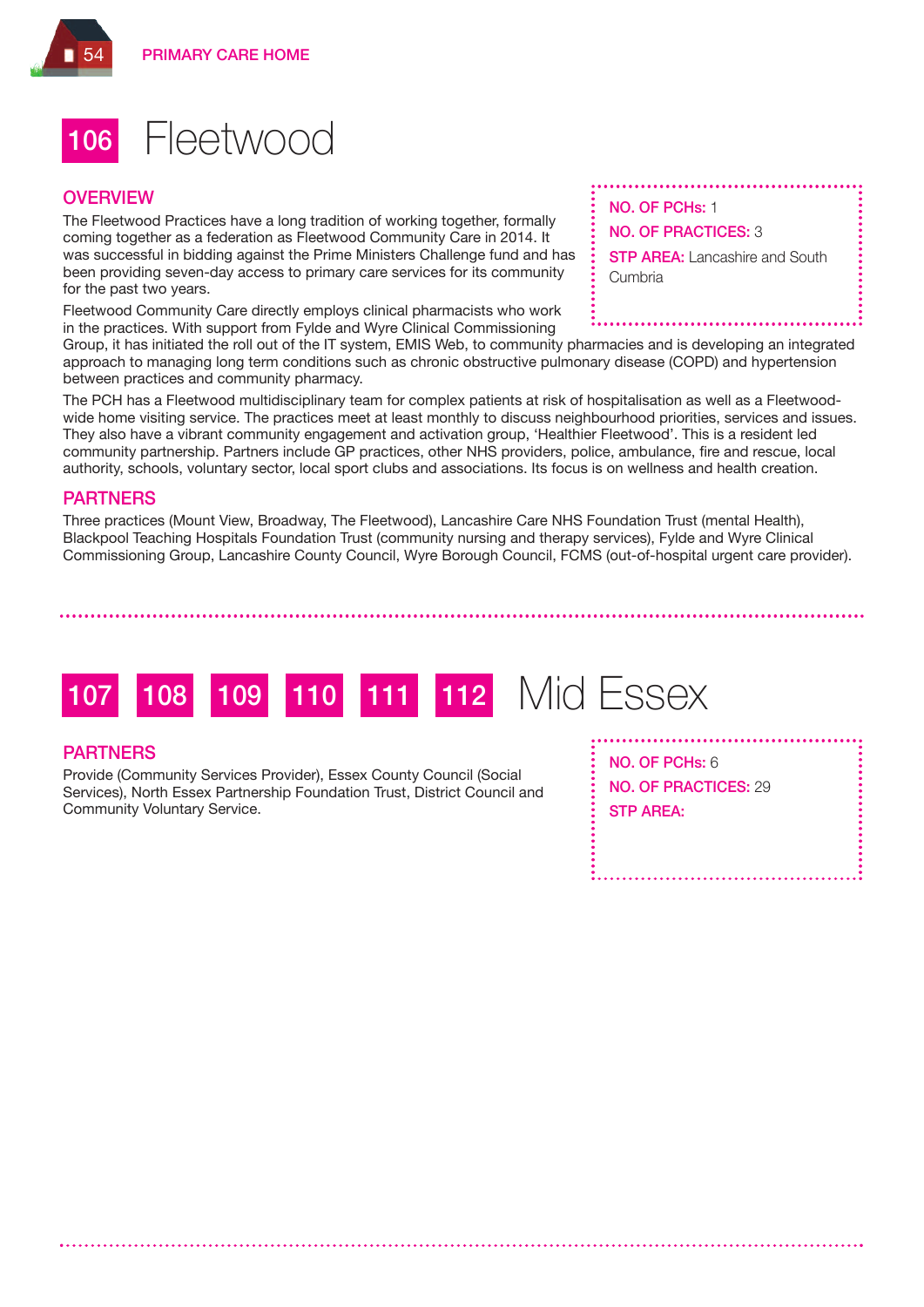<sup>106</sup> Fleetwood

The Fleetwood Practices have a long tradition of working together, formally coming together as a federation as Fleetwood Community Care in 2014. It was successful in bidding against the Prime Ministers Challenge fund and has been providing seven-day access to primary care services for its community for the past two years.

Fleetwood Community Care directly employs clinical pharmacists who work in the practices. With support from Fylde and Wyre Clinical Commissioning

NO. OF PCHs: 1 NO. OF PRACTICES: 3 **STP AREA: Lancashire and South Cumbria** 

Group, it has initiated the roll out of the IT system, EMIS Web, to community pharmacies and is developing an integrated approach to managing long term conditions such as chronic obstructive pulmonary disease (COPD) and hypertension between practices and community pharmacy.

The PCH has a Fleetwood multidisciplinary team for complex patients at risk of hospitalisation as well as a Fleetwoodwide home visiting service. The practices meet at least monthly to discuss neighbourhood priorities, services and issues. They also have a vibrant community engagement and activation group, 'Healthier Fleetwood'. This is a resident led community partnership. Partners include GP practices, other NHS providers, police, ambulance, fire and rescue, local authority, schools, voluntary sector, local sport clubs and associations. Its focus is on wellness and health creation.

#### PARTNERS

Three practices (Mount View, Broadway, The Fleetwood), Lancashire Care NHS Foundation Trust (mental Health), Blackpool Teaching Hospitals Foundation Trust (community nursing and therapy services), Fylde and Wyre Clinical Commissioning Group, Lancashire County Council, Wyre Borough Council, FCMS (out-of-hospital urgent care provider).

108 109 110 111 112 Mid Essex

#### PARTNERS

Provide (Community Services Provider), Essex County Council (Social Services), North Essex Partnership Foundation Trust, District Council and Community Voluntary Service.

NO. OF PCHs: 6 NO. OF PRACTICES: 29 STP AREA: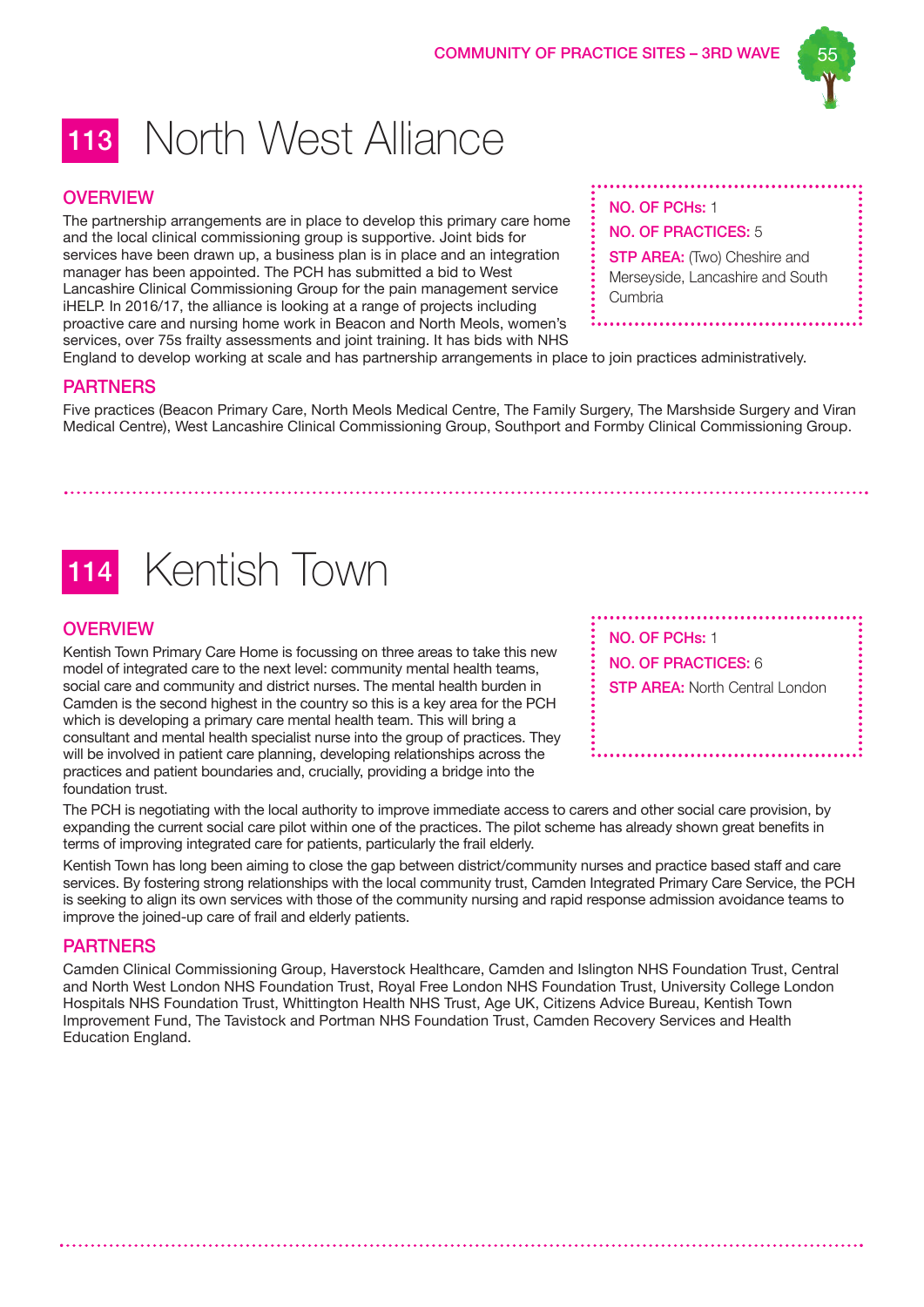# <sup>113</sup> North West Alliance

#### **OVERVIEW**

The partnership arrangements are in place to develop this primary care home and the local clinical commissioning group is supportive. Joint bids for services have been drawn up, a business plan is in place and an integration manager has been appointed. The PCH has submitted a bid to West Lancashire Clinical Commissioning Group for the pain management service iHELP. In 2016/17, the alliance is looking at a range of projects including proactive care and nursing home work in Beacon and North Meols, women's services, over 75s frailty assessments and joint training. It has bids with NHS

| <b>NO. OF PCHs: 1</b>                                                              |
|------------------------------------------------------------------------------------|
| <b>NO. OF PRACTICES: 5</b>                                                         |
| <b>STP AREA:</b> (Two) Cheshire and<br>Merseyside, Lancashire and South<br>Cumbria |

England to develop working at scale and has partnership arrangements in place to join practices administratively.

#### **PARTNERS**

Five practices (Beacon Primary Care, North Meols Medical Centre, The Family Surgery, The Marshside Surgery and Viran Medical Centre), West Lancashire Clinical Commissioning Group, Southport and Formby Clinical Commissioning Group.

# <sup>114</sup> Kentish Town

#### **OVERVIEW**

Kentish Town Primary Care Home is focussing on three areas to take this new model of integrated care to the next level: community mental health teams, social care and community and district nurses. The mental health burden in Camden is the second highest in the country so this is a key area for the PCH which is developing a primary care mental health team. This will bring a consultant and mental health specialist nurse into the group of practices. They will be involved in patient care planning, developing relationships across the practices and patient boundaries and, crucially, providing a bridge into the foundation trust.

#### NO. OF PCHs: 1

NO. OF PRACTICES: 6

**STP AREA: North Central London** 

The PCH is negotiating with the local authority to improve immediate access to carers and other social care provision, by expanding the current social care pilot within one of the practices. The pilot scheme has already shown great benefits in terms of improving integrated care for patients, particularly the frail elderly.

Kentish Town has long been aiming to close the gap between district/community nurses and practice based staff and care services. By fostering strong relationships with the local community trust, Camden Integrated Primary Care Service, the PCH is seeking to align its own services with those of the community nursing and rapid response admission avoidance teams to improve the joined-up care of frail and elderly patients.

#### PARTNERS

Camden Clinical Commissioning Group, Haverstock Healthcare, Camden and Islington NHS  Foundation Trust, Central and North West London NHS Foundation Trust, Royal Free London NHS Foundation Trust, University College London Hospitals NHS Foundation Trust, Whittington Health NHS  Trust, Age UK, Citizens Advice Bureau, Kentish Town Improvement Fund, The Tavistock and Portman NHS Foundation Trust, Camden Recovery Services and Health Education England.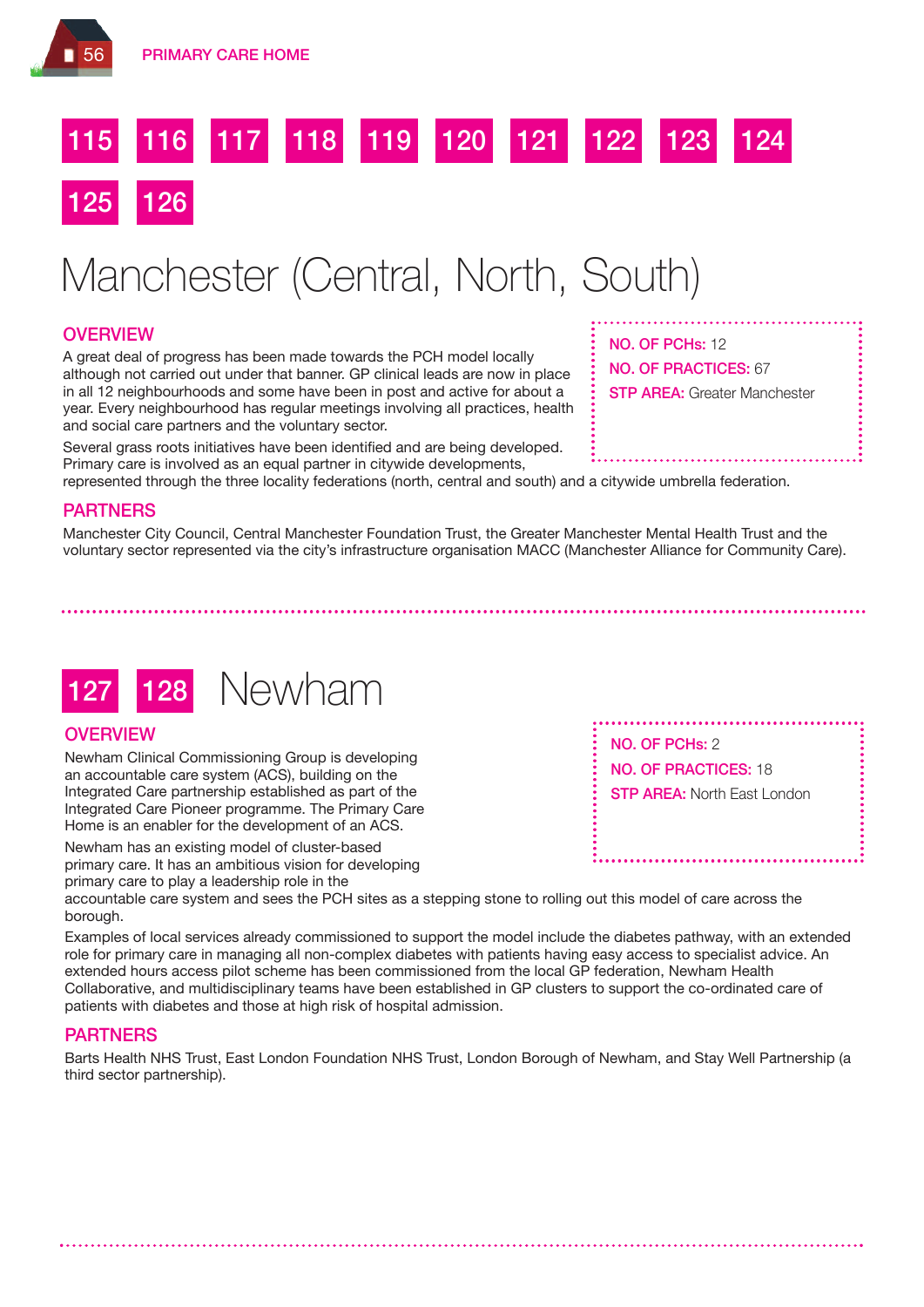

# Manchester (Central, North, South)

#### **OVERVIEW**

A great deal of progress has been made towards the PCH model locally although not carried out under that banner. GP clinical leads are now in place in all 12 neighbourhoods and some have been in post and active for about a year. Every neighbourhood has regular meetings involving all practices, health and social care partners and the voluntary sector.

Several grass roots initiatives have been identified and are being developed. Primary care is involved as an equal partner in citywide developments,

represented through the three locality federations (north, central and south) and a citywide umbrella federation.

#### PARTNERS

Manchester City Council, Central Manchester Foundation Trust, the Greater Manchester Mental Health Trust and the voluntary sector represented via the city's infrastructure organisation MACC (Manchester Alliance for Community Care).

128 Newham

#### **OVERVIEW**

Newham Clinical Commissioning Group is developing an accountable care system (ACS), building on the Integrated Care partnership established as part of the Integrated Care Pioneer programme. The Primary Care Home is an enabler for the development of an ACS.

Newham has an existing model of cluster-based primary care. It has an ambitious vision for developing primary care to play a leadership role in the

accountable care system and sees the PCH sites as a stepping stone to rolling out this model of care across the borough.

Examples of local services already commissioned to support the model include the diabetes pathway, with an extended role for primary care in managing all non-complex diabetes with patients having easy access to specialist advice. An extended hours access pilot scheme has been commissioned from the local GP federation, Newham Health Collaborative, and multidisciplinary teams have been established in GP clusters to support the co-ordinated care of patients with diabetes and those at high risk of hospital admission.

#### PARTNERS

Barts Health NHS Trust, East London Foundation NHS Trust, London Borough of Newham, and Stay Well Partnership (a third sector partnership).

NO. OF PCHs: 2 NO. OF PRACTICES: 18 **STP AREA: North Fast London** 

NO. OF PCHs: 12

NO. OF PRACTICES: 67

**STP AREA: Greater Manchester**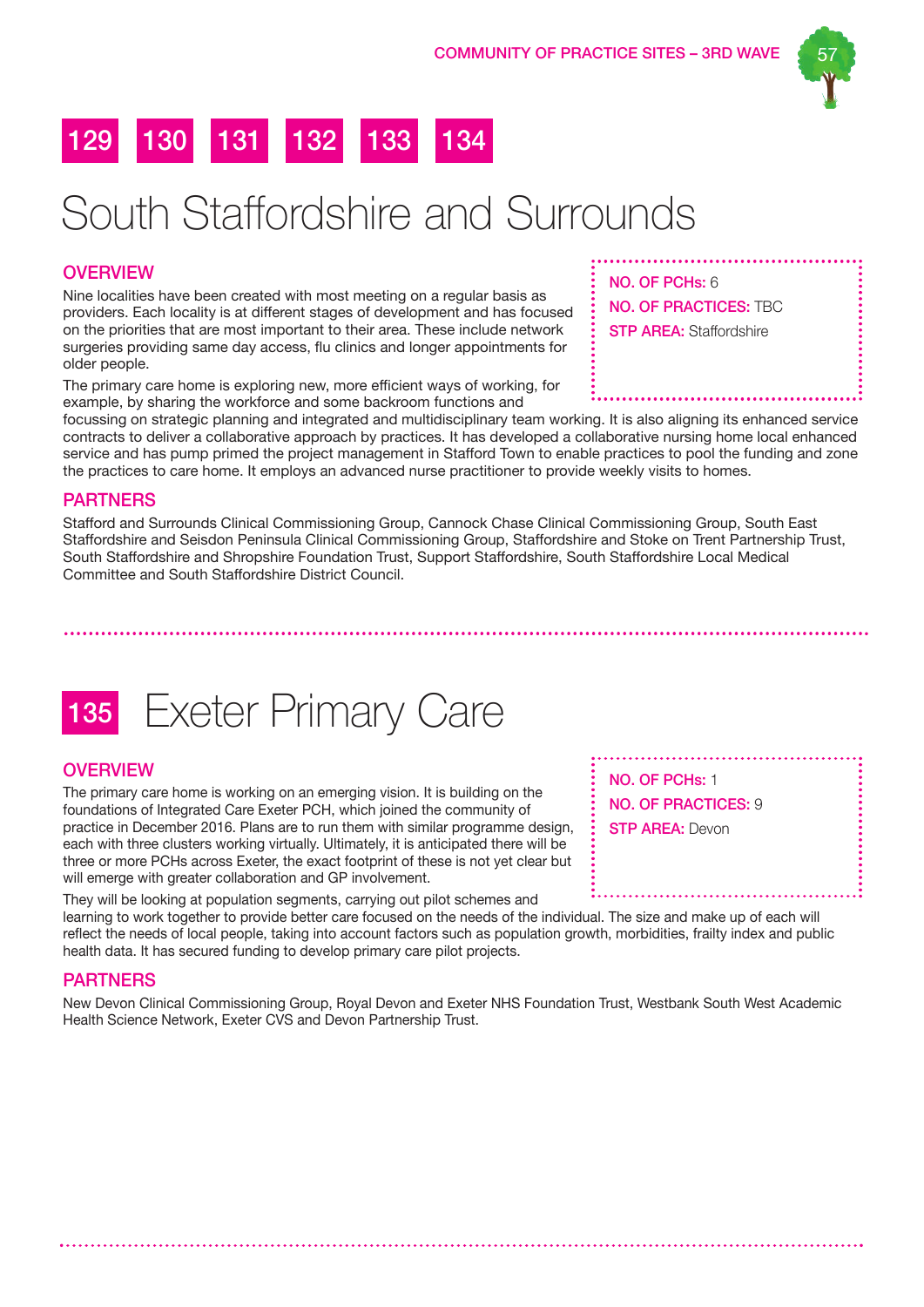

# South Staffordshire and Surrounds

#### **OVERVIEW**

Nine localities have been created with most meeting on a regular basis as providers. Each locality is at different stages of development and has focused on the priorities that are most important to their area. These include network surgeries providing same day access, flu clinics and longer appointments for older people.

The primary care home is exploring new, more efficient ways of working, for example, by sharing the workforce and some backroom functions and

NO. OF PCHs: 6 NO. OF PRACTICES: TBC

**STP AREA: Staffordshire** 

focussing on strategic planning and integrated and multidisciplinary team working. It is also aligning its enhanced service contracts to deliver a collaborative approach by practices. It has developed a collaborative nursing home local enhanced service and has pump primed the project management in Stafford Town to enable practices to pool the funding and zone the practices to care home. It employs an advanced nurse practitioner to provide weekly visits to homes.

#### **PARTNERS**

Stafford and Surrounds Clinical Commissioning Group, Cannock Chase Clinical Commissioning Group, South East Staffordshire and Seisdon Peninsula Clinical Commissioning Group, Staffordshire and Stoke on Trent Partnership Trust, South Staffordshire and Shropshire Foundation Trust, Support Staffordshire, South Staffordshire Local Medical Committee and South Staffordshire District Council.

### **Exeter Primary Care**

#### **OVERVIEW**

The primary care home is working on an emerging vision. It is building on the foundations of Integrated Care Exeter PCH, which joined the community of practice in December 2016. Plans are to run them with similar programme design, each with three clusters working virtually. Ultimately, it is anticipated there will be three or more PCHs across Exeter, the exact footprint of these is not yet clear but will emerge with greater collaboration and GP involvement.

They will be looking at population segments, carrying out pilot schemes and

learning to work together to provide better care focused on the needs of the individual. The size and make up of each will reflect the needs of local people, taking into account factors such as population growth, morbidities, frailty index and public health data. It has secured funding to develop primary care pilot projects.

#### **PARTNERS**

New Devon Clinical Commissioning Group, Royal Devon and Exeter NHS Foundation Trust, Westbank South West Academic Health Science Network, Exeter CVS and Devon Partnership Trust.

NO. OF PCHs: 1 NO. OF PRACTICES: 9 STP AREA: Devon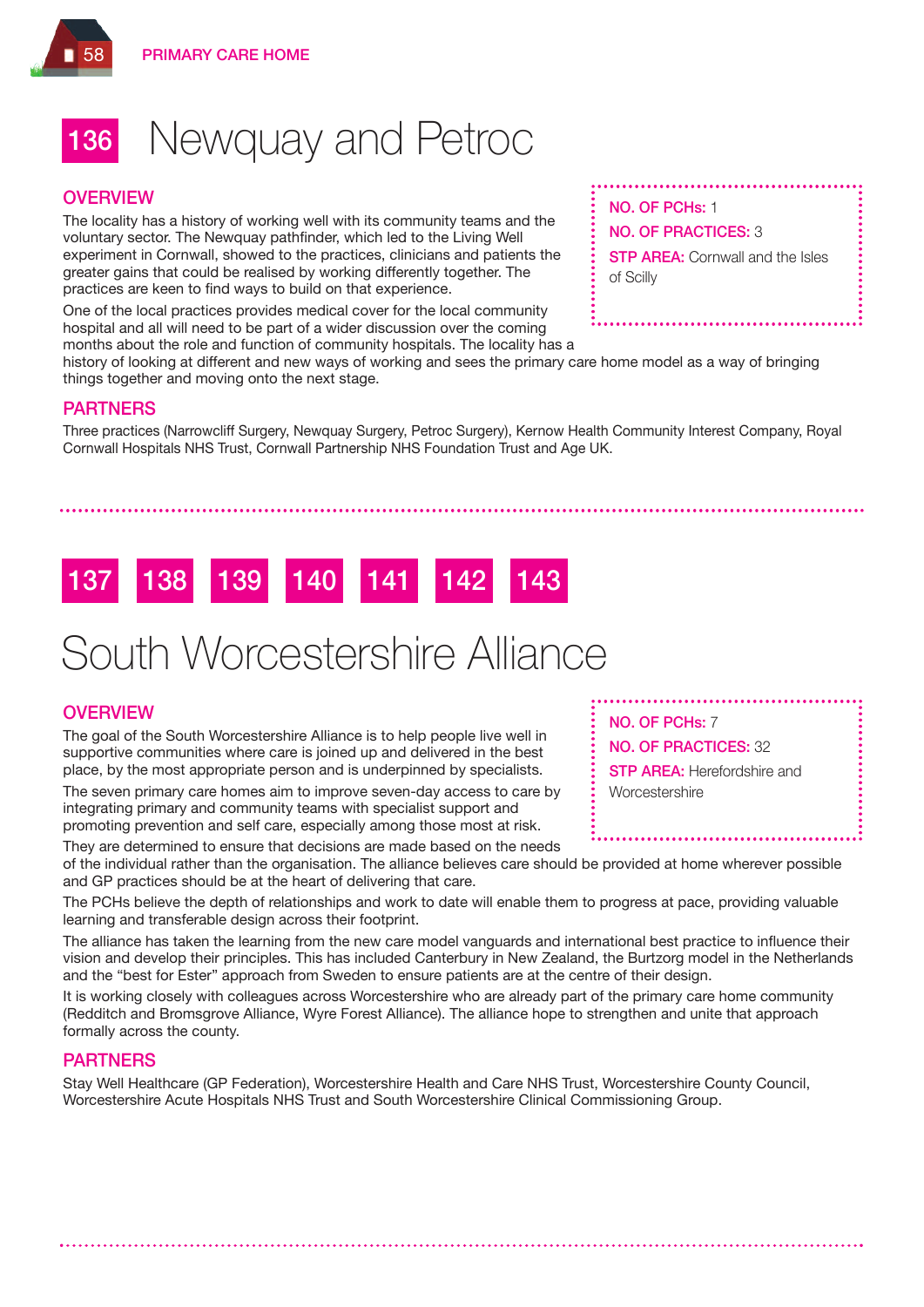# **36** Newquay and Petroc

#### **OVERVIEW**

The locality has a history of working well with its community teams and the voluntary sector. The Newquay pathfinder, which led to the Living Well experiment in Cornwall, showed to the practices, clinicians and patients the greater gains that could be realised by working differently together. The practices are keen to find ways to build on that experience.

One of the local practices provides medical cover for the local community hospital and all will need to be part of a wider discussion over the coming months about the role and function of community hospitals. The locality has a

history of looking at different and new ways of working and sees the primary care home model as a way of bringing things together and moving onto the next stage.

#### **PARTNERS**

Three practices (Narrowcliff Surgery, Newquay Surgery, Petroc Surgery), Kernow Health Community Interest Company, Royal Cornwall Hospitals NHS Trust, Cornwall Partnership NHS Foundation Trust and Age UK.

# South Worcestershire Alliance

138 139 140 141 142

#### **OVERVIEW**

The goal of the South Worcestershire Alliance is to help people live well in supportive communities where care is joined up and delivered in the best place, by the most appropriate person and is underpinned by specialists.

The seven primary care homes aim to improve seven-day access to care by integrating primary and community teams with specialist support and promoting prevention and self care, especially among those most at risk.

They are determined to ensure that decisions are made based on the needs of the individual rather than the organisation. The alliance believes care should be provided at home wherever possible and GP practices should be at the heart of delivering that care.

The PCHs believe the depth of relationships and work to date will enable them to progress at pace, providing valuable learning and transferable design across their footprint.

The alliance has taken the learning from the new care model vanguards and international best practice to influence their vision and develop their principles. This has included Canterbury in New Zealand, the Burtzorg model in the Netherlands and the "best for Ester" approach from Sweden to ensure patients are at the centre of their design.

It is working closely with colleagues across Worcestershire who are already part of the primary care home community (Redditch and Bromsgrove Alliance, Wyre Forest Alliance). The alliance hope to strengthen and unite that approach formally across the county.

#### **PARTNERS**

Stay Well Healthcare (GP Federation), Worcestershire Health and Care NHS Trust, Worcestershire County Council, Worcestershire Acute Hospitals NHS Trust and South Worcestershire Clinical Commissioning Group.

#### NO. OF PCHs: 1 NO. OF PRACTICES: 3 **STP AREA: Cornwall and the Isles** of Scilly



NO. OF PRACTICES: 32 **STP AREA: Herefordshire and** 

Worcestershire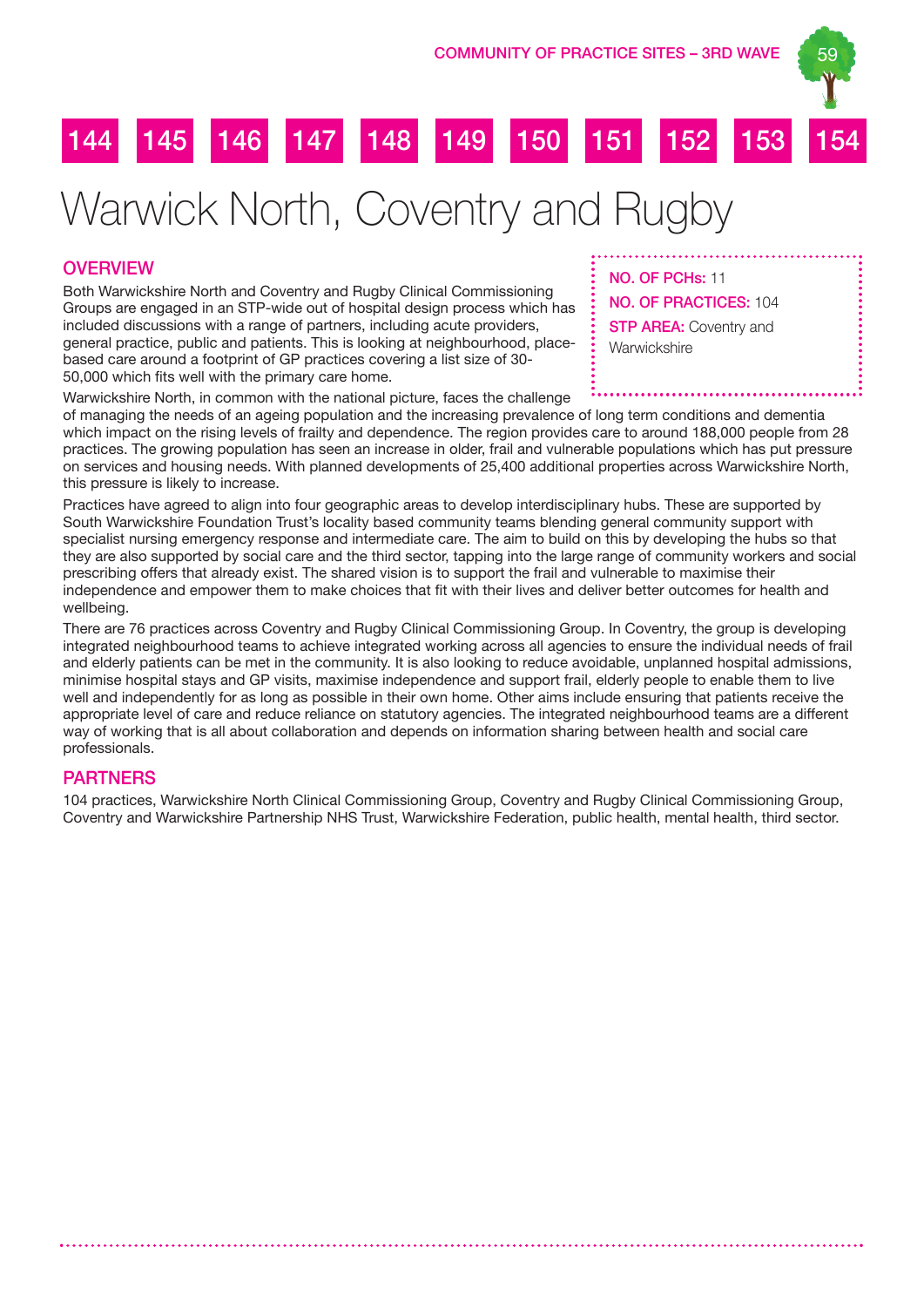

# Warwick North, Coventry and Rugby

144 145 146 147 148 149 150 151 152 153 154

#### **OVERVIEW**

Both Warwickshire North and Coventry and Rugby Clinical Commissioning Groups are engaged in an STP-wide out of hospital design process which has included discussions with a range of partners, including acute providers, general practice, public and patients. This is looking at neighbourhood, placebased care around a footprint of GP practices covering a list size of 30- 50,000 which fits well with the primary care home.

NO. OF PCHs: 11 NO. OF PRACTICES: 104 **STP AREA: Coventry and Warwickshire** 

Warwickshire North, in common with the national picture, faces the challenge of managing the needs of an ageing population and the increasing prevalence of long term conditions and dementia which impact on the rising levels of frailty and dependence. The region provides care to around 188,000 people from 28 practices. The growing population has seen an increase in older, frail and vulnerable populations which has put pressure on services and housing needs. With planned developments of 25,400 additional properties across Warwickshire North, this pressure is likely to increase.

Practices have agreed to align into four geographic areas to develop interdisciplinary hubs. These are supported by South Warwickshire Foundation Trust's locality based community teams blending general community support with specialist nursing emergency response and intermediate care. The aim to build on this by developing the hubs so that they are also supported by social care and the third sector, tapping into the large range of community workers and social prescribing offers that already exist. The shared vision is to support the frail and vulnerable to maximise their independence and empower them to make choices that fit with their lives and deliver better outcomes for health and wellbeing.

There are 76 practices across Coventry and Rugby Clinical Commissioning Group. In Coventry, the group is developing integrated neighbourhood teams to achieve integrated working across all agencies to ensure the individual needs of frail and elderly patients can be met in the community. It is also looking to reduce avoidable, unplanned hospital admissions, minimise hospital stays and GP visits, maximise independence and support frail, elderly people to enable them to live well and independently for as long as possible in their own home. Other aims include ensuring that patients receive the appropriate level of care and reduce reliance on statutory agencies. The integrated neighbourhood teams are a different way of working that is all about collaboration and depends on information sharing between health and social care professionals.

#### PARTNERS

104 practices, Warwickshire North Clinical Commissioning Group, Coventry and Rugby Clinical Commissioning Group, Coventry and Warwickshire Partnership NHS Trust, Warwickshire Federation, public health, mental health, third sector.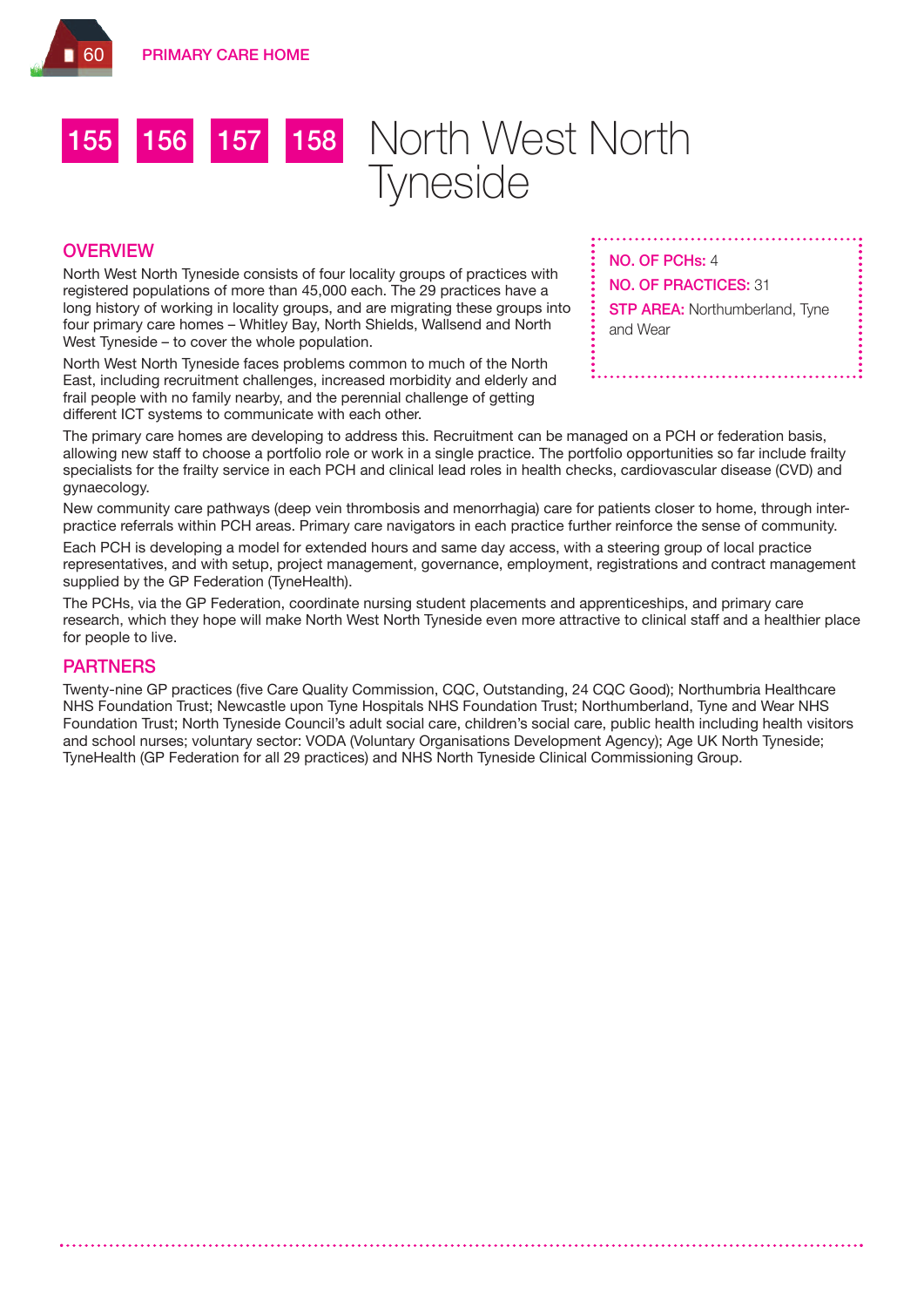

### 156 157 158 North West North Tyneside

#### **OVERVIEW**

North West North Tyneside consists of four locality groups of practices with registered populations of more than 45,000 each. The 29 practices have a long history of working in locality groups, and are migrating these groups into four primary care homes – Whitley Bay, North Shields, Wallsend and North West Tyneside – to cover the whole population.

North West North Tyneside faces problems common to much of the North East, including recruitment challenges, increased morbidity and elderly and frail people with no family nearby, and the perennial challenge of getting different ICT systems to communicate with each other.

NO. OF PCHs: 4 NO. OF PRACTICES: 31 **STP AREA: Northumberland, Tyne** and Wear

The primary care homes are developing to address this. Recruitment can be managed on a PCH or federation basis, allowing new staff to choose a portfolio role or work in a single practice. The portfolio opportunities so far include frailty specialists for the frailty service in each PCH and clinical lead roles in health checks, cardiovascular disease (CVD) and gynaecology.

New community care pathways (deep vein thrombosis and menorrhagia) care for patients closer to home, through interpractice referrals within PCH areas. Primary care navigators in each practice further reinforce the sense of community.

Each PCH is developing a model for extended hours and same day access, with a steering group of local practice representatives, and with setup, project management, governance, employment, registrations and contract management supplied by the GP Federation (TyneHealth).

The PCHs, via the GP Federation, coordinate nursing student placements and apprenticeships, and primary care research, which they hope will make North West North Tyneside even more attractive to clinical staff and a healthier place for people to live.

#### **PARTNERS**

Twenty-nine GP practices (five Care Quality Commission, CQC, Outstanding, 24 CQC Good); Northumbria Healthcare NHS Foundation Trust; Newcastle upon Tyne Hospitals NHS Foundation Trust; Northumberland, Tyne and Wear NHS Foundation Trust; North Tyneside Council's adult social care, children's social care, public health including health visitors and school nurses; voluntary sector: VODA (Voluntary Organisations Development Agency); Age UK North Tyneside; TyneHealth (GP Federation for all 29 practices) and NHS North Tyneside Clinical Commissioning Group.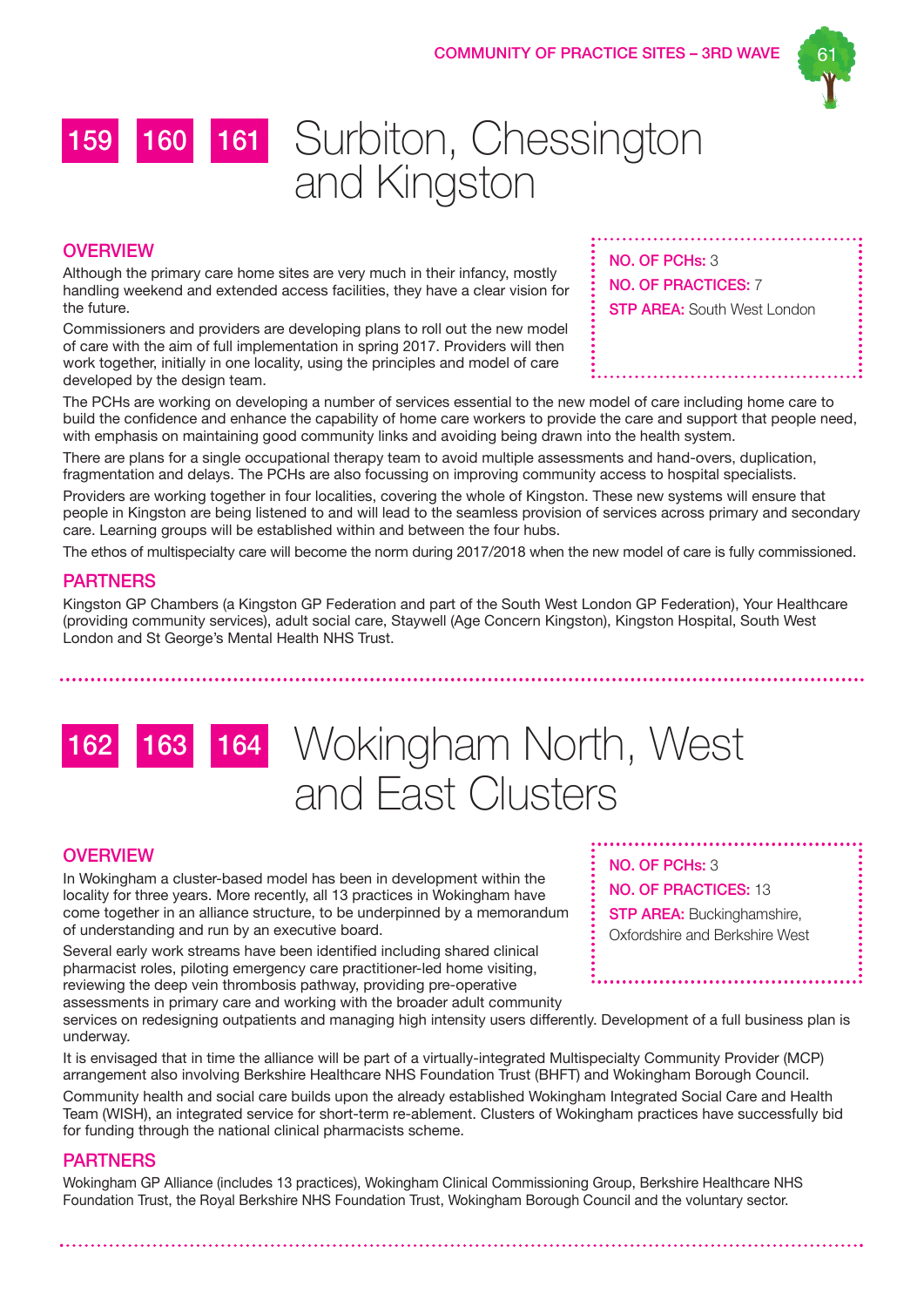

Although the primary care home sites are very much in their infancy, mostly handling weekend and extended access facilities, they have a clear vision for the future.

Commissioners and providers are developing plans to roll out the new model of care with the aim of full implementation in spring 2017. Providers will then work together, initially in one locality, using the principles and model of care developed by the design team.

NO. OF PCHs: 3 NO. OF PRACTICES: 7 **STP AREA: South West London** 

The PCHs are working on developing a number of services essential to the new model of care including home care to build the confidence and enhance the capability of home care workers to provide the care and support that people need, with emphasis on maintaining good community links and avoiding being drawn into the health system.

There are plans for a single occupational therapy team to avoid multiple assessments and hand-overs, duplication, fragmentation and delays. The PCHs are also focussing on improving community access to hospital specialists.

Providers are working together in four localities, covering the whole of Kingston. These new systems will ensure that people in Kingston are being listened to and will lead to the seamless provision of services across primary and secondary care. Learning groups will be established within and between the four hubs.

The ethos of multispecialty care will become the norm during 2017/2018 when the new model of care is fully commissioned.

#### PARTNERS

Kingston GP Chambers (a Kingston GP Federation and part of the South West London GP Federation), Your Healthcare (providing community services), adult social care, Staywell (Age Concern Kingston), Kingston Hospital, South West London and St George's Mental Health NHS Trust.



# 163 164 Wokingham North, West and East Clusters

#### **OVERVIEW**

In Wokingham a cluster-based model has been in development within the locality for three years. More recently, all 13 practices in Wokingham have come together in an alliance structure, to be underpinned by a memorandum of understanding and run by an executive board.

Several early work streams have been identified including shared clinical pharmacist roles, piloting emergency care practitioner-led home visiting, reviewing the deep vein thrombosis pathway, providing pre-operative assessments in primary care and working with the broader adult community

#### NO. OF PCHs: 3

NO. OF PRACTICES: 13

**STP AREA: Buckinghamshire,** Oxfordshire and Berkshire West

services on redesigning outpatients and managing high intensity users differently. Development of a full business plan is underway.

It is envisaged that in time the alliance will be part of a virtually-integrated Multispecialty Community Provider (MCP) arrangement also involving Berkshire Healthcare NHS Foundation Trust (BHFT) and Wokingham Borough Council.

Community health and social care builds upon the already established Wokingham Integrated Social Care and Health Team (WISH), an integrated service for short-term re-ablement. Clusters of Wokingham practices have successfully bid for funding through the national clinical pharmacists scheme.

#### PARTNERS

Wokingham GP Alliance (includes 13 practices), Wokingham Clinical Commissioning Group, Berkshire Healthcare NHS Foundation Trust, the Royal Berkshire NHS Foundation Trust, Wokingham Borough Council and the voluntary sector.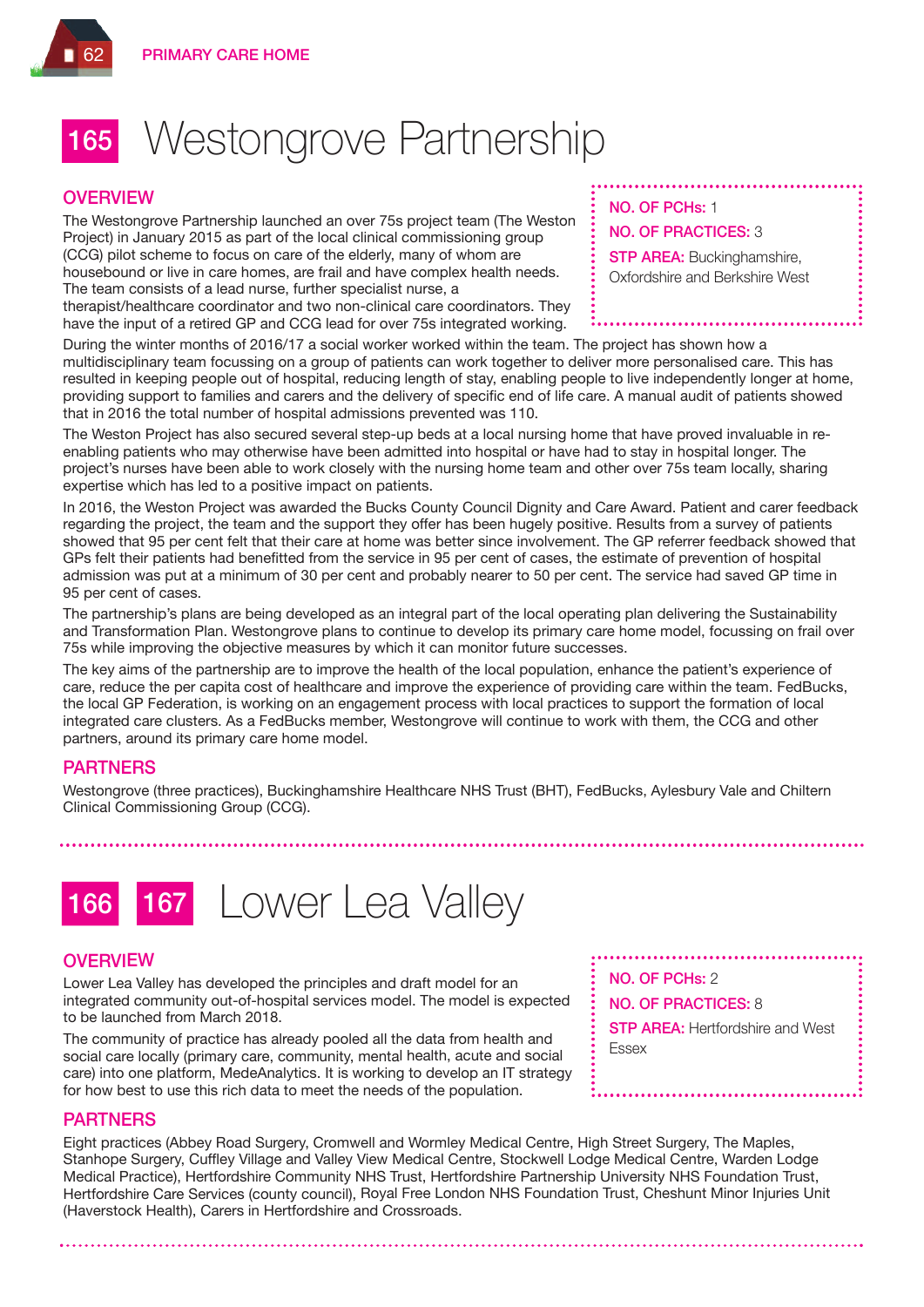

The Westongrove Partnership launched an over 75s project team (The Weston Project) in January 2015 as part of the local clinical commissioning group (CCG) pilot scheme to focus on care of the elderly, many of whom are housebound or live in care homes, are frail and have complex health needs. The team consists of a lead nurse, further specialist nurse, a

therapist/healthcare coordinator and two non-clinical care coordinators. They have the input of a retired GP and CCG lead for over 75s integrated working.

#### NO. OF PCHs: 1

NO. OF PRACTICES: 3

**STP AREA: Buckinghamshire,** Oxfordshire and Berkshire West

During the winter months of 2016/17 a social worker worked within the team. The project has shown how a multidisciplinary team focussing on a group of patients can work together to deliver more personalised care. This has resulted in keeping people out of hospital, reducing length of stay, enabling people to live independently longer at home, providing support to families and carers and the delivery of specific end of life care. A manual audit of patients showed that in 2016 the total number of hospital admissions prevented was 110.

The Weston Project has also secured several step-up beds at a local nursing home that have proved invaluable in reenabling patients who may otherwise have been admitted into hospital or have had to stay in hospital longer. The project's nurses have been able to work closely with the nursing home team and other over 75s team locally, sharing expertise which has led to a positive impact on patients.

In 2016, the Weston Project was awarded the Bucks County Council Dignity and Care Award. Patient and carer feedback regarding the project, the team and the support they offer has been hugely positive. Results from a survey of patients showed that 95 per cent felt that their care at home was better since involvement. The GP referrer feedback showed that GPs felt their patients had benefitted from the service in 95 per cent of cases, the estimate of prevention of hospital admission was put at a minimum of 30 per cent and probably nearer to 50 per cent. The service had saved GP time in 95 per cent of cases.

The partnership's plans are being developed as an integral part of the local operating plan delivering the Sustainability and Transformation Plan. Westongrove plans to continue to develop its primary care home model, focussing on frail over 75s while improving the objective measures by which it can monitor future successes.

The key aims of the partnership are to improve the health of the local population, enhance the patient's experience of care, reduce the per capita cost of healthcare and improve the experience of providing care within the team. FedBucks, the local GP Federation, is working on an engagement process with local practices to support the formation of local integrated care clusters. As a FedBucks member, Westongrove will continue to work with them, the CCG and other partners, around its primary care home model.

#### PARTNERS

Westongrove (three practices), Buckinghamshire Healthcare NHS Trust (BHT), FedBucks, Aylesbury Vale and Chiltern Clinical Commissioning Group (CCG).



#### **OVERVIEW**

Lower Lea Valley has developed the principles and draft model for an integrated community out-of-hospital services model. The model is expected to be launched from March 2018.

The community of practice has already pooled all the data from health and social care locally (primary care, community, mental health, acute and social care) into one platform, MedeAnalytics. It is working to develop an IT strategy for how best to use this rich data to meet the needs of the population.

NO. OF PCHs: 2

NO. OF PRACTICES: 8 **STP AREA: Hertfordshire and West** 

Essex

#### **PARTNERS**

Eight practices (Abbey Road Surgery, Cromwell and Wormley Medical Centre, High Street Surgery, The Maples, Stanhope Surgery, Cuffley Village and Valley View Medical Centre, Stockwell Lodge Medical Centre, Warden Lodge Medical Practice), Hertfordshire Community NHS Trust, Hertfordshire Partnership University NHS Foundation Trust, Hertfordshire Care Services (county council), Royal Free London NHS Foundation Trust, Cheshunt Minor Injuries Unit (Haverstock Health), Carers in Hertfordshire and Crossroads.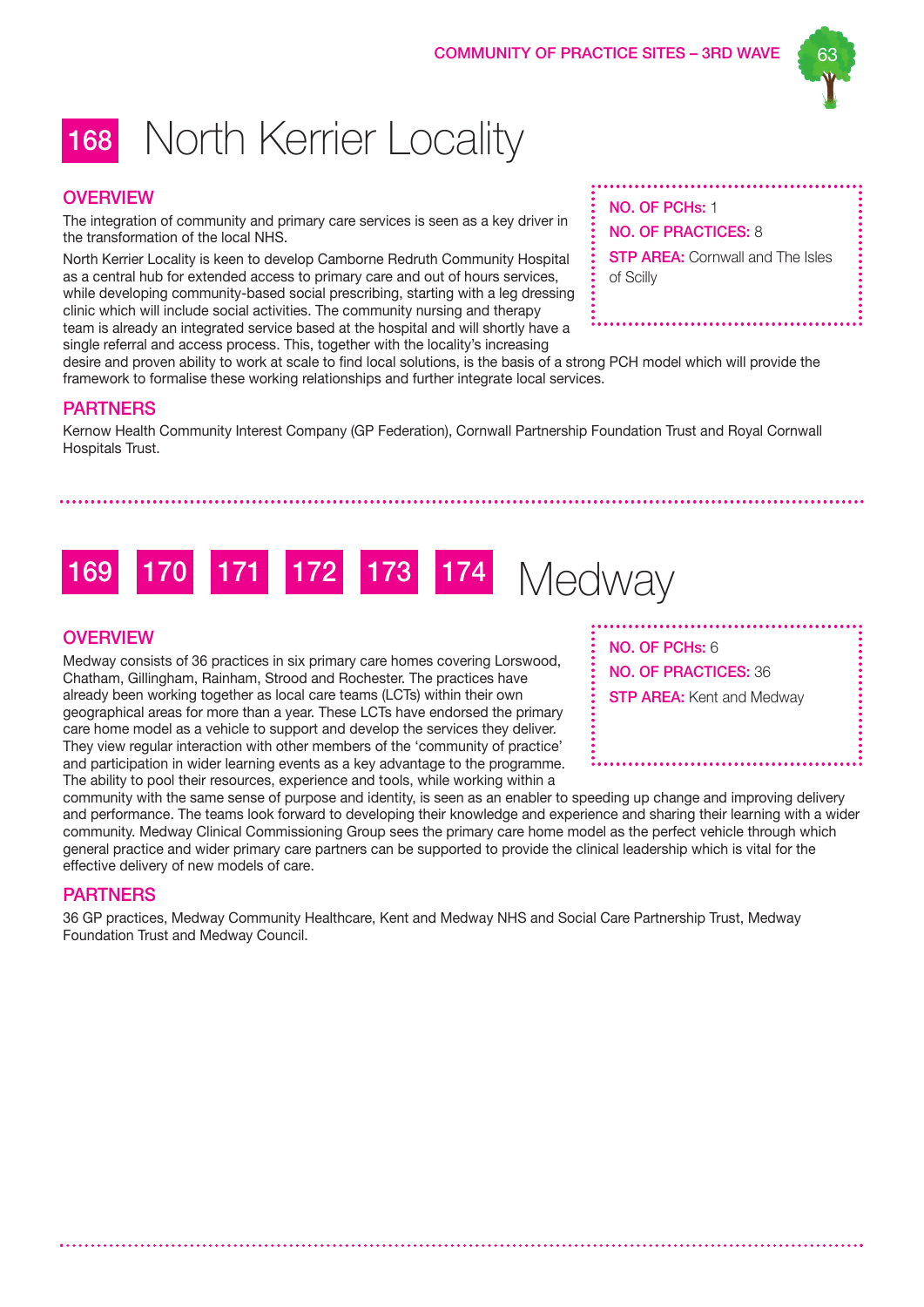# 168 North Kerrier Locality

#### **OVERVIEW**

The integration of community and primary care services is seen as a key driver in the transformation of the local NHS.

North Kerrier Locality is keen to develop Camborne Redruth Community Hospital as a central hub for extended access to primary care and out of hours services, while developing community-based social prescribing, starting with a leg dressing clinic which will include social activities. The community nursing and therapy team is already an integrated service based at the hospital and will shortly have a single referral and access process. This, together with the locality's increasing

NO. OF PCHs: 1 NO. OF PRACTICES: 8 **STP AREA: Cornwall and The Isles** of Scilly

desire and proven ability to work at scale to find local solutions, is the basis of a strong PCH model which will provide the framework to formalise these working relationships and further integrate local services.

#### PARTNERS

Kernow Health Community Interest Company (GP Federation), Cornwall Partnership Foundation Trust and Royal Cornwall Hospitals Trust.



#### **OVERVIEW**

Medway consists of 36 practices in six primary care homes covering Lorswood, Chatham, Gillingham, Rainham, Strood and Rochester. The practices have already been working together as local care teams (LCTs) within their own geographical areas for more than a year. These LCTs have endorsed the primary care home model as a vehicle to support and develop the services they deliver. They view regular interaction with other members of the 'community of practice' and participation in wider learning events as a key advantage to the programme. The ability to pool their resources, experience and tools, while working within a

community with the same sense of purpose and identity, is seen as an enabler to speeding up change and improving delivery and performance. The teams look forward to developing their knowledge and experience and sharing their learning with a wider community. Medway Clinical Commissioning Group sees the primary care home model as the perfect vehicle through which general practice and wider primary care partners can be supported to provide the clinical leadership which is vital for the effective delivery of new models of care.

#### PARTNERS

36 GP practices, Medway Community Healthcare, Kent and Medway NHS and Social Care Partnership Trust, Medway Foundation Trust and Medway Council.

#### NO. OF PCHs: 6

NO. OF PRACTICES: 36

**STP AREA: Kent and Medway**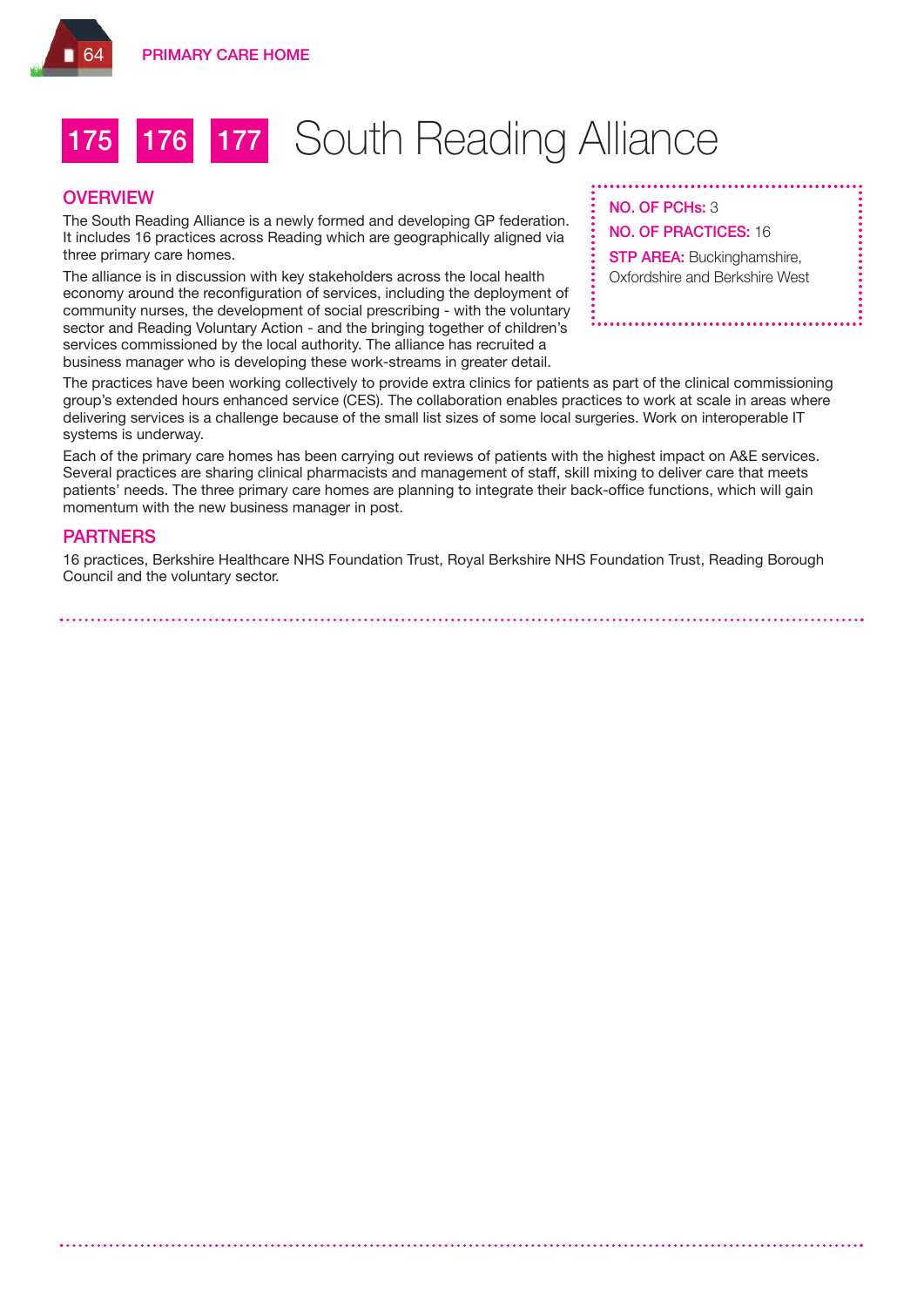

The South Reading Alliance is a newly formed and developing GP federation. It includes 16 practices across Reading which are geographically aligned via three primary care homes.

The alliance is in discussion with key stakeholders across the local health economy around the reconfiguration of services, including the deployment of community nurses, the development of social prescribing - with the voluntary sector and Reading Voluntary Action - and the bringing together of children's services commissioned by the local authority. The alliance has recruited a business manager who is developing these work-streams in greater detail.

#### NO. OF PCHs: 3

NO. OF PRACTICES: 16

**STP AREA: Buckinghamshire,** Oxfordshire and Berkshire West

The practices have been working collectively to provide extra clinics for patients as part of the clinical commissioning group's extended hours enhanced service (CES). The collaboration enables practices to work at scale in areas where delivering services is a challenge because of the small list sizes of some local surgeries. Work on interoperable IT systems is underway.

Each of the primary care homes has been carrying out reviews of patients with the highest impact on A&E services. Several practices are sharing clinical pharmacists and management of staff, skill mixing to deliver care that meets patients' needs. The three primary care homes are planning to integrate their back-office functions, which will gain momentum with the new business manager in post.

#### PARTNERS

16 practices, Berkshire Healthcare NHS Foundation Trust, Royal Berkshire NHS Foundation Trust, Reading Borough Council and the voluntary sector.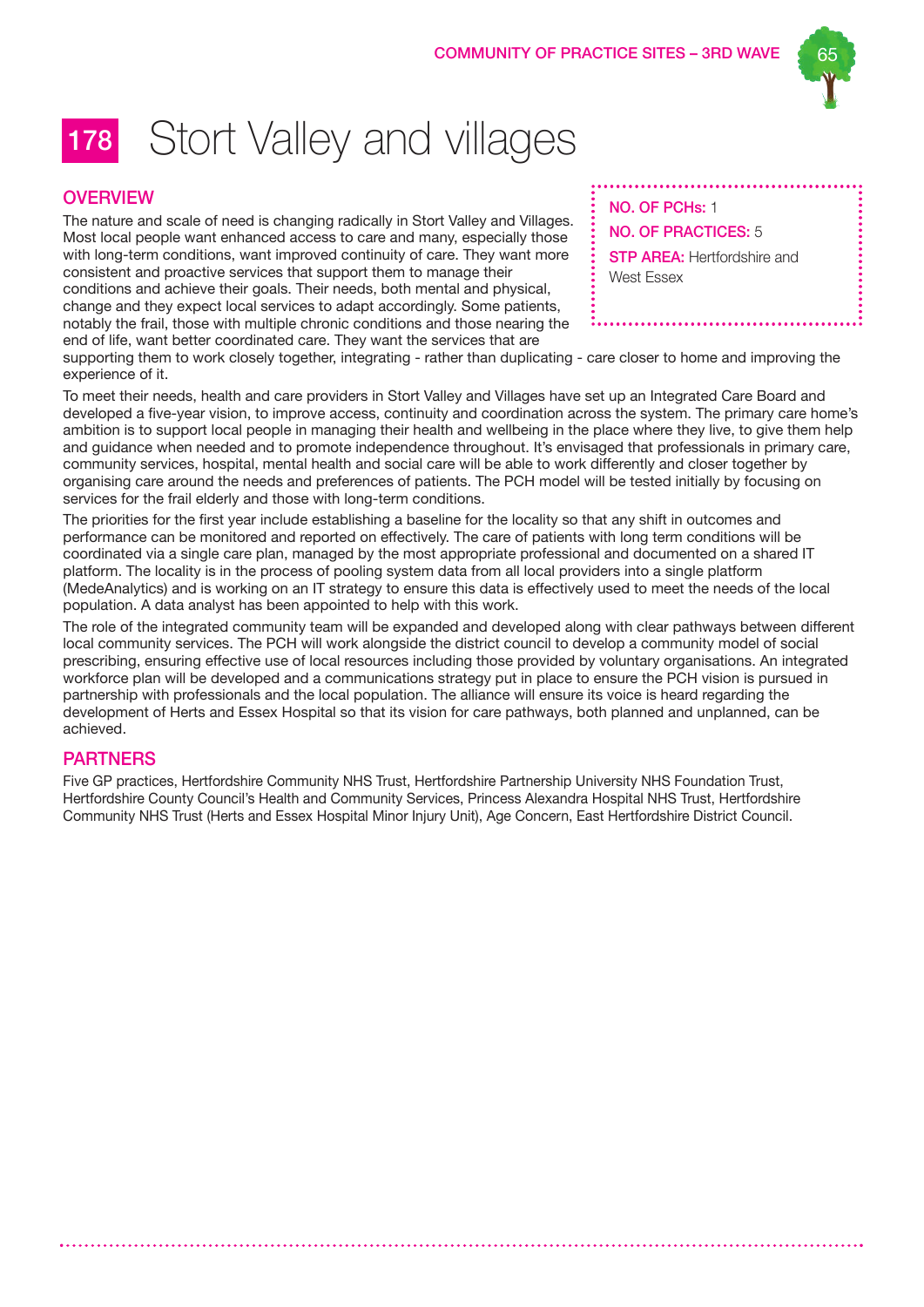# Stort Valley and villages

#### **OVERVIEW**

The nature and scale of need is changing radically in Stort Valley and Villages. Most local people want enhanced access to care and many, especially those with long-term conditions, want improved continuity of care. They want more consistent and proactive services that support them to manage their conditions and achieve their goals. Their needs, both mental and physical, change and they expect local services to adapt accordingly. Some patients, notably the frail, those with multiple chronic conditions and those nearing the end of life, want better coordinated care. They want the services that are

| NO. OF PCH <sub>S</sub> : 1                      |  |
|--------------------------------------------------|--|
| <b>NO. OF PRACTICES: 5</b>                       |  |
| <b>STP AREA:</b> Hertfordshire and<br>West Essex |  |

supporting them to work closely together, integrating - rather than duplicating - care closer to home and improving the experience of it.

To meet their needs, health and care providers in Stort Valley and Villages have set up an Integrated Care Board and developed a five-year vision, to improve access, continuity and coordination across the system. The primary care home's ambition is to support local people in managing their health and wellbeing in the place where they live, to give them help and guidance when needed and to promote independence throughout. It's envisaged that professionals in primary care, community services, hospital, mental health and social care will be able to work differently and closer together by organising care around the needs and preferences of patients. The PCH model will be tested initially by focusing on services for the frail elderly and those with long-term conditions.

The priorities for the first year include establishing a baseline for the locality so that any shift in outcomes and performance can be monitored and reported on effectively. The care of patients with long term conditions will be coordinated via a single care plan, managed by the most appropriate professional and documented on a shared IT platform. The locality is in the process of pooling system data from all local providers into a single platform (MedeAnalytics) and is working on an IT strategy to ensure this data is effectively used to meet the needs of the local population. A data analyst has been appointed to help with this work.

The role of the integrated community team will be expanded and developed along with clear pathways between different local community services. The PCH will work alongside the district council to develop a community model of social prescribing, ensuring effective use of local resources including those provided by voluntary organisations. An integrated workforce plan will be developed and a communications strategy put in place to ensure the PCH vision is pursued in partnership with professionals and the local population. The alliance will ensure its voice is heard regarding the development of Herts and Essex Hospital so that its vision for care pathways, both planned and unplanned, can be achieved.

#### PARTNERS

Five GP practices, Hertfordshire Community NHS Trust, Hertfordshire Partnership University NHS Foundation Trust, Hertfordshire County Council's Health and Community Services, Princess Alexandra Hospital NHS Trust, Hertfordshire Community NHS Trust (Herts and Essex Hospital Minor Injury Unit), Age Concern, East Hertfordshire District Council.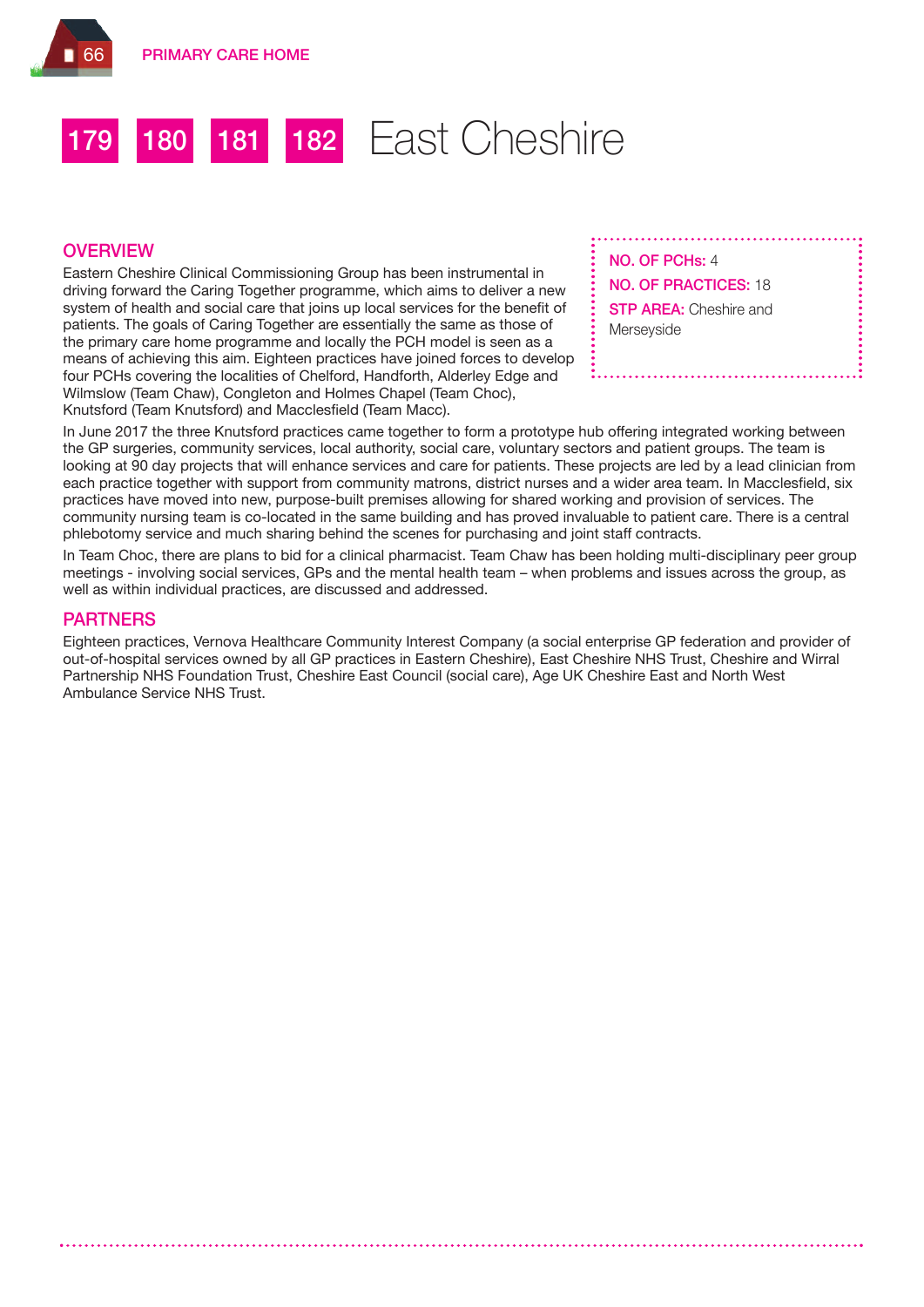# 179 180 181 182 East Cheshire

#### **OVERVIEW**

Eastern Cheshire Clinical Commissioning Group has been instrumental in driving forward the Caring Together programme, which aims to deliver a new system of health and social care that joins up local services for the benefit of patients. The goals of Caring Together are essentially the same as those of the primary care home programme and locally the PCH model is seen as a means of achieving this aim. Eighteen practices have joined forces to develop four PCHs covering the localities of Chelford, Handforth, Alderley Edge and Wilmslow (Team Chaw), Congleton and Holmes Chapel (Team Choc), Knutsford (Team Knutsford) and Macclesfield (Team Macc).

NO. OF PCHs: 4 NO. OF PRACTICES: 18 **STP AREA: Cheshire and** Merseyside

. . . . . . . . . . . . . . . . . .

In June 2017 the three Knutsford practices came together to form a prototype hub offering integrated working between the GP surgeries, community services, local authority, social care, voluntary sectors and patient groups. The team is looking at 90 day projects that will enhance services and care for patients. These projects are led by a lead clinician from each practice together with support from community matrons, district nurses and a wider area team. In Macclesfield, six practices have moved into new, purpose-built premises allowing for shared working and provision of services. The community nursing team is co-located in the same building and has proved invaluable to patient care. There is a central phlebotomy service and much sharing behind the scenes for purchasing and joint staff contracts.

In Team Choc, there are plans to bid for a clinical pharmacist. Team Chaw has been holding multi-disciplinary peer group meetings - involving social services, GPs and the mental health team – when problems and issues across the group, as well as within individual practices, are discussed and addressed.

#### **PARTNERS**

Eighteen practices, Vernova Healthcare Community Interest Company (a social enterprise GP federation and provider of out-of-hospital services owned by all GP practices in Eastern Cheshire), East Cheshire NHS Trust, Cheshire and Wirral Partnership NHS Foundation Trust, Cheshire East Council (social care), Age UK Cheshire East and North West Ambulance Service NHS Trust.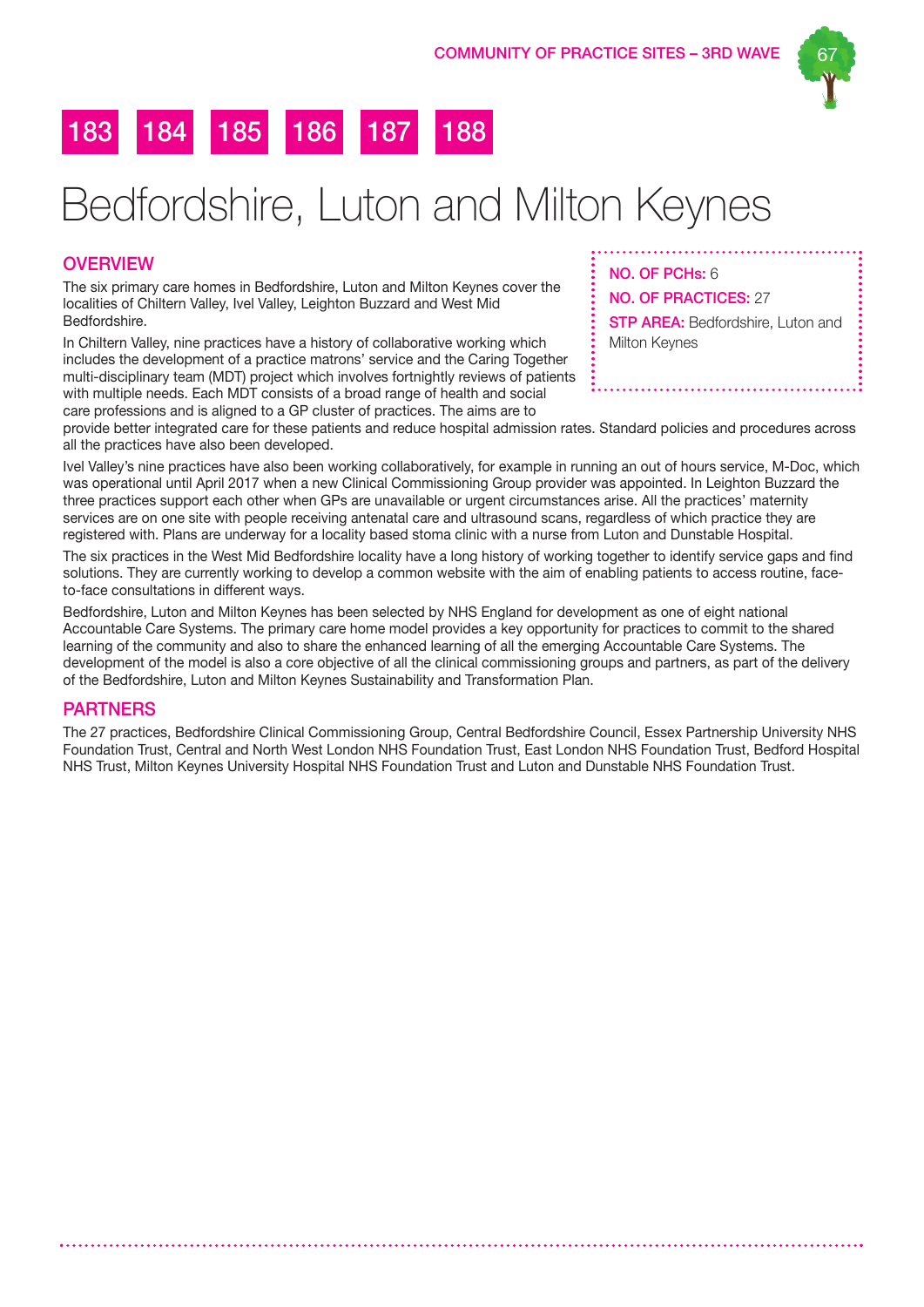

# Bedfordshire, Luton and Milton Keynes

#### **OVERVIEW**

The six primary care homes in Bedfordshire, Luton and Milton Keynes cover the localities of Chiltern Valley, Ivel Valley, Leighton Buzzard and West Mid Bedfordshire.

In Chiltern Valley, nine practices have a history of collaborative working which includes the development of a practice matrons' service and the Caring Together multi-disciplinary team (MDT) project which involves fortnightly reviews of patients with multiple needs. Each MDT consists of a broad range of health and social care professions and is aligned to a GP cluster of practices. The aims are to

NO. OF PCHs: 6

NO. OF PRACTICES: 27

**STP AREA: Bedfordshire, Luton and** Milton Keynes

provide better integrated care for these patients and reduce hospital admission rates. Standard policies and procedures across all the practices have also been developed.

Ivel Valley's nine practices have also been working collaboratively, for example in running an out of hours service, M-Doc, which was operational until April 2017 when a new Clinical Commissioning Group provider was appointed. In Leighton Buzzard the three practices support each other when GPs are unavailable or urgent circumstances arise. All the practices' maternity services are on one site with people receiving antenatal care and ultrasound scans, regardless of which practice they are registered with. Plans are underway for a locality based stoma clinic with a nurse from Luton and Dunstable Hospital.

The six practices in the West Mid Bedfordshire locality have a long history of working together to identify service gaps and find solutions. They are currently working to develop a common website with the aim of enabling patients to access routine, faceto-face consultations in different ways.

Bedfordshire, Luton and Milton Keynes has been selected by NHS England for development as one of eight national Accountable Care Systems. The primary care home model provides a key opportunity for practices to commit to the shared learning of the community and also to share the enhanced learning of all the emerging Accountable Care Systems. The development of the model is also a core objective of all the clinical commissioning groups and partners, as part of the delivery of the Bedfordshire, Luton and Milton Keynes Sustainability and Transformation Plan.

#### **PARTNERS**

The 27 practices, Bedfordshire Clinical Commissioning Group, Central Bedfordshire Council, Essex Partnership University NHS Foundation Trust, Central and North West London NHS Foundation Trust, East London NHS Foundation Trust, Bedford Hospital NHS Trust, Milton Keynes University Hospital NHS Foundation Trust and Luton and Dunstable NHS Foundation Trust.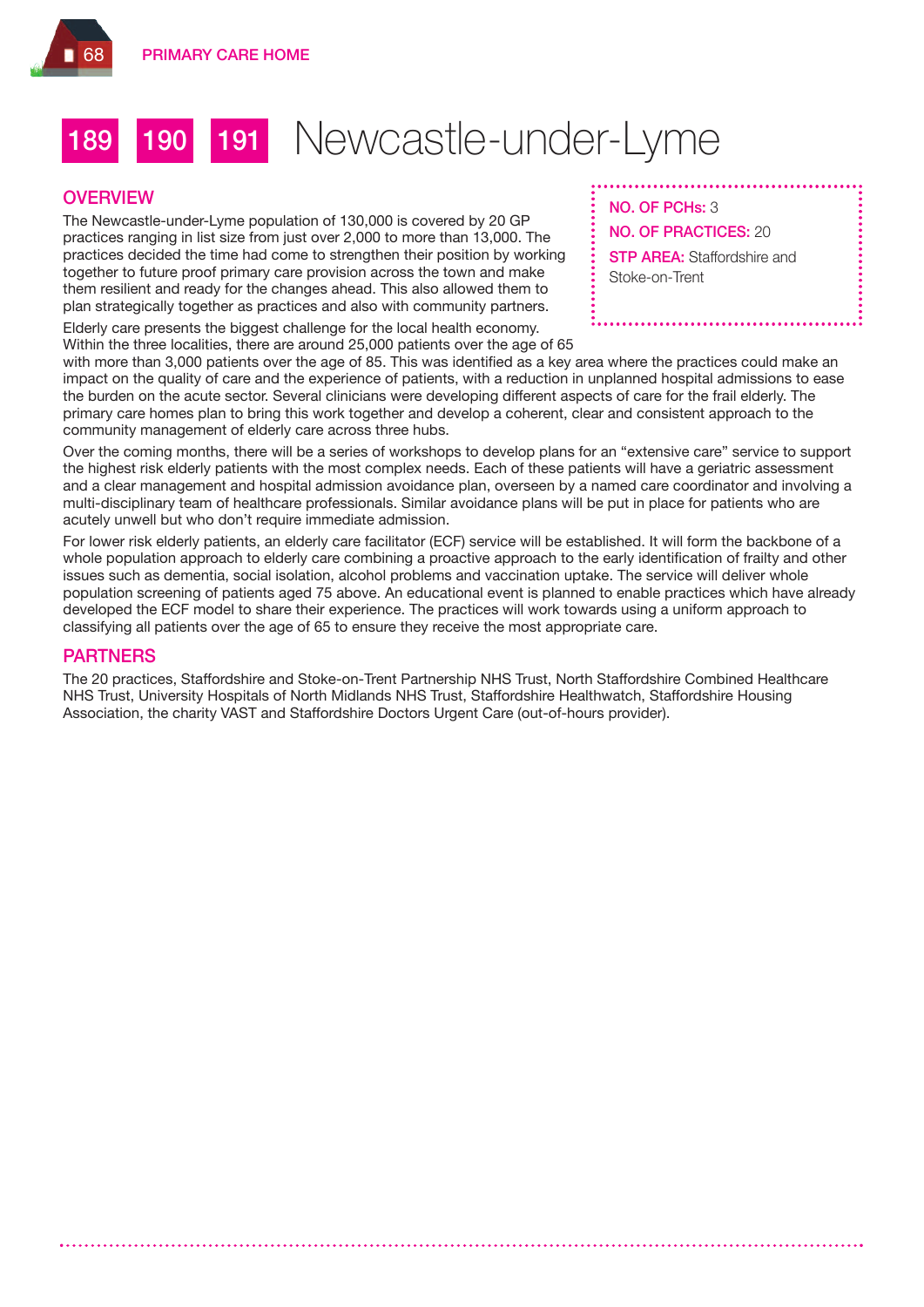

The Newcastle-under-Lyme population of 130,000 is covered by 20 GP practices ranging in list size from just over 2,000 to more than 13,000. The practices decided the time had come to strengthen their position by working together to future proof primary care provision across the town and make them resilient and ready for the changes ahead. This also allowed them to plan strategically together as practices and also with community partners.

Elderly care presents the biggest challenge for the local health economy. Within the three localities, there are around 25,000 patients over the age of 65 NO. OF PCHs: 3 NO. OF PRACTICES: 20

STP AREA: Staffordshire and Stoke-on-Trent

with more than 3,000 patients over the age of 85. This was identified as a key area where the practices could make an impact on the quality of care and the experience of patients, with a reduction in unplanned hospital admissions to ease the burden on the acute sector. Several clinicians were developing different aspects of care for the frail elderly. The primary care homes plan to bring this work together and develop a coherent, clear and consistent approach to the community management of elderly care across three hubs.

Over the coming months, there will be a series of workshops to develop plans for an "extensive care" service to support the highest risk elderly patients with the most complex needs. Each of these patients will have a geriatric assessment and a clear management and hospital admission avoidance plan, overseen by a named care coordinator and involving a multi-disciplinary team of healthcare professionals. Similar avoidance plans will be put in place for patients who are acutely unwell but who don't require immediate admission.

For lower risk elderly patients, an elderly care facilitator (ECF) service will be established. It will form the backbone of a whole population approach to elderly care combining a proactive approach to the early identification of frailty and other issues such as dementia, social isolation, alcohol problems and vaccination uptake. The service will deliver whole population screening of patients aged 75 above. An educational event is planned to enable practices which have already developed the ECF model to share their experience. The practices will work towards using a uniform approach to classifying all patients over the age of 65 to ensure they receive the most appropriate care.

#### **PARTNERS**

The 20 practices, Staffordshire and Stoke-on-Trent Partnership NHS Trust, North Staffordshire Combined Healthcare NHS Trust, University Hospitals of North Midlands NHS Trust, Staffordshire Healthwatch, Staffordshire Housing Association, the charity VAST and Staffordshire Doctors Urgent Care (out-of-hours provider).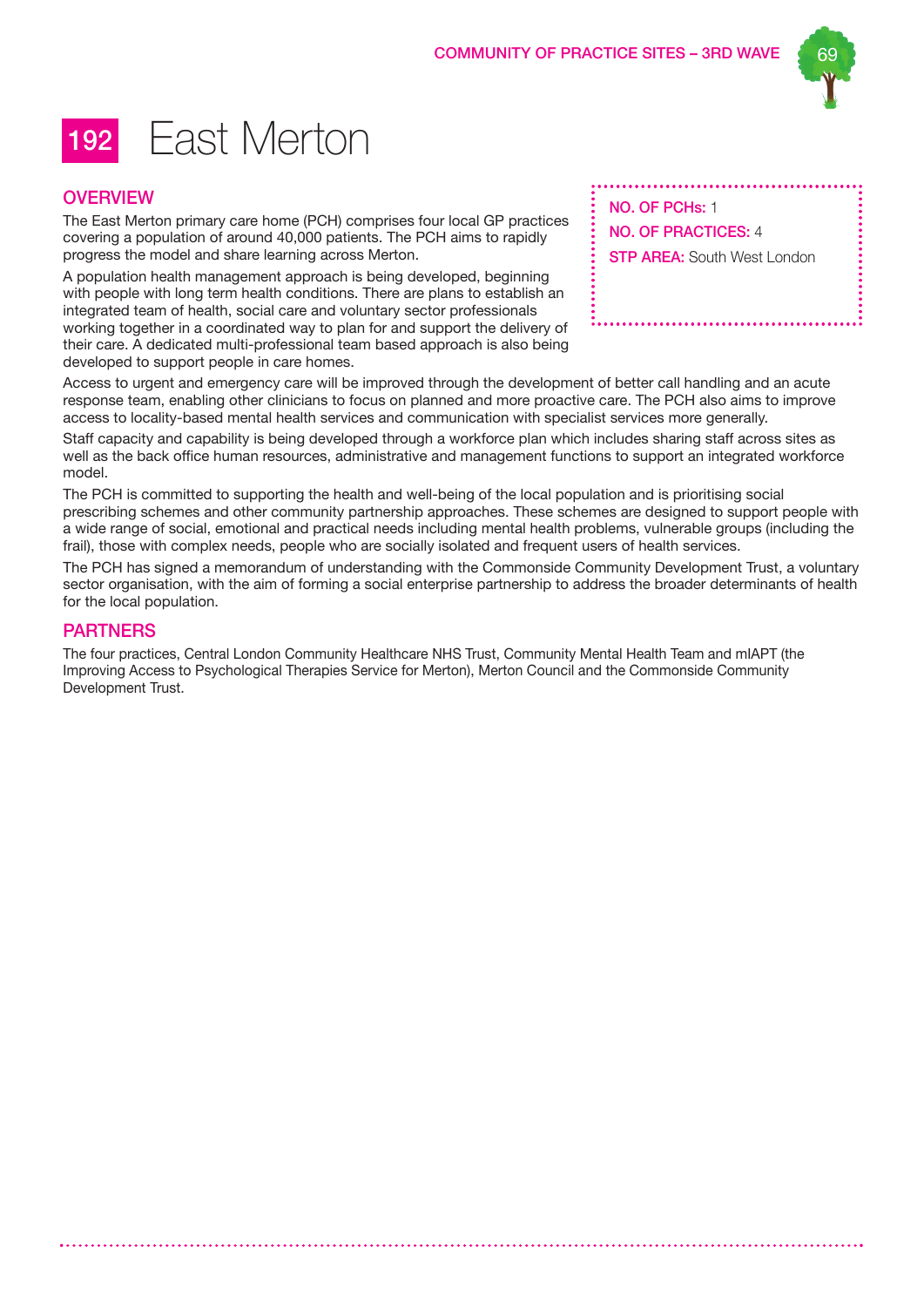### East Merton

#### **OVERVIEW**

The East Merton primary care home (PCH) comprises four local GP practices covering a population of around 40,000 patients. The PCH aims to rapidly progress the model and share learning across Merton.

A population health management approach is being developed, beginning with people with long term health conditions. There are plans to establish an integrated team of health, social care and voluntary sector professionals working together in a coordinated way to plan for and support the delivery of their care. A dedicated multi-professional team based approach is also being developed to support people in care homes.

| NO. OF PCH <sub>s</sub> : 1        |
|------------------------------------|
| NO. OF PRACTICES: 4                |
| <b>STP AREA:</b> South West London |

Access to urgent and emergency care will be improved through the development of better call handling and an acute response team, enabling other clinicians to focus on planned and more proactive care. The PCH also aims to improve access to locality-based mental health services and communication with specialist services more generally.

Staff capacity and capability is being developed through a workforce plan which includes sharing staff across sites as well as the back office human resources, administrative and management functions to support an integrated workforce model.

The PCH is committed to supporting the health and well-being of the local population and is prioritising social prescribing schemes and other community partnership approaches. These schemes are designed to support people with a wide range of social, emotional and practical needs including mental health problems, vulnerable groups (including the frail), those with complex needs, people who are socially isolated and frequent users of health services.

The PCH has signed a memorandum of understanding with the Commonside Community Development Trust, a voluntary sector organisation, with the aim of forming a social enterprise partnership to address the broader determinants of health for the local population.

#### **PARTNERS**

The four practices, Central London Community Healthcare NHS Trust, Community Mental Health Team and mIAPT (the Improving Access to Psychological Therapies Service for Merton), Merton Council and the Commonside Community Development Trust.